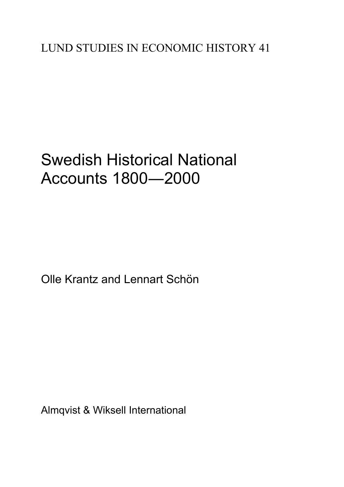## Swedish Historical National Accounts 1800―2000

Olle Krantz and Lennart Schön

Almqvist & Wiksell International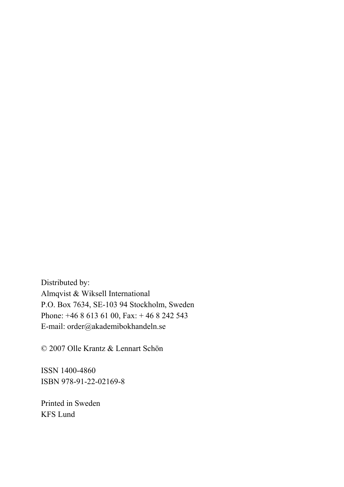Distributed by: Almqvist & Wiksell International P.O. Box 7634, SE-103 94 Stockholm, Sweden Phone: +46 8 613 61 00, Fax: + 46 8 242 543 E-mail: order@akademibokhandeln.se

© 2007 Olle Krantz & Lennart Schön

ISSN 1400-4860 ISBN 978-91-22-02169-8

Printed in Sweden KFS Lund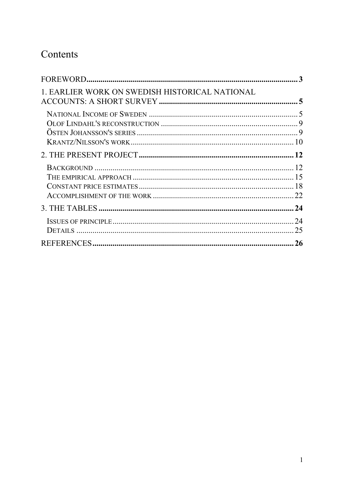### Contents

| 1. EARLIER WORK ON SWEDISH HISTORICAL NATIONAL |          |
|------------------------------------------------|----------|
|                                                |          |
|                                                |          |
|                                                |          |
|                                                |          |
|                                                | 24<br>25 |
|                                                |          |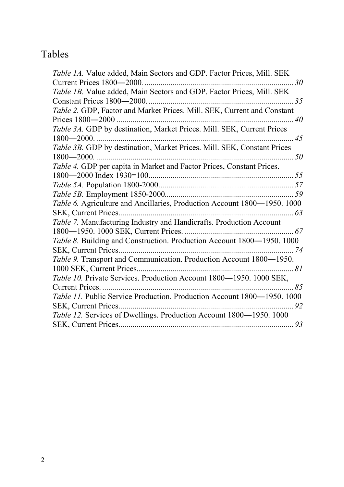### Tables

| Table 1A. Value added, Main Sectors and GDP. Factor Prices, Mill. SEK      |
|----------------------------------------------------------------------------|
|                                                                            |
| Table 1B. Value added, Main Sectors and GDP. Factor Prices, Mill. SEK      |
|                                                                            |
| Table 2. GDP, Factor and Market Prices. Mill. SEK, Current and Constant    |
|                                                                            |
| Table 3A. GDP by destination, Market Prices. Mill. SEK, Current Prices     |
|                                                                            |
| Table 3B. GDP by destination, Market Prices. Mill. SEK, Constant Prices    |
|                                                                            |
|                                                                            |
|                                                                            |
|                                                                            |
|                                                                            |
| Table 6. Agriculture and Ancillaries, Production Account 1800-1950. 1000   |
|                                                                            |
|                                                                            |
|                                                                            |
| Table 8. Building and Construction. Production Account 1800-1950. 1000     |
|                                                                            |
| Table 9. Transport and Communication. Production Account 1800-1950.        |
|                                                                            |
| Table 10. Private Services. Production Account 1800-1950. 1000 SEK,        |
|                                                                            |
| Table 11. Public Service Production. Production Account 1800-1950. 1000    |
| 92                                                                         |
| <i>Table 12.</i> Services of Dwellings. Production Account 1800—1950. 1000 |
|                                                                            |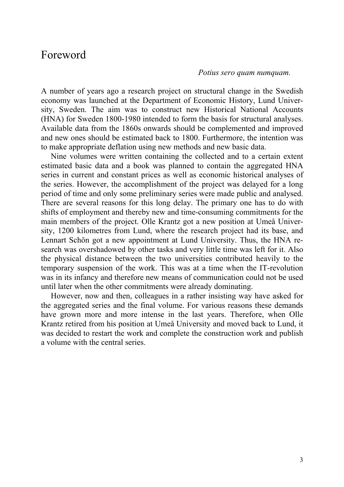### Foreword

#### *Potius sero quam numquam.*

A number of years ago a research project on structural change in the Swedish economy was launched at the Department of Economic History, Lund University, Sweden. The aim was to construct new Historical National Accounts (HNA) for Sweden 1800-1980 intended to form the basis for structural analyses. Available data from the 1860s onwards should be complemented and improved and new ones should be estimated back to 1800. Furthermore, the intention was to make appropriate deflation using new methods and new basic data.

 Nine volumes were written containing the collected and to a certain extent estimated basic data and a book was planned to contain the aggregated HNA series in current and constant prices as well as economic historical analyses of the series. However, the accomplishment of the project was delayed for a long period of time and only some preliminary series were made public and analysed. There are several reasons for this long delay. The primary one has to do with shifts of employment and thereby new and time-consuming commitments for the main members of the project. Olle Krantz got a new position at Umeå University, 1200 kilometres from Lund, where the research project had its base, and Lennart Schön got a new appointment at Lund University. Thus, the HNA research was overshadowed by other tasks and very little time was left for it. Also the physical distance between the two universities contributed heavily to the temporary suspension of the work. This was at a time when the IT-revolution was in its infancy and therefore new means of communication could not be used until later when the other commitments were already dominating.

 However, now and then, colleagues in a rather insisting way have asked for the aggregated series and the final volume. For various reasons these demands have grown more and more intense in the last years. Therefore, when Olle Krantz retired from his position at Umeå University and moved back to Lund, it was decided to restart the work and complete the construction work and publish a volume with the central series.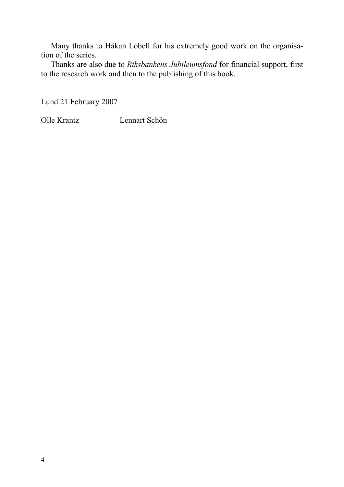Many thanks to Håkan Lobell for his extremely good work on the organisation of the series.

 Thanks are also due to *Riksbankens Jubileumsfond* for financial support, first to the research work and then to the publishing of this book.

Lund 21 February 2007

Olle Krantz Lennart Schön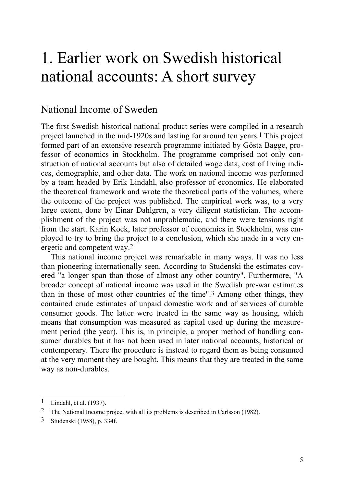## 1. Earlier work on Swedish historical national accounts: A short survey

### National Income of Sweden

The first Swedish historical national product series were compiled in a research project launched in the mid-1920s and lasting for around ten years.1 This project formed part of an extensive research programme initiated by Gösta Bagge, professor of economics in Stockholm. The programme comprised not only construction of national accounts but also of detailed wage data, cost of living indices, demographic, and other data. The work on national income was performed by a team headed by Erik Lindahl, also professor of economics. He elaborated the theoretical framework and wrote the theoretical parts of the volumes, where the outcome of the project was published. The empirical work was, to a very large extent, done by Einar Dahlgren, a very diligent statistician. The accomplishment of the project was not unproblematic, and there were tensions right from the start. Karin Kock, later professor of economics in Stockholm, was employed to try to bring the project to a conclusion, which she made in a very energetic and competent way.2

 This national income project was remarkable in many ways. It was no less than pioneering internationally seen. According to Studenski the estimates covered "a longer span than those of almost any other country". Furthermore, "A broader concept of national income was used in the Swedish pre-war estimates than in those of most other countries of the time".3 Among other things, they contained crude estimates of unpaid domestic work and of services of durable consumer goods. The latter were treated in the same way as housing, which means that consumption was measured as capital used up during the measurement period (the year). This is, in principle, a proper method of handling consumer durables but it has not been used in later national accounts, historical or contemporary. There the procedure is instead to regard them as being consumed at the very moment they are bought. This means that they are treated in the same way as non-durables.

<sup>1</sup> Lindahl, et al. (1937).

<sup>2</sup> The National Income project with all its problems is described in Carlsson (1982).

<sup>3</sup> Studenski (1958), p. 334f.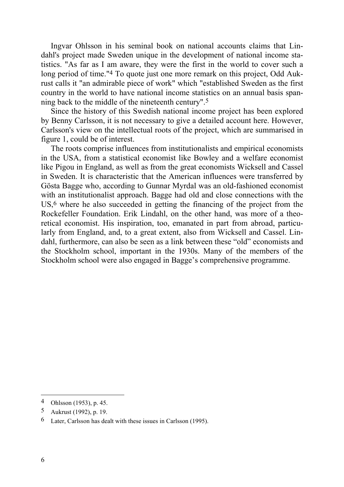Ingvar Ohlsson in his seminal book on national accounts claims that Lindahl's project made Sweden unique in the development of national income statistics. "As far as I am aware, they were the first in the world to cover such a long period of time."4 To quote just one more remark on this project, Odd Aukrust calls it "an admirable piece of work" which "established Sweden as the first country in the world to have national income statistics on an annual basis spanning back to the middle of the nineteenth century".5

 Since the history of this Swedish national income project has been explored by Benny Carlsson, it is not necessary to give a detailed account here. However, Carlsson's view on the intellectual roots of the project, which are summarised in figure 1, could be of interest.

The roots comprise influences from institutionalists and empirical economists in the USA, from a statistical economist like Bowley and a welfare economist like Pigou in England, as well as from the great economists Wicksell and Cassel in Sweden. It is characteristic that the American influences were transferred by Gösta Bagge who, according to Gunnar Myrdal was an old-fashioned economist with an institutionalist approach. Bagge had old and close connections with the US,<sup>6</sup> where he also succeeded in getting the financing of the project from the Rockefeller Foundation. Erik Lindahl, on the other hand, was more of a theoretical economist. His inspiration, too, emanated in part from abroad, particularly from England, and, to a great extent, also from Wicksell and Cassel. Lindahl, furthermore, can also be seen as a link between these "old" economists and the Stockholm school, important in the 1930s. Many of the members of the Stockholm school were also engaged in Bagge's comprehensive programme.

<sup>4</sup> Ohlsson (1953), p. 45.

<sup>5</sup> Aukrust (1992), p. 19.

<sup>6</sup> Later, Carlsson has dealt with these issues in Carlsson (1995).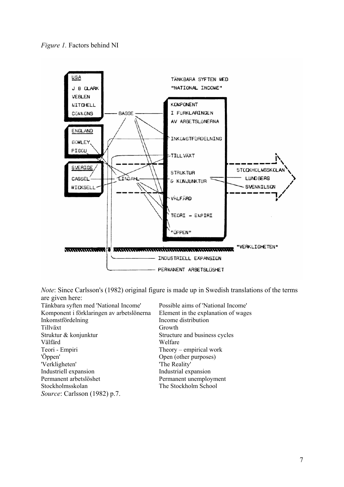



*Note*: Since Carlsson's (1982) original figure is made up in Swedish translations of the terms are given here:

| Tänkbara syften med 'National Income'     | Possible aims of 'National Income'  |
|-------------------------------------------|-------------------------------------|
| Komponent i förklaringen av arbetslönerna | Element in the explanation of wages |
| Inkomstfördelning                         | Income distribution                 |
| Tillväxt                                  | Growth                              |
| Struktur & konjunktur                     | Structure and business cycles       |
| Välfärd                                   | Welfare                             |
| Teori - Empiri                            | Theory – empirical work             |
| 'Öppen'                                   | Open (other purposes)               |
| 'Verkligheten'                            | 'The Reality'                       |
| Industriell expansion                     | Industrial expansion                |
| Permanent arbetslöshet                    | Permanent unemployment              |
| Stockholmsskolan                          | The Stockholm School                |
| <i>Source:</i> Carlsson (1982) p.7.       |                                     |
|                                           |                                     |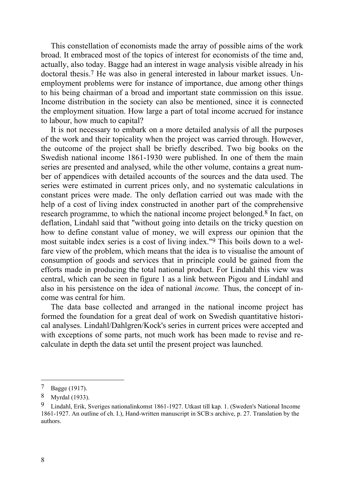This constellation of economists made the array of possible aims of the work broad. It embraced most of the topics of interest for economists of the time and, actually, also today. Bagge had an interest in wage analysis visible already in his doctoral thesis.7 He was also in general interested in labour market issues. Unemployment problems were for instance of importance, due among other things to his being chairman of a broad and important state commission on this issue. Income distribution in the society can also be mentioned, since it is connected the employment situation. How large a part of total income accrued for instance to labour, how much to capital?

 It is not necessary to embark on a more detailed analysis of all the purposes of the work and their topicality when the project was carried through. However, the outcome of the project shall be briefly described. Two big books on the Swedish national income 1861-1930 were published. In one of them the main series are presented and analysed, while the other volume, contains a great number of appendices with detailed accounts of the sources and the data used. The series were estimated in current prices only, and no systematic calculations in constant prices were made. The only deflation carried out was made with the help of a cost of living index constructed in another part of the comprehensive research programme, to which the national income project belonged.8 In fact, on deflation, Lindahl said that "without going into details on the tricky question on how to define constant value of money, we will express our opinion that the most suitable index series is a cost of living index."9 This boils down to a welfare view of the problem, which means that the idea is to visualise the amount of consumption of goods and services that in principle could be gained from the efforts made in producing the total national product. For Lindahl this view was central, which can be seen in figure 1 as a link between Pigou and Lindahl and also in his persistence on the idea of national *income.* Thus, the concept of income was central for him.

 The data base collected and arranged in the national income project has formed the foundation for a great deal of work on Swedish quantitative historical analyses. Lindahl/Dahlgren/Kock's series in current prices were accepted and with exceptions of some parts, not much work has been made to revise and recalculate in depth the data set until the present project was launched.

<sup>7</sup> Bagge (1917).

<sup>8</sup> Myrdal (1933).

<sup>9</sup> Lindahl, Erik, Sveriges nationalinkomst 1861-1927. Utkast till kap. 1. (Sweden's National Income 1861-1927. An outline of ch. I.), Hand-written manuscript in SCB:s archive, p. 27. Translation by the authors.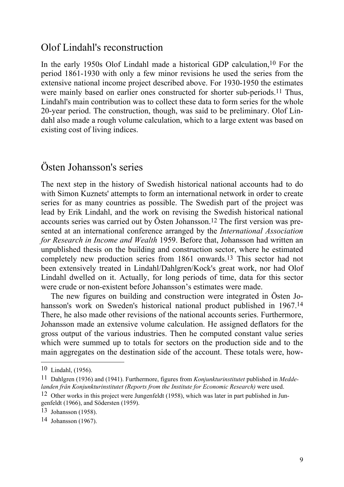### Olof Lindahl's reconstruction

In the early 1950s Olof Lindahl made a historical GDP calculation,<sup>10</sup> For the period 1861-1930 with only a few minor revisions he used the series from the extensive national income project described above. For 1930-1950 the estimates were mainly based on earlier ones constructed for shorter sub-periods.<sup>11</sup> Thus, Lindahl's main contribution was to collect these data to form series for the whole 20-year period. The construction, though, was said to be preliminary. Olof Lindahl also made a rough volume calculation, which to a large extent was based on existing cost of living indices.

### Östen Johansson's series

The next step in the history of Swedish historical national accounts had to do with Simon Kuznets' attempts to form an international network in order to create series for as many countries as possible. The Swedish part of the project was lead by Erik Lindahl, and the work on revising the Swedish historical national accounts series was carried out by Östen Johansson.12 The first version was presented at an international conference arranged by the *International Association for Research in Income and Wealth* 1959. Before that, Johansson had written an unpublished thesis on the building and construction sector, where he estimated completely new production series from 1861 onwards.13 This sector had not been extensively treated in Lindahl/Dahlgren/Kock's great work, nor had Olof Lindahl dwelled on it. Actually, for long periods of time, data for this sector were crude or non-existent before Johansson's estimates were made.

 The new figures on building and construction were integrated in Östen Johansson's work on Sweden's historical national product published in 1967.<sup>14</sup> There, he also made other revisions of the national accounts series. Furthermore, Johansson made an extensive volume calculation. He assigned deflators for the gross output of the various industries. Then he computed constant value series which were summed up to totals for sectors on the production side and to the main aggregates on the destination side of the account. These totals were, how-

<sup>10</sup> Lindahl, (1956).

<sup>11</sup> Dahlgren (1936) and (1941). Furthermore, figures from *Konjunkturinstitutet* published in *Meddelanden från Konjunkturinstitutet (Reports from the Institute for Economic Research)* were used.

<sup>12</sup> Other works in this project were Jungenfeldt (1958), which was later in part published in Jungenfeldt (1966), and Södersten (1959).

<sup>13</sup> Johansson (1958).

<sup>14</sup> Johansson (1967).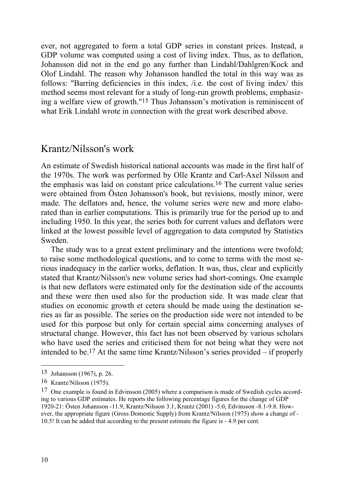ever, not aggregated to form a total GDP series in constant prices. Instead, a GDP volume was computed using a cost of living index. Thus, as to deflation, Johansson did not in the end go any further than Lindahl/Dahlgren/Kock and Olof Lindahl. The reason why Johansson handled the total in this way was as follows: "Barring deficiencies in this index, /i.e. the cost of living index/ this method seems most relevant for a study of long-run growth problems, emphasizing a welfare view of growth."15 Thus Johansson's motivation is reminiscent of what Erik Lindahl wrote in connection with the great work described above.

### Krantz/Nilsson's work

An estimate of Swedish historical national accounts was made in the first half of the 1970s. The work was performed by Olle Krantz and Carl-Axel Nilsson and the emphasis was laid on constant price calculations.16 The current value series were obtained from Östen Johansson's book, but revisions, mostly minor, were made. The deflators and, hence, the volume series were new and more elaborated than in earlier computations. This is primarily true for the period up to and including 1950. In this year, the series both for current values and deflators were linked at the lowest possible level of aggregation to data computed by Statistics Sweden.

 The study was to a great extent preliminary and the intentions were twofold; to raise some methodological questions, and to come to terms with the most serious inadequacy in the earlier works, deflation. It was, thus, clear and explicitly stated that Krantz/Nilsson's new volume series had short-comings. One example is that new deflators were estimated only for the destination side of the accounts and these were then used also for the production side. It was made clear that studies on economic growth et cetera should be made using the destination series as far as possible. The series on the production side were not intended to be used for this purpose but only for certain special aims concerning analyses of structural change. However, this fact has not been observed by various scholars who have used the series and criticised them for not being what they were not intended to be.17 At the same time Krantz/Nilsson's series provided – if properly

<sup>15</sup> Johansson (1967), p. 26.

<sup>16</sup> Krantz/Nilsson (1975).

<sup>17</sup> One example is found in Edvinsson (2005) where a comparison is made of Swedish cycles according to various GDP estimates. He reports the following percentage figures for the change of GDP 1920-21: Östen Johansson -11.9, Krantz/Nilsson 3.1, Krantz (2001) -5.0, Edvinsson -8.1-9.8. However, the appropriate figure (Gross Domestic Supply) from Krantz/Nilsson (1975) show a change of - 10.5! It can be added that according to the present estimate the figure is - 4.9 per cent.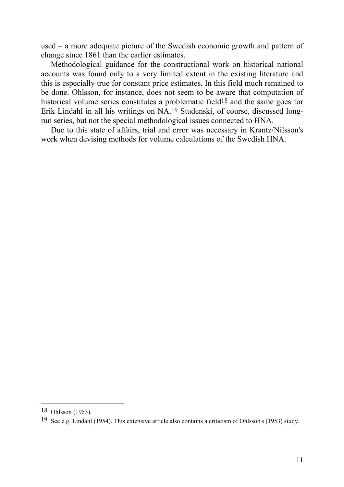used – a more adequate picture of the Swedish economic growth and pattern of change since 1861 than the earlier estimates.

 Methodological guidance for the constructional work on historical national accounts was found only to a very limited extent in the existing literature and this is especially true for constant price estimates. In this field much remained to be done. Ohlsson, for instance, does not seem to be aware that computation of historical volume series constitutes a problematic field<sup>18</sup> and the same goes for Erik Lindahl in all his writings on NA.19 Studenski, of course, discussed longrun series, but not the special methodological issues connected to HNA.

 Due to this state of affairs, trial and error was necessary in Krantz/Nilsson's work when devising methods for volume calculations of the Swedish HNA.

<sup>18</sup> Ohlsson (1953).

<sup>19</sup> See e.g. Lindahl (1954). This extensive article also contains a criticism of Ohlsson's (1953) study.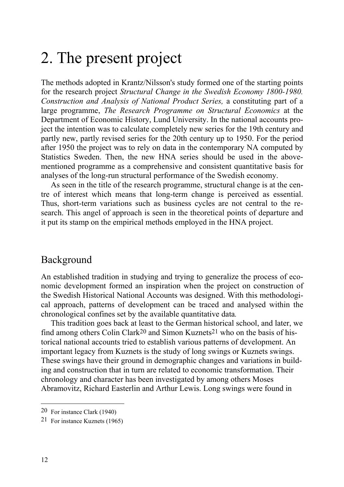### 2. The present project

The methods adopted in Krantz/Nilsson's study formed one of the starting points for the research project *Structural Change in the Swedish Economy 1800-1980. Construction and Analysis of National Product Series,* a constituting part of a large programme, *The Research Programme on Structural Economics* at the Department of Economic History, Lund University. In the national accounts project the intention was to calculate completely new series for the 19th century and partly new, partly revised series for the 20th century up to 1950. For the period after 1950 the project was to rely on data in the contemporary NA computed by Statistics Sweden. Then, the new HNA series should be used in the abovementioned programme as a comprehensive and consistent quantitative basis for analyses of the long-run structural performance of the Swedish economy.

As seen in the title of the research programme, structural change is at the centre of interest which means that long-term change is perceived as essential. Thus, short-term variations such as business cycles are not central to the research. This angel of approach is seen in the theoretical points of departure and it put its stamp on the empirical methods employed in the HNA project.

### Background

An established tradition in studying and trying to generalize the process of economic development formed an inspiration when the project on construction of the Swedish Historical National Accounts was designed. With this methodological approach, patterns of development can be traced and analysed within the chronological confines set by the available quantitative data*.* 

This tradition goes back at least to the German historical school, and later, we find among others Colin Clark20 and Simon Kuznets21 who on the basis of historical national accounts tried to establish various patterns of development. An important legacy from Kuznets is the study of long swings or Kuznets swings. These swings have their ground in demographic changes and variations in building and construction that in turn are related to economic transformation. Their chronology and character has been investigated by among others Moses Abramovitz, Richard Easterlin and Arthur Lewis. Long swings were found in

<sup>20</sup> For instance Clark (1940)

<sup>21</sup> For instance Kuznets (1965)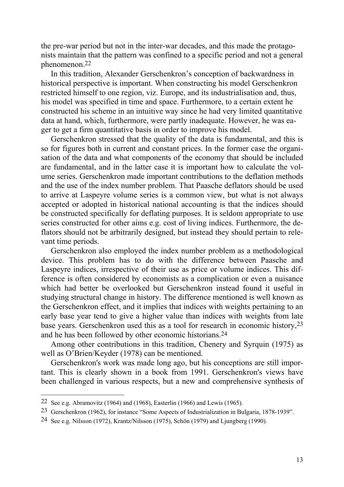the pre-war period but not in the inter-war decades, and this made the protagonists maintain that the pattern was confined to a specific period and not a general phenomenon.22

 In this tradition, Alexander Gerschenkron's conception of backwardness in historical perspective is important. When constructing his model Gerschenkron restricted himself to one region, viz. Europe, and its industrialisation and, thus, his model was specified in time and space. Furthermore, to a certain extent he constructed his scheme in an intuitive way since he had very limited quantitative data at hand, which, furthermore, were partly inadequate. However, he was eager to get a firm quantitative basis in order to improve his model.

Gerschenkron stressed that the quality of the data is fundamental, and this is so for figures both in current and constant prices. In the former case the organisation of the data and what components of the economy that should be included are fundamental, and in the latter case it is important how to calculate the volume series. Gerschenkron made important contributions to the deflation methods and the use of the index number problem. That Paasche deflators should be used to arrive at Laspeyre volume series is a common view, but what is not always accepted or adopted in historical national accounting is that the indices should be constructed specifically for deflating purposes. It is seldom appropriate to use series constructed for other aims e.g. cost of living indices. Furthermore, the deflators should not be arbitrarily designed, but instead they should pertain to relevant time periods.

 Gerschenkron also employed the index number problem as a methodological device. This problem has to do with the difference between Paasche and Laspeyre indices, irrespective of their use as price or volume indices. This difference is often considered by economists as a complication or even a nuisance which had better be overlooked but Gerschenkron instead found it useful in studying structural change in history. The difference mentioned is well known as the Gerschenkron effect, and it implies that indices with weights pertaining to an early base year tend to give a higher value than indices with weights from late base years. Gerschenkron used this as a tool for research in economic history,23 and he has been followed by other economic historians.24

 Among other contributions in this tradition, Chenery and Syrquin (1975) as well as O'Brien/Keyder (1978) can be mentioned.

 Gerschenkron's work was made long ago, but his conceptions are still important. This is clearly shown in a book from 1991. Gerschenkron's views have been challenged in various respects, but a new and comprehensive synthesis of

<sup>22</sup> See e.g. Abramovitz (1964) and (1968), Easterlin (1966) and Lewis (1965).

<sup>23</sup> Gerschenkron (1962), for instance "Some Aspects of Industrialization in Bulgaria, 1878-1939".

<sup>24</sup> See e.g. Nilsson (1972), Krantz/Nilsson (1975), Schön (1979) and Ljungberg (1990).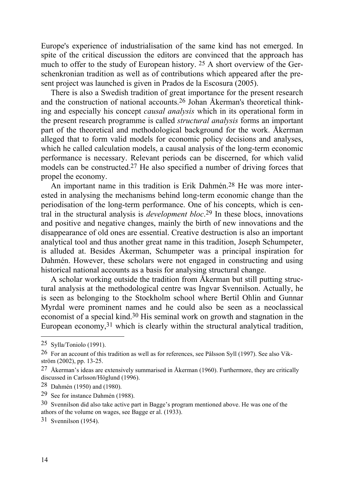Europe's experience of industrialisation of the same kind has not emerged. In spite of the critical discussion the editors are convinced that the approach has much to offer to the study of European history. 25 A short overview of the Gerschenkronian tradition as well as of contributions which appeared after the present project was launched is given in Prados de la Escosura (2005).

There is also a Swedish tradition of great importance for the present research and the construction of national accounts.26 Johan Åkerman's theoretical thinking and especially his concept *causal analysis* which in its operational form in the present research programme is called *structural analysis* forms an important part of the theoretical and methodological background for the work. Åkerman alleged that to form valid models for economic policy decisions and analyses, which he called calculation models, a causal analysis of the long-term economic performance is necessary. Relevant periods can be discerned, for which valid models can be constructed.27 He also specified a number of driving forces that propel the economy.

 An important name in this tradition is Erik Dahmén.28 He was more interested in analysing the mechanisms behind long-term economic change than the periodisation of the long-term performance. One of his concepts, which is central in the structural analysis is *development bloc*.29 In these blocs, innovations and positive and negative changes, mainly the birth of new innovations and the disappearance of old ones are essential. Creative destruction is also an important analytical tool and thus another great name in this tradition, Joseph Schumpeter, is alluded at. Besides Åkerman, Schumpeter was a principal inspiration for Dahmén. However, these scholars were not engaged in constructing and using historical national accounts as a basis for analysing structural change.

 A scholar working outside the tradition from Åkerman but still putting structural analysis at the methodological centre was Ingvar Svennilson. Actually, he is seen as belonging to the Stockholm school where Bertil Ohlin and Gunnar Myrdal were prominent names and he could also be seen as a neoclassical economist of a special kind.30 His seminal work on growth and stagnation in the European economy,<sup>31</sup> which is clearly within the structural analytical tradition,

<sup>25</sup> Sylla/Toniolo (1991).

<sup>26</sup> For an account of this tradition as well as for references, see Pålsson Syll (1997). See also Vikström (2002), pp. 13-25.

<sup>27</sup> Åkerman's ideas are extensively summarised in Åkerman (1960). Furthermore, they are critically discussed in Carlsson/Höglund (1996).

<sup>28</sup> Dahmén (1950) and (1980).

<sup>29</sup> See for instance Dahmén (1988).

<sup>30</sup> Svennilson did also take active part in Bagge's program mentioned above. He was one of the athors of the volume on wages, see Bagge er al. (1933).

<sup>31</sup> Svennilson (1954).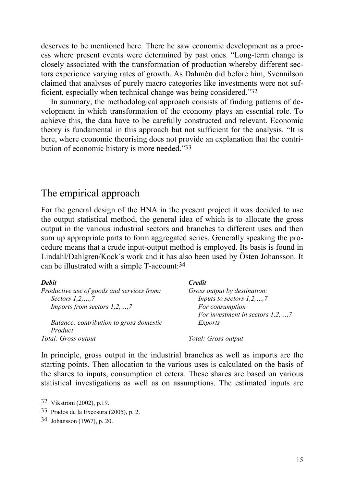deserves to be mentioned here. There he saw economic development as a process where present events were determined by past ones. "Long-term change is closely associated with the transformation of production whereby different sectors experience varying rates of growth. As Dahmén did before him, Svennilson claimed that analyses of purely macro categories like investments were not sufficient, especially when technical change was being considered."32

 In summary, the methodological approach consists of finding patterns of development in which transformation of the economy plays an essential role. To achieve this, the data have to be carefully constructed and relevant. Economic theory is fundamental in this approach but not sufficient for the analysis. "It is here, where economic theorising does not provide an explanation that the contribution of economic history is more needed."33

#### The empirical approach

For the general design of the HNA in the present project it was decided to use the output statistical method, the general idea of which is to allocate the gross output in the various industrial sectors and branches to different uses and then sum up appropriate parts to form aggregated series. Generally speaking the procedure means that a crude input-output method is employed. Its basis is found in Lindahl/Dahlgren/Kock´s work and it has also been used by Östen Johansson. It can be illustrated with a simple T-account:34

| <b>Debit</b>                                       | <b>Credit</b>                         |
|----------------------------------------------------|---------------------------------------|
| Productive use of goods and services from:         | Gross output by destination:          |
| Sectors $1, 2, \ldots, 7$                          | Inputs to sectors $1, 2, , 7$         |
| <i>Imports from sectors <math>1, 2, , 7</math></i> | For consumption                       |
|                                                    | For investment in sectors $1, 2, , 7$ |
| Balance: contribution to gross domestic            | Exports                               |
| Product                                            |                                       |
| Total: Gross output                                | Total: Gross output                   |

In principle, gross output in the industrial branches as well as imports are the starting points. Then allocation to the various uses is calculated on the basis of the shares to inputs, consumption et cetera. These shares are based on various statistical investigations as well as on assumptions. The estimated inputs are

<sup>32</sup> Vikström (2002), p.19.

<sup>33</sup> Prados de la Excosura (2005), p. 2.

<sup>34</sup> Johansson (1967), p. 20.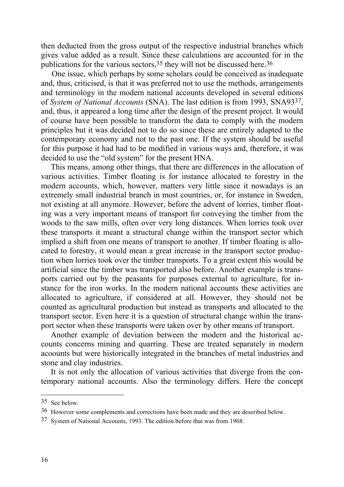then deducted from the gross output of the respective industrial branches which gives value added as a result. Since these calculations are accounted for in the publications for the various sectors,35 they will not be discussed here.36

One issue, which perhaps by some scholars could be conceived as inadequate and, thus, criticised, is that it was preferred not to use the methods, arrangements and terminology in the modern national accounts developed in several editions of *System of National Accounts* (SNA). The last edition is from 1993, SNA9337, and, thus, it appeared a long time after the design of the present project. It would of course have been possible to transform the data to comply with the modern principles but it was decided not to do so since these are entirely adapted to the contemporary economy and not to the past one. If the system should be useful for this purpose it had had to be modified in various ways and, therefore, it was decided to use the "old system" for the present HNA.

This means, among other things, that there are differences in the allocation of various activities. Timber floating is for instance allocated to forestry in the modern accounts, which, however, matters very little since it nowadays is an extremely small industrial branch in most countries, or, for instance in Sweden, not existing at all anymore. However, before the advent of lorries, timber floating was a very important means of transport for conveying the timber from the woods to the saw mills, often over very long distances. When lorries took over these transports it meant a structural change within the transport sector which implied a shift from one means of transport to another. If timber floating is allocated to forestry, it would mean a great increase in the transport sector production when lorries took over the timber transports. To a great extent this would be artificial since the timber was transported also before. Another example is transports carried out by the peasants for purposes external to agriculture, for instance for the iron works. In the modern national accounts these activities are allocated to agriculture, if considered at all. However, they should not be counted as agricultural production but instead as transports and allocated to the transport sector. Even here it is a question of structural change within the transport sector when these transports were taken over by other means of transport.

Another example of deviation between the modern and the historical accounts concerns mining and quarring. These are treated separately in modern acoounts but were historically integrated in the branches of metal industries and stone and clay industries.

 It is not only the allocation of various activities that diverge from the contemporary national accounts. Also the terminology differs. Here the concept

<sup>35</sup> See below.

<sup>36</sup> However some complements and corrections have been made and they are described below.

<sup>37</sup> System of National Accounts, 1993. The edition before that was from 1968.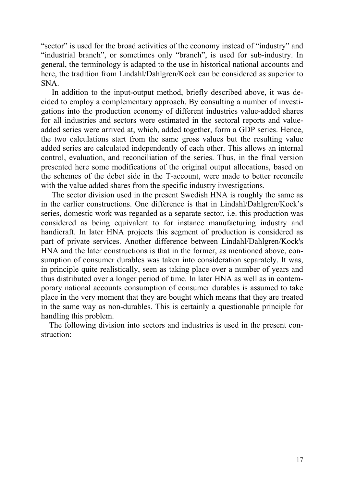"sector" is used for the broad activities of the economy instead of "industry" and "industrial branch", or sometimes only "branch", is used for sub-industry. In general, the terminology is adapted to the use in historical national accounts and here, the tradition from Lindahl/Dahlgren/Kock can be considered as superior to SNA.

In addition to the input-output method, briefly described above, it was decided to employ a complementary approach. By consulting a number of investigations into the production economy of different industries value-added shares for all industries and sectors were estimated in the sectoral reports and valueadded series were arrived at, which, added together, form a GDP series. Hence, the two calculations start from the same gross values but the resulting value added series are calculated independently of each other. This allows an internal control, evaluation, and reconciliation of the series. Thus, in the final version presented here some modifications of the original output allocations, based on the schemes of the debet side in the T-account, were made to better reconcile with the value added shares from the specific industry investigations.

The sector division used in the present Swedish HNA is roughly the same as in the earlier constructions. One difference is that in Lindahl/Dahlgren/Kock's series, domestic work was regarded as a separate sector, i.e. this production was considered as being equivalent to for instance manufacturing industry and handicraft. In later HNA projects this segment of production is considered as part of private services. Another difference between Lindahl/Dahlgren/Kock's HNA and the later constructions is that in the former, as mentioned above, consumption of consumer durables was taken into consideration separately. It was, in principle quite realistically, seen as taking place over a number of years and thus distributed over a longer period of time. In later HNA as well as in contemporary national accounts consumption of consumer durables is assumed to take place in the very moment that they are bought which means that they are treated in the same way as non-durables. This is certainly a questionable principle for handling this problem.

 The following division into sectors and industries is used in the present construction: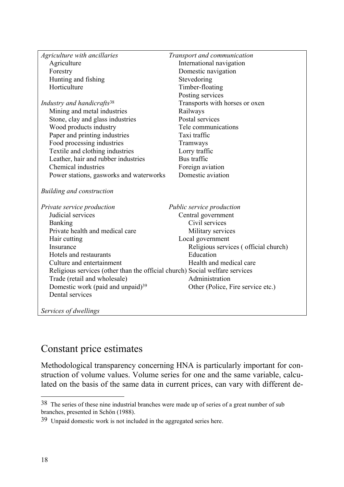| Agriculture with ancillaries                                                | Transport and communication          |
|-----------------------------------------------------------------------------|--------------------------------------|
| Agriculture                                                                 | International navigation             |
| Forestry                                                                    | Domestic navigation                  |
| Hunting and fishing                                                         | Stevedoring                          |
| Horticulture                                                                | Timber-floating                      |
|                                                                             | Posting services                     |
| Industry and handicrafts <sup>38</sup>                                      | Transports with horses or oxen       |
| Mining and metal industries                                                 | Railways                             |
| Stone, clay and glass industries                                            | Postal services                      |
| Wood products industry                                                      | Tele communications                  |
| Paper and printing industries                                               | Taxi traffic                         |
| Food processing industries                                                  | Tramways                             |
| Textile and clothing industries                                             | Lorry traffic                        |
| Leather, hair and rubber industries                                         | Bus traffic                          |
| Chemical industries                                                         | Foreign aviation                     |
| Power stations, gasworks and waterworks                                     | Domestic aviation                    |
| <b>Building and construction</b>                                            |                                      |
| Private service production                                                  | Public service production            |
| Judicial services                                                           | Central government                   |
| Banking                                                                     | Civil services                       |
| Private health and medical care                                             | Military services                    |
| Hair cutting                                                                | Local government                     |
| Insurance                                                                   | Religious services (official church) |
| Hotels and restaurants                                                      | Education                            |
| Culture and entertainment                                                   | Health and medical care              |
| Religious services (other than the official church) Social welfare services |                                      |
| Trade (retail and wholesale)                                                | Administration                       |
| Domestic work (paid and unpaid) <sup>39</sup>                               | Other (Police, Fire service etc.)    |
| Dental services                                                             |                                      |
| Services of dwellings                                                       |                                      |

### Constant price estimates

Methodological transparency concerning HNA is particularly important for construction of volume values. Volume series for one and the same variable, calculated on the basis of the same data in current prices, can vary with different de-

<sup>38</sup> The series of these nine industrial branches were made up of series of a great number of sub branches, presented in Schön (1988).

<sup>39</sup> Unpaid domestic work is not included in the aggregated series here.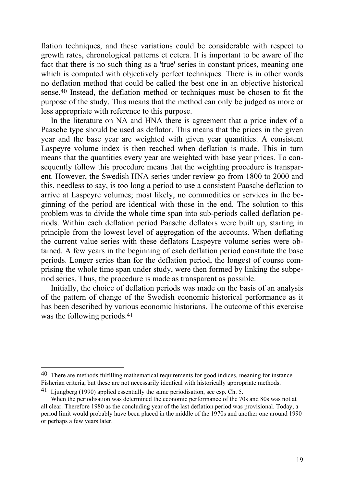flation techniques, and these variations could be considerable with respect to growth rates, chronological patterns et cetera. It is important to be aware of the fact that there is no such thing as a 'true' series in constant prices, meaning one which is computed with objectively perfect techniques. There is in other words no deflation method that could be called the best one in an objective historical sense.40 Instead, the deflation method or techniques must be chosen to fit the purpose of the study. This means that the method can only be judged as more or less appropriate with reference to this purpose.

 In the literature on NA and HNA there is agreement that a price index of a Paasche type should be used as deflator. This means that the prices in the given year and the base year are weighted with given year quantities. A consistent Laspeyre volume index is then reached when deflation is made. This in turn means that the quantities every year are weighted with base year prices. To consequently follow this procedure means that the weighting procedure is transparent. However, the Swedish HNA series under review go from 1800 to 2000 and this, needless to say, is too long a period to use a consistent Paasche deflation to arrive at Laspeyre volumes; most likely, no commodities or services in the beginning of the period are identical with those in the end. The solution to this problem was to divide the whole time span into sub-periods called deflation periods. Within each deflation period Paasche deflators were built up, starting in principle from the lowest level of aggregation of the accounts. When deflating the current value series with these deflators Laspeyre volume series were obtained. A few years in the beginning of each deflation period constitute the base periods. Longer series than for the deflation period, the longest of course comprising the whole time span under study, were then formed by linking the subperiod series. Thus, the procedure is made as transparent as possible.

 Initially, the choice of deflation periods was made on the basis of an analysis of the pattern of change of the Swedish economic historical performance as it has been described by various economic historians. The outcome of this exercise was the following periods.41

<sup>40</sup> There are methods fulfilling mathematical requirements for good indices, meaning for instance Fisherian criteria, but these are not necessarily identical with historically appropriate methods.

<sup>41</sup> Ljungberg (1990) applied essentially the same periodisation, see esp. Ch. 5.

When the periodisation was determined the economic performance of the 70s and 80s was not at all clear. Therefore 1980 as the concluding year of the last deflation period was provisional. Today, a period limit would probably have been placed in the middle of the 1970s and another one around 1990 or perhaps a few years later.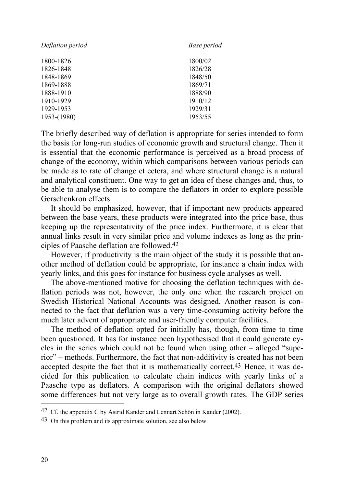| Deflation period | Base period |
|------------------|-------------|
| 1800-1826        | 1800/02     |
| 1826-1848        | 1826/28     |
| 1848-1869        | 1848/50     |
| 1869-1888        | 1869/71     |
| 1888-1910        | 1888/90     |
| 1910-1929        | 1910/12     |
| 1929-1953        | 1929/31     |
| $1953-(1980)$    | 1953/55     |

The briefly described way of deflation is appropriate for series intended to form the basis for long-run studies of economic growth and structural change. Then it is essential that the economic performance is perceived as a broad process of change of the economy, within which comparisons between various periods can be made as to rate of change et cetera, and where structural change is a natural and analytical constituent. One way to get an idea of these changes and, thus, to be able to analyse them is to compare the deflators in order to explore possible Gerschenkron effects.

 It should be emphasized, however, that if important new products appeared between the base years, these products were integrated into the price base, thus keeping up the representativity of the price index. Furthermore, it is clear that annual links result in very similar price and volume indexes as long as the principles of Paasche deflation are followed.42

However, if productivity is the main object of the study it is possible that another method of deflation could be appropriate, for instance a chain index with yearly links, and this goes for instance for business cycle analyses as well.

 The above-mentioned motive for choosing the deflation techniques with deflation periods was not, however, the only one when the research project on Swedish Historical National Accounts was designed. Another reason is connected to the fact that deflation was a very time-consuming activity before the much later advent of appropriate and user-friendly computer facilities.

 The method of deflation opted for initially has, though, from time to time been questioned. It has for instance been hypothesised that it could generate cycles in the series which could not be found when using other – alleged "superior" – methods. Furthermore, the fact that non-additivity is created has not been accepted despite the fact that it is mathematically correct.43 Hence, it was decided for this publication to calculate chain indices with yearly links of a Paasche type as deflators. A comparison with the original deflators showed some differences but not very large as to overall growth rates. The GDP series

<sup>42</sup> Cf. the appendix C by Astrid Kander and Lennart Schön in Kander (2002).

<sup>43</sup> On this problem and its approximate solution, see also below.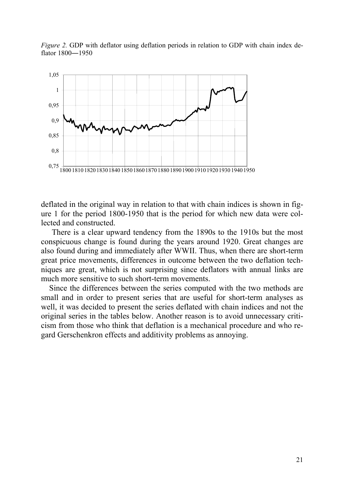*Figure 2.* GDP with deflator using deflation periods in relation to GDP with chain index deflator 1800―1950



deflated in the original way in relation to that with chain indices is shown in figure 1 for the period 1800-1950 that is the period for which new data were collected and constructed.

There is a clear upward tendency from the 1890s to the 1910s but the most conspicuous change is found during the years around 1920. Great changes are also found during and immediately after WWII. Thus, when there are short-term great price movements, differences in outcome between the two deflation techniques are great, which is not surprising since deflators with annual links are much more sensitive to such short-term movements.

 Since the differences between the series computed with the two methods are small and in order to present series that are useful for short-term analyses as well, it was decided to present the series deflated with chain indices and not the original series in the tables below. Another reason is to avoid unnecessary criticism from those who think that deflation is a mechanical procedure and who regard Gerschenkron effects and additivity problems as annoying.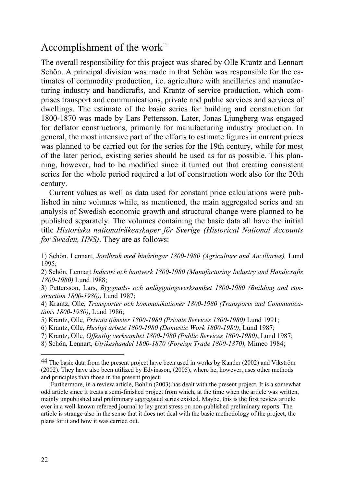### Accomplishment of the work $44$

The overall responsibility for this project was shared by Olle Krantz and Lennart Schön. A principal division was made in that Schön was responsible for the estimates of commodity production, i.e. agriculture with ancillaries and manufacturing industry and handicrafts, and Krantz of service production, which comprises transport and communications, private and public services and services of dwellings. The estimate of the basic series for building and construction for 1800-1870 was made by Lars Pettersson. Later, Jonas Ljungberg was engaged for deflator constructions, primarily for manufacturing industry production. In general, the most intensive part of the efforts to estimate figures in current prices was planned to be carried out for the series for the 19th century, while for most of the later period, existing series should be used as far as possible. This planning, however, had to be modified since it turned out that creating consistent series for the whole period required a lot of construction work also for the 20th century.

 Current values as well as data used for constant price calculations were published in nine volumes while, as mentioned, the main aggregated series and an analysis of Swedish economic growth and structural change were planned to be published separately. The volumes containing the basic data all have the initial title *Historiska nationalräkenskaper för Sverige (Historical National Accounts for Sweden, HNS)*. They are as follows:

2) Schön, Lennart *Industri och hantverk 1800-1980 (Manufacturing Industry and Handicrafts 1800-1980)* Lund 1988;

3) Pettersson, Lars, *Byggnads- och anläggningsverksamhet 1800-1980 (Building and construction 1800-1980)*, Lund 1987;

4) Krantz, Olle, *Transporter och kommunikationer 1800-1980 (Transports and Communications 1800-1980)*, Lund 1986;

5) Krantz, Olle*, Privata tjänster 1800-1980 (Private Services 1800-1980)* Lund 1991;

7) Krantz, Olle*, Offentlig verksamhet 1800-1980 (Public Services 1800-1980)*, Lund 1987;

8) Schön, Lennart, *Utrikeshandel 1800-1870 (Foreign Trade 1800-1870),* Mimeo 1984;

<sup>1)</sup> Schön. Lennart, *Jordbruk med binäringar 1800-1980 (Agriculture and Ancillaries),* Lund 1995;

<sup>6)</sup> Krantz, Olle, *Husligt arbete 1800-1980 (Domestic Work 1800-1980)*, Lund 1987;

<sup>&</sup>lt;sup>44</sup> The basic data from the present project have been used in works by Kander (2002) and Vikström (2002). They have also been utilized by Edvinsson, (2005), where he, however, uses other methods and principles than those in the present project.

Furthermore, in a review article, Bohlin (2003) has dealt with the present project. It is a somewhat odd article since it treats a semi-finished project from which, at the time when the article was written, mainly unpublished and preliminary aggregated series existed. Maybe, this is the first review article ever in a well-known refereed journal to lay great stress on non-published preliminary reports. The article is strange also in the sense that it does not deal with the basic methodology of the project, the plans for it and how it was carried out.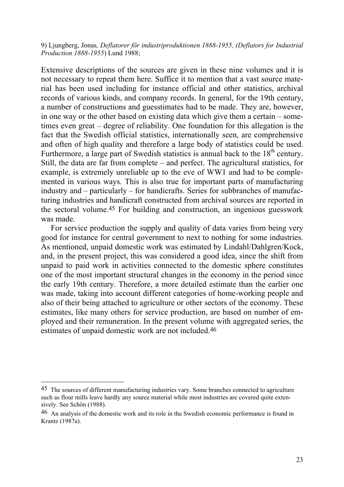9) Ljungberg, Jonas*, Deflatorer för industriproduktionen 1888-1955, (Deflators for Industrial Production 1888-1955*) Lund 1988;

Extensive descriptions of the sources are given in these nine volumes and it is not necessary to repeat them here. Suffice it to mention that a vast source material has been used including for instance official and other statistics, archival records of various kinds, and company records. In general, for the 19th century, a number of constructions and guesstimates had to be made. They are, however, in one way or the other based on existing data which give them a certain – sometimes even great – degree of reliability. One foundation for this allegation is the fact that the Swedish official statistics, internationally seen, are comprehensive and often of high quality and therefore a large body of statistics could be used. Furthermore, a large part of Swedish statistics is annual back to the  $18<sup>th</sup>$  century. Still, the data are far from complete – and perfect. The agricultural statistics, for example, is extremely unreliable up to the eve of WW1 and had to be complemented in various ways. This is also true for important parts of manufacturing industry and – particularly – for handicrafts. Series for subbranches of manufacturing industries and handicraft constructed from archival sources are reported in the sectoral volume.45 For building and construction, an ingenious guesswork was made.

 For service production the supply and quality of data varies from being very good for instance for central government to next to nothing for some industries. As mentioned, unpaid domestic work was estimated by Lindahl/Dahlgren/Kock, and, in the present project, this was considered a good idea, since the shift from unpaid to paid work in activities connected to the domestic sphere constitutes one of the most important structural changes in the economy in the period since the early 19th century. Therefore, a more detailed estimate than the earlier one was made, taking into account different categories of home-working people and also of their being attached to agriculture or other sectors of the economy. These estimates, like many others for service production, are based on number of employed and their remuneration. In the present volume with aggregated series, the estimates of unpaid domestic work are not included.46

<sup>45</sup> The sources of different manufacturing industries vary. Some branches connected to agriculture such as flour mills leave hardly any source material while most industries are covered quite extensively. See Schön (1988).

<sup>46</sup> An analysis of the domestic work and its role in the Swedish economic performance is found in Krantz (1987a).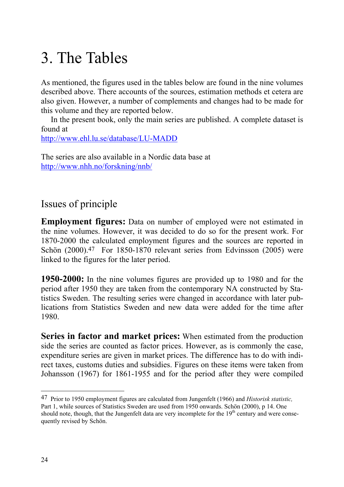# 3. The Tables

As mentioned, the figures used in the tables below are found in the nine volumes described above. There accounts of the sources, estimation methods et cetera are also given. However, a number of complements and changes had to be made for this volume and they are reported below.

 In the present book, only the main series are published. A complete dataset is found at

http://www.ehl.lu.se/database/LU-MADD

The series are also available in a Nordic data base at http://www.nhh.no/forskning/nnb/

### Issues of principle

**Employment figures:** Data on number of employed were not estimated in the nine volumes. However, it was decided to do so for the present work. For 1870-2000 the calculated employment figures and the sources are reported in Schön (2000).<sup>47</sup> For 1850-1870 relevant series from Edvinsson (2005) were linked to the figures for the later period.

**1950-2000:** In the nine volumes figures are provided up to 1980 and for the period after 1950 they are taken from the contemporary NA constructed by Statistics Sweden. The resulting series were changed in accordance with later publications from Statistics Sweden and new data were added for the time after 1980.

**Series in factor and market prices:** When estimated from the production side the series are counted as factor prices. However, as is commonly the case, expenditure series are given in market prices. The difference has to do with indirect taxes, customs duties and subsidies. Figures on these items were taken from Johansson (1967) for 1861-1955 and for the period after they were compiled

<sup>47</sup> Prior to 1950 employment figures are calculated from Jungenfelt (1966) and *Historisk statistic,* Part 1, while sources of Statistics Sweden are used from 1950 onwards. Schön (2000), p 14. One should note, though, that the Jungenfelt data are very incomplete for the  $19<sup>th</sup>$  century and were consequently revised by Schön.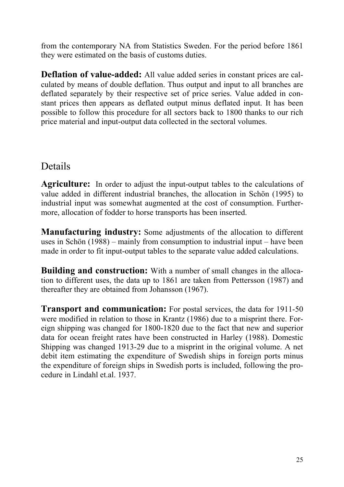from the contemporary NA from Statistics Sweden. For the period before 1861 they were estimated on the basis of customs duties.

**Deflation of value-added:** All value added series in constant prices are calculated by means of double deflation. Thus output and input to all branches are deflated separately by their respective set of price series. Value added in constant prices then appears as deflated output minus deflated input. It has been possible to follow this procedure for all sectors back to 1800 thanks to our rich price material and input-output data collected in the sectoral volumes.

### Details

**Agriculture:** In order to adjust the input-output tables to the calculations of value added in different industrial branches, the allocation in Schön (1995) to industrial input was somewhat augmented at the cost of consumption. Furthermore, allocation of fodder to horse transports has been inserted.

**Manufacturing industry:** Some adjustments of the allocation to different uses in Schön (1988) – mainly from consumption to industrial input – have been made in order to fit input-output tables to the separate value added calculations.

**Building and construction:** With a number of small changes in the allocation to different uses, the data up to 1861 are taken from Pettersson (1987) and thereafter they are obtained from Johansson (1967).

**Transport and communication:** For postal services, the data for 1911-50 were modified in relation to those in Krantz (1986) due to a misprint there. Foreign shipping was changed for 1800-1820 due to the fact that new and superior data for ocean freight rates have been constructed in Harley (1988). Domestic Shipping was changed 1913-29 due to a misprint in the original volume. A net debit item estimating the expenditure of Swedish ships in foreign ports minus the expenditure of foreign ships in Swedish ports is included, following the procedure in Lindahl et.al. 1937.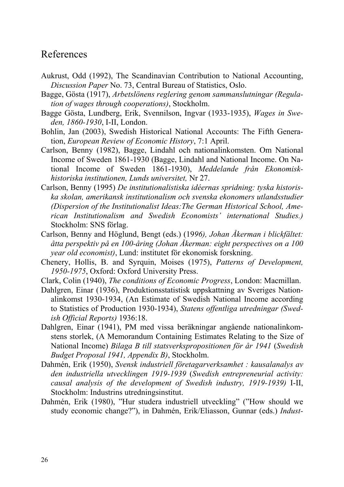#### References

- Aukrust, Odd (1992), The Scandinavian Contribution to National Accounting, *Discussion Paper* No. 73, Central Bureau of Statistics, Oslo.
- Bagge, Gösta (1917), *Arbetslönens reglering genom sammanslutningar (Regulation of wages through cooperations)*, Stockholm.
- Bagge Gösta, Lundberg, Erik, Svennilson, Ingvar (1933-1935), *Wages in Sweden, 1860-1930*, I-II, London.
- Bohlin, Jan (2003), Swedish Historical National Accounts: The Fifth Generation, *European Review of Economic History*, 7:1 April.
- Carlson, Benny (1982), Bagge, Lindahl och nationalinkomsten. Om National Income of Sweden 1861-1930 (Bagge, Lindahl and National Income. On National Income of Sweden 1861-1930), *Meddelande från Ekonomiskhistoriska institutionen, Lunds universitet,* Nr 27.
- Carlson, Benny (1995) *De institutionalistiska idéernas spridning: tyska historiska skolan, amerikansk institutionalism och svenska ekonomers utlandsstudier (Dispersion of the Institutionalist Ideas:The German Historical School, American Institutionalism and Swedish Economists' international Studies.)*  Stockholm: SNS förlag.
- Carlson, Benny and Höglund, Bengt (eds.) (19*96), Johan Åkerman i blickfältet: åtta perspektiv på en 100-åring (Johan Åkerman: eight perspectives on a 100 year old economist)*, Lund: institutet för ekonomisk forskning.
- Chenery, Hollis, B. and Syrquin, Moises (1975), *Patterns of Development, 1950-1975*, Oxford: Oxford University Press.
- Clark, Colin (1940), *The conditions of Economic Progress*, London: Macmillan.
- Dahlgren, Einar (1936), Produktionsstatistisk uppskattning av Sveriges Nationalinkomst 1930-1934, (An Estimate of Swedish National Income according to Statistics of Production 1930-1934), *Statens offentliga utredningar (Swedish Official Reports)* 1936:18.
- Dahlgren, Einar (1941), PM med vissa beräkningar angående nationalinkomstens storlek, (A Memorandum Containing Estimates Relating to the Size of National Income) *Bilaga B till statsverkspropositionen för år 1941* (*Swedish Budget Proposal 1941, Appendix B)*, Stockholm.
- Dahmén, Erik (1950), *Svensk industriell företagarverksamhet : kausalanalys av den industriella utvecklingen 1919-1939* (*Swedish entrepreneurial activity: causal analysis of the development of Swedish industry, 1919-1939)* I-II, Stockholm: Industrins utredningsinstitut.
- Dahmén, Erik (1980), "Hur studera industriell utveckling" ("How should we study economic change?"), in Dahmén, Erik/Eliasson, Gunnar (eds.) *Indust-*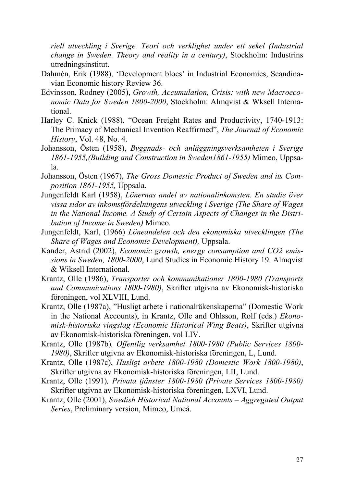*riell utveckling i Sverige. Teori och verklighet under ett sekel (Industrial change in Sweden. Theory and reality in a century)*, Stockholm: Industrins utredningsinstitut.

- Dahmén, Erik (1988), 'Development blocs' in Industrial Economics, Scandinavian Economic history Review 36.
- Edvinsson, Rodney (2005), *Growth, Accumulation, Crisis: with new Macroeconomic Data for Sweden 1800-2000*, Stockholm: Almqvist & Wksell International.
- Harley C. Knick (1988), "Ocean Freight Rates and Productivity, 1740-1913: The Primacy of Mechanical Invention Reaffirmed", *The Journal of Economic History*, Vol. 48, No. 4.
- Johansson, Östen (1958), *Byggnads- och anläggningsverksamheten i Sverige 1861-1955,(Building and Construction in Sweden1861-1955)* Mimeo, Uppsala.
- Johansson, Östen (1967), *The Gross Domestic Product of Sweden and its Composition 1861-1955,* Uppsala.
- Jungenfeldt Karl (1958), *Lönernas andel av nationalinkomsten. En studie över vissa sidor av inkomstfördelningens utveckling i Sverige (The Share of Wages in the National Income. A Study of Certain Aspects of Changes in the Distribution of Income in Sweden)* Mimeo.
- Jungenfeldt, Karl, (1966) *Löneandelen och den ekonomiska utvecklingen (The Share of Wages and Economic Development),* Uppsala.
- Kander, Astrid (2002), *Economic growth, energy consumption and CO2 emissions in Sweden, 1800-2000*, Lund Studies in Economic History 19. Almqvist & Wiksell International.
- Krantz, Olle (1986), *Transporter och kommunikationer 1800-1980 (Transports and Communications 1800-1980)*, Skrifter utgivna av Ekonomisk-historiska föreningen, vol XLVIII, Lund.
- Krantz, Olle (1987a), "Husligt arbete i nationalräkenskaperna" (Domestic Work in the National Accounts), in Krantz, Olle and Ohlsson, Rolf (eds.) *Ekonomisk-historiska vingslag (Economic Historical Wing Beats)*, Skrifter utgivna av Ekonomisk-historiska föreningen, vol LIV.
- Krantz, Olle (1987b)*, Offentlig verksamhet 1800-1980 (Public Services 1800- 1980)*, Skrifter utgivna av Ekonomisk-historiska föreningen, L, Lund.
- Krantz, Olle (1987c), *Husligt arbete 1800-1980 (Domestic Work 1800-1980)*, Skrifter utgivna av Ekonomisk-historiska föreningen, LII, Lund.
- Krantz, Olle (1991)*, Privata tjänster 1800-1980 (Private Services 1800-1980)*  Skrifter utgivna av Ekonomisk-historiska föreningen, LXVI, Lund.
- Krantz, Olle (2001), *Swedish Historical National Accounts Aggregated Output Series*, Preliminary version, Mimeo, Umeå.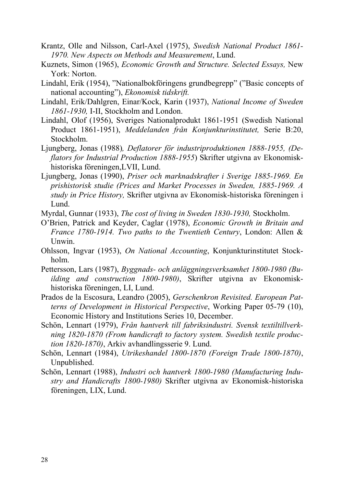- Krantz, Olle and Nilsson, Carl-Axel (1975), *Swedish National Product 1861- 1970. New Aspects on Methods and Measurement*, Lund.
- Kuznets, Simon (1965), *Economic Growth and Structure. Selected Essays,* New York: Norton.
- Lindahl, Erik (1954), "Nationalbokföringens grundbegrepp" ("Basic concepts of national accounting"), *Ekonomisk tidskrift.*
- Lindahl, Erik/Dahlgren, Einar/Kock, Karin (1937), *National Income of Sweden 1861-1930,* I-II, Stockholm and London.
- Lindahl, Olof (1956), Sveriges Nationalprodukt 1861-1951 (Swedish National Product 1861-1951), *Meddelanden från Konjunkturinstitutet,* Serie B:20, Stockholm.
- Ljungberg, Jonas (1988)*, Deflatorer för industriproduktionen 1888-1955, (Deflators for Industrial Production 1888-1955*) Skrifter utgivna av Ekonomiskhistoriska föreningen,LVII, Lund.
- Ljungberg, Jonas (1990), *Priser och marknadskrafter i Sverige 1885-1969. En prishistorisk studie (Prices and Market Processes in Sweden, 1885-1969. A study in Price History,* Skrifter utgivna av Ekonomisk-historiska föreningen i Lund.
- Myrdal, Gunnar (1933), *The cost of living in Sweden 1830-1930,* Stockholm.
- O'Brien, Patrick and Keyder, Caglar (1978), *Economic Growth in Britain and France 1780-1914. Two paths to the Twentieth Century*, London: Allen & Unwin.
- Ohlsson, Ingvar (1953), *On National Accounting*, Konjunkturinstitutet Stockholm.
- Pettersson, Lars (1987), *Byggnads- och anläggningsverksamhet 1800-1980 (Building and construction 1800-1980)*, Skrifter utgivna av Ekonomiskhistoriska föreningen, LI, Lund.
- Prados de la Escosura, Leandro (2005), *Gerschenkron Revisited. European Patterns of Development in Historical Perspective*, Working Paper 05-79 (10), Economic History and Institutions Series 10, December.
- Schön, Lennart (1979), *Från hantverk till fabriksindustri. Svensk textiltillverkning 1820-1870 (From handicraft to factory system. Swedish textile production 1820-1870)*, Arkiv avhandlingsserie 9. Lund.
- Schön, Lennart (1984), *Utrikeshandel 1800-1870 (Foreign Trade 1800-1870)*, Unpublished.
- Schön, Lennart (1988), *Industri och hantverk 1800-1980 (Manufacturing Industry and Handicrafts 1800-1980)* Skrifter utgivna av Ekonomisk-historiska föreningen, LIX, Lund.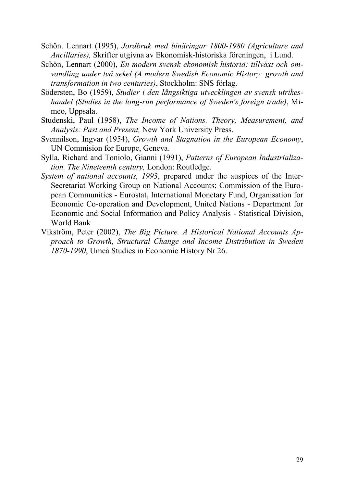- Schön. Lennart (1995), *Jordbruk med binäringar 1800-1980 (Agriculture and Ancillaries),* Skrifter utgivna av Ekonomisk-historiska föreningen, i Lund.
- Schön, Lennart (2000), *En modern svensk ekonomisk historia: tillväxt och omvandling under två sekel (A modern Swedish Economic History: growth and transformation in two centuries)*, Stockholm: SNS förlag.
- Södersten, Bo (1959), *Studier i den långsiktiga utvecklingen av svensk utrikeshandel (Studies in the long-run performance of Sweden's foreign trade)*, Mimeo, Uppsala.
- Studenski, Paul (1958), *The Income of Nations. Theory, Measurement, and Analysis: Past and Present,* New York University Press.
- Svennilson, Ingvar (1954), *Growth and Stagnation in the European Economy*, UN Commision for Europe, Geneva.
- Sylla, Richard and Toniolo, Gianni (1991), *Patterns of European Industrialization. The Nineteenth century,* London: Routledge.
- *System of national accounts, 1993*, prepared under the auspices of the Inter-Secretariat Working Group on National Accounts; Commission of the European Communities - Eurostat, International Monetary Fund, Organisation for Economic Co-operation and Development, United Nations - Department for Economic and Social Information and Policy Analysis - Statistical Division, World Bank
- Vikström, Peter (2002), *The Big Picture. A Historical National Accounts Approach to Growth, Structural Change and Income Distribution in Sweden 1870-1990*, Umeå Studies in Economic History Nr 26.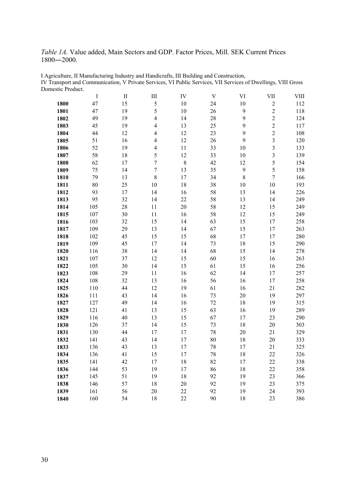*Table 1A.* Value added, Main Sectors and GDP. Factor Prices, Mill. SEK Current Prices ―2000.

|      | $\bf{I}$ | $\rm II$ | $\rm III$                | IV     | $\mathbf V$ | VI           | VII                     | VIII |
|------|----------|----------|--------------------------|--------|-------------|--------------|-------------------------|------|
| 1800 | 47       | 15       | 5                        | 10     | 24          | 10           | $\overline{c}$          | 112  |
| 1801 | 47       | 19       | 5                        | 10     | 26          | 9            | $\overline{c}$          | 118  |
| 1802 | 49       | 19       | $\overline{4}$           | 14     | 28          | $\mathbf{9}$ | $\overline{c}$          | 124  |
| 1803 | 45       | 19       | $\overline{\mathcal{L}}$ | 13     | 25          | $\mathbf{9}$ | $\overline{c}$          | 117  |
| 1804 | 44       | 12       | $\overline{\mathbf{4}}$  | 12     | 23          | 9            | $\overline{c}$          | 108  |
| 1805 | 51       | 16       | $\overline{\mathcal{L}}$ | 12     | 26          | 9            | $\overline{\mathbf{3}}$ | 120  |
| 1806 | 52       | 19       | 4                        | $11\,$ | 33          | 10           | $\overline{\mathbf{3}}$ | 133  |
| 1807 | 58       | 18       | 5                        | 12     | 33          | 10           | $\overline{\mathbf{3}}$ | 139  |
| 1808 | 62       | 17       | $\sqrt{ }$               | 8      | 42          | 12           | 5                       | 154  |
| 1809 | 75       | 14       | $\boldsymbol{7}$         | 13     | 35          | $\mathbf{9}$ | 5                       | 158  |
| 1810 | 79       | 13       | $\,$ $\,$                | 17     | 34          | $\,8\,$      | $\overline{7}$          | 166  |
| 1811 | $80\,$   | 25       | 10                       | 18     | 38          | 10           | $10\,$                  | 193  |
| 1812 | 93       | 17       | 14                       | 16     | 58          | 13           | 14                      | 226  |
| 1813 | 95       | 32       | 14                       | 22     | 58          | 13           | 14                      | 249  |
| 1814 | 105      | 28       | 11                       | 20     | 58          | 12           | 15                      | 249  |
| 1815 | 107      | 30       | 11                       | 16     | 58          | 12           | 15                      | 249  |
| 1816 | 103      | 32       | 15                       | 14     | 63          | 15           | 17                      | 258  |
| 1817 | 109      | 29       | 13                       | 14     | 67          | 15           | 17                      | 263  |
| 1818 | 102      | 45       | 15                       | 15     | 68          | 17           | 17                      | 280  |
| 1819 | 109      | 45       | 17                       | 14     | 73          | $18\,$       | 15                      | 290  |
| 1820 | 116      | 38       | 14                       | 14     | 68          | 15           | 14                      | 278  |
| 1821 | 107      | 37       | 12                       | 15     | 60          | 15           | 16                      | 263  |
| 1822 | 105      | 30       | 14                       | 15     | 61          | 15           | 16                      | 256  |
| 1823 | 108      | 29       | 11                       | 16     | 62          | 14           | 17                      | 257  |
| 1824 | 108      | 32       | 13                       | 16     | 56          | 16           | 17                      | 258  |
| 1825 | 110      | 44       | 12                       | 19     | 61          | 16           | 21                      | 282  |
| 1826 | 111      | 43       | 14                       | 16     | 73          | 20           | 19                      | 297  |
| 1827 | 127      | 49       | 14                       | 16     | $72\,$      | 18           | 19                      | 315  |
| 1828 | 121      | 41       | 13                       | 15     | 63          | 16           | 19                      | 289  |
| 1829 | 116      | 40       | 13                       | 15     | 67          | 17           | 23                      | 290  |
| 1830 | 126      | 37       | 14                       | 15     | 73          | 18           | $20\,$                  | 303  |
| 1831 | 130      | 44       | 17                       | 17     | 78          | 20           | 21                      | 329  |
| 1832 | 141      | 43       | 14                       | 17     | 80          | 18           | 20                      | 333  |
| 1833 | 136      | 43       | 13                       | 17     | 78          | 17           | 21                      | 325  |
| 1834 | 136      | 41       | 15                       | 17     | 78          | 18           | 22                      | 326  |
| 1835 | 141      | 42       | 17                       | 18     | 82          | 17           | 22                      | 338  |
| 1836 | 144      | 53       | 19                       | 17     | 86          | 18           | 22                      | 358  |
| 1837 | 145      | 51       | 19                       | 18     | 92          | 19           | 23                      | 366  |
| 1838 | 146      | 57       | 18                       | 20     | 92          | 19           | 23                      | 375  |
| 1839 | 161      | 56       | 20                       | 22     | 92          | 19           | 24                      | 393  |
| 1840 | 160      | 54       | 18                       | 22     | 90          | 18           | 23                      | 386  |

I Agriculture, II Manufacturing Industry and Handicrafts, III Building and Construction, IV Transport and Communication, V Private Services, VI Public Services, VII Services of Dwellings, VIII Gross Domestic Product.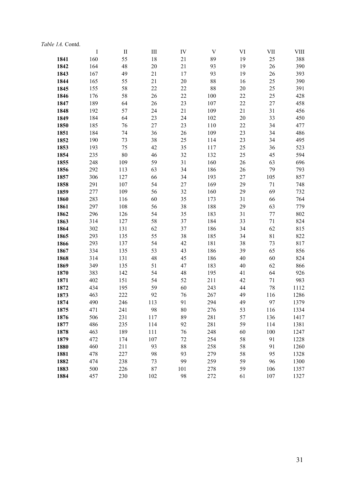| Table 1A. Contd. |         |          |           |     |             |        |             |      |
|------------------|---------|----------|-----------|-----|-------------|--------|-------------|------|
|                  | $\bf I$ | $\rm II$ | $\rm III$ | IV  | $\mathbf V$ | VI     | VII         | VIII |
| 1841             | 160     | 55       | 18        | 21  | 89          | 19     | 25          | 388  |
| 1842             | 164     | 48       | 20        | 21  | 93          | 19     | 26          | 390  |
| 1843             | 167     | 49       | 21        | 17  | 93          | 19     | 26          | 393  |
| 1844             | 165     | 55       | 21        | 20  | 88          | 16     | 25          | 390  |
| 1845             | 155     | 58       | 22        | 22  | 88          | 20     | 25          | 391  |
| 1846             | 176     | 58       | 26        | 22  | 100         | 22     | 25          | 428  |
| 1847             | 189     | 64       | 26        | 23  | 107         | 22     | 27          | 458  |
| 1848             | 192     | 57       | 24        | 21  | 109         | 21     | 31          | 456  |
| 1849             | 184     | 64       | 23        | 24  | 102         | $20\,$ | 33          | 450  |
| 1850             | 185     | 76       | 27        | 23  | 110         | 22     | 34          | 477  |
| 1851             | 184     | 74       | 36        | 26  | 109         | 23     | 34          | 486  |
| 1852             | 190     | 73       | 38        | 25  | 114         | 23     | 34          | 495  |
| 1853             | 193     | 75       | 42        | 35  | 117         | 25     | 36          | 523  |
| 1854             | 235     | 80       | 46        | 32  | 132         | 25     | 45          | 594  |
| 1855             | 248     | 109      | 59        | 31  | 160         | 26     | 63          | 696  |
| 1856             | 292     | 113      | 63        | 34  | 186         | 26     | 79          | 793  |
| 1857             | 306     | 127      | 66        | 34  | 193         | 27     | 105         | 857  |
| 1858             | 291     | 107      | 54        | 27  | 169         | 29     | 71          | 748  |
| 1859             | 277     | 109      | 56        | 32  | 160         | 29     | 69          | 732  |
| 1860             | 283     | 116      | 60        | 35  | 173         | 31     | 66          | 764  |
| 1861             | 297     | 108      | 56        | 38  | 188         | 29     | 63          | 779  |
| 1862             | 296     | 126      | 54        | 35  | 183         | 31     | 77          | 802  |
| 1863             | 314     | 127      | 58        | 37  | 184         | 33     | 71          | 824  |
| 1864             | 302     | 131      | 62        | 37  | 186         | 34     | 62          | 815  |
| 1865             | 293     | 135      | 55        | 38  | 185         | 34     | $8\sqrt{1}$ | 822  |
| 1866             | 293     | 137      | 54        | 42  | 181         | 38     | 73          | 817  |
| 1867             | 334     | 135      | 53        | 43  | 186         | 39     | 65          | 856  |
| 1868             | 314     | 131      | 48        | 45  | 186         | 40     | 60          | 824  |
| 1869             | 349     | 135      | 51        | 47  | 183         | 40     | 62          | 866  |
| 1870             | 383     | 142      | 54        | 48  | 195         | 41     | 64          | 926  |
| 1871             | 402     | 151      | 54        | 52  | 211         | 42     | 71          | 983  |
| 1872             | 434     | 195      | 59        | 60  | 243         | 44     | 78          | 1112 |
| 1873             | 463     | 222      | 92        | 76  | 267         | 49     | 116         | 1286 |
| 1874             | 490     | 246      | 113       | 91  | 294         | 49     | 97          | 1379 |
| 1875             | 471     | 241      | 98        | 80  | 276         | 53     | 116         | 1334 |
| 1876             | 506     | 231      | 117       | 89  | 281         | 57     | 136         | 1417 |
| 1877             | 486     | 235      | 114       | 92  | 281         | 59     | 114         | 1381 |
| 1878             | 463     | 189      | 111       | 76  | 248         | 60     | 100         | 1247 |
| 1879             | 472     | 174      | 107       | 72  | 254         | 58     | 91          | 1228 |
| 1880             | 460     | 211      | 93        | 88  | 258         | 58     | 91          | 1260 |
| 1881             | 478     | 227      | 98        | 93  | 279         | 58     | 95          | 1328 |
| 1882             | 474     | 238      | 73        | 99  | 259         | 59     | 96          | 1300 |
| 1883             | 500     | 226      | 87        | 101 | 278         | 59     | 106         | 1357 |
| 1884             | 457     | 230      | 102       | 98  | 272         | 61     | 107         | 1327 |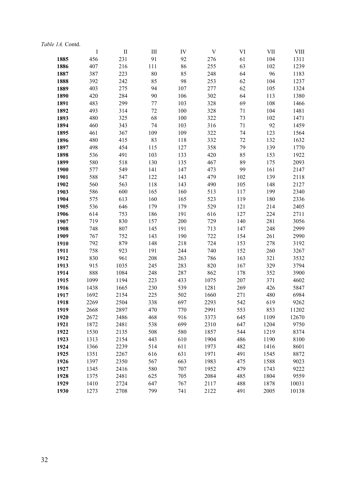#### *Table 1A.* Contd.

|      | $\bf{I}$ | $\mathbf{I}$ | Ш      | IV  | V    | VI  | <b>VII</b> | VIII  |
|------|----------|--------------|--------|-----|------|-----|------------|-------|
| 1885 | 456      | 231          | 91     | 92  | 276  | 61  | 104        | 1311  |
| 1886 | 407      | 216          | 111    | 86  | 255  | 63  | 102        | 1239  |
| 1887 | 387      | 223          | $80\,$ | 85  | 248  | 64  | 96         | 1183  |
| 1888 | 392      | 242          | 85     | 98  | 253  | 62  | 104        | 1237  |
| 1889 | 403      | 275          | 94     | 107 | 277  | 62  | 105        | 1324  |
| 1890 | 420      | 284          | 90     | 106 | 302  | 64  | 113        | 1380  |
| 1891 | 483      | 299          | 77     | 103 | 328  | 69  | 108        | 1466  |
| 1892 | 493      | 314          | 72     | 100 | 328  | 71  | 104        | 1481  |
| 1893 | 480      | 325          | 68     | 100 | 322  | 73  | 102        | 1471  |
| 1894 | 460      | 343          | 74     | 103 | 316  | 71  | 92         | 1459  |
| 1895 | 461      | 367          | 109    | 109 | 322  | 74  | 123        | 1564  |
| 1896 | 480      | 415          | 83     | 118 | 332  | 72  | 132        | 1632  |
| 1897 | 498      | 454          | 115    | 127 | 358  | 79  | 139        | 1770  |
| 1898 | 536      | 491          | 103    | 133 | 420  | 85  | 153        | 1922  |
| 1899 | 580      | 518          | 130    | 135 | 467  | 89  | 175        | 2093  |
| 1900 | 577      | 549          | 141    | 147 | 473  | 99  | 161        | 2147  |
| 1901 | 588      | 547          | 122    | 143 | 479  | 102 | 139        | 2118  |
| 1902 | 560      | 563          | 118    | 143 | 490  | 105 | 148        | 2127  |
| 1903 | 586      | 600          | 165    | 160 | 513  | 117 | 199        | 2340  |
| 1904 | 575      | 613          | 160    | 165 | 523  | 119 | 180        | 2336  |
| 1905 | 536      | 646          | 179    | 179 | 529  | 121 | 214        | 2405  |
| 1906 | 614      | 753          | 186    | 191 | 616  | 127 | 224        | 2711  |
| 1907 | 719      | 830          | 157    | 200 | 729  | 140 | 281        | 3056  |
| 1908 | 748      | 807          | 145    | 191 | 713  | 147 | 248        | 2999  |
| 1909 | 767      | 752          | 143    | 190 | 722  | 154 | 261        | 2990  |
| 1910 | 792      | 879          | 148    | 218 | 724  | 153 | 278        | 3192  |
| 1911 | 758      | 923          | 191    | 244 | 740  | 152 | 260        | 3267  |
| 1912 | 830      | 961          | 208    | 263 | 786  | 163 | 321        | 3532  |
| 1913 | 915      | 1035         | 245    | 283 | 820  | 167 | 329        | 3794  |
| 1914 | 888      | 1084         | 248    | 287 | 862  | 178 | 352        | 3900  |
| 1915 | 1099     | 1194         | 223    | 433 | 1075 | 207 | 371        | 4602  |
| 1916 | 1438     | 1665         | 230    | 539 | 1281 | 269 | 426        | 5847  |
| 1917 | 1692     | 2154         | 225    | 502 | 1660 | 271 | 480        | 6984  |
| 1918 | 2269     | 2504         | 338    | 697 | 2293 | 542 | 619        | 9262  |
| 1919 | 2668     | 2897         | 470    | 770 | 2991 | 553 | 853        | 11202 |
| 1920 | 2672     | 3486         | 468    | 916 | 3373 | 645 | 1109       | 12670 |
| 1921 | 1872     | 2481         | 538    | 699 | 2310 | 647 | 1204       | 9750  |
| 1922 | 1530     | 2135         | 508    | 580 | 1857 | 544 | 1219       | 8374  |
| 1923 | 1313     | 2154         | 443    | 610 | 1904 | 486 | 1190       | 8100  |
| 1924 | 1366     | 2239         | 514    | 611 | 1973 | 482 | 1416       | 8601  |
| 1925 | 1351     | 2267         | 616    | 631 | 1971 | 491 | 1545       | 8872  |
| 1926 | 1397     | 2350         | 567    | 663 | 1983 | 475 | 1588       | 9023  |
| 1927 | 1345     | 2416         | 580    | 707 | 1952 | 479 | 1743       | 9222  |
| 1928 | 1375     | 2481         | 625    | 705 | 2084 | 485 | 1804       | 9559  |
| 1929 | 1410     | 2724         | 647    | 767 | 2117 | 488 | 1878       | 10031 |
| 1930 | 1273     | 2708         | 799    | 741 | 2122 | 491 | 2005       | 10138 |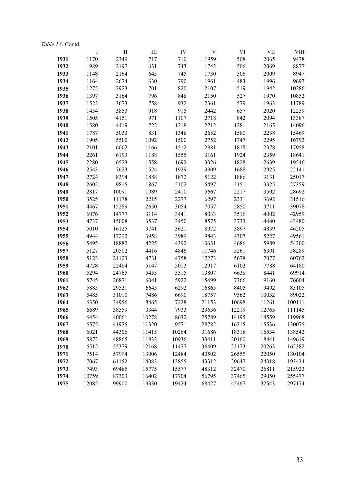| Table 1A. Contd. |              |                |              |              |                |              |              |                |
|------------------|--------------|----------------|--------------|--------------|----------------|--------------|--------------|----------------|
|                  | $\bf I$      | $\mathbf{I}$   | Ш            | IV           | V              | VI           | VII          | VIII           |
| 1931             | 1170         | 2349           | 717          | 710          | 1959           | 508          | 2065         | 9478           |
| 1932             | 989          | 2197           | 631          | 743          | 1742           | 506          | 2069         | 8877           |
| 1933             | 1148         | 2164           | 645          | 745          | 1730           | 506          | 2009         | 8947           |
| 1934             | 1164         | 2674           | 630          | 790          | 1961           | 483          | 1996         | 9697           |
| 1935             | 1275         | 2923           | 701          | 820          | 2107           | 519          | 1942         | 10286          |
| 1936             | 1397         | 3164           | 796          | 848          | 2150           | 527          | 1970         | 10852          |
| 1937             | 1522         | 3673           | 758          | 932          | 2361           | 579          | 1963         | 11789          |
| 1938             | 1454         | 3853           | 918          | 915          | 2442           | 657          | 2020         | 12259          |
| 1939             | 1505         | 4151           | 971          | 1107         | 2718           | 842          | 2094         | 13387          |
| 1940             | 1580         | 4419           | 722          | 1218         | 2712           | 1281         | 2165         | 14096          |
| 1941             | 1787         | 5033           | 831          | 1348         | 2652           | 1580         | 2238         | 15469          |
| 1942             | 1905         | 5500           | 1092         | 1500         | 2752           | 1747         | 2295         | 16792          |
| 1943             | 2101         | 6002           | 1166         | 1512         | 2981           | 1818         | 2378         | 17958          |
| 1944             | 2261         | 6193           | 1188         | 1555         | 3161           | 1924         | 2359         | 18641          |
| 1945             | 2280         | 6523           | 1558         | 1692         | 3026           | 1828         | 2639         | 19546          |
| 1946             | 2543         | 7623           | 1524         | 1929         | 3909           | 1688         | 2925         | 22141          |
| 1947             | 2724         | 8394           | 1888         | 1872         | 5122           | 1886         | 3131         | 25017          |
| 1948             | 2602         | 9815           | 1867         | 2102         | 5497           | 2151         | 3325         | 27359          |
| 1949             | 2817         | 10091          | 1989         | 2410         | 5667           | 2217         | 3502         | 28692          |
| 1950             | 3525         | 11178          | 2215         | 2277         | 6297           | 2331         | 3692         | 31516          |
| 1951             | 4467         | 15289          | 2650         | 3054         | 7057           | 2850         | 3711         | 39078          |
| 1952             | 6076         | 14777          | 3114         | 3441         | 8033           | 3516         | 4002         | 42959          |
| 1953             | 4737         | 15008          | 3537         | 3450         | 8575           | 3733         | 4440         | 43480          |
| 1954             | 5010         | 16125          | 3741         | 3621         | 8972           | 3897         | 4839         | 46205          |
| 1955             | 4944         | 17292          | 3958         | 3989         | 9843           | 4307         | 5227         | 49561          |
| 1956             | 5495         | 18882          | 4225         | 4392         | 10631          | 4686         | 5989         | 54300          |
| 1957             | 5127         | 20502          | 4416         | 4846         | 11746          | 5261         | 6391         | 58289          |
| 1958             | 5123         | 21123<br>22484 | 4731         | 4758         | 12273          | 5678         | 7077<br>7788 | 60762          |
| 1959<br>1960     | 4728<br>5294 | 24765          | 5147<br>5453 | 5013<br>5515 | 12917<br>13807 | 6102<br>6638 | 8441         | 64180<br>69914 |
| 1961             | 5745         | 26871          | 6041         | 5922         | 15499          | 7366         | 9160         | 76604          |
| 1962             | 5885         | 29521          | 6645         | 6292         | 16865          | 8405         | 9492         | 83105          |
| 1963             | 5485         | 31010          | 7486         | 6690         | 18757          | 9562         | 10032        | 89022          |
| 1964             | 6350         | 34956          | 8465         | 7228         | 21153          | 10698        | 11261        | 100111         |
| 1965             | 6689         | 38559          | 9344         | 7933         | 23636          | 12219        | 12765        | 111145         |
| 1966             | 6454         | 40061          | 10278        | 8632         | 25789          | 14195        | 14559        | 119968         |
| 1967             | 6575         | 41975          | 11320        | 9571         | 28782          | 16315        | 15536        | 130075         |
| 1968             | 6021         | 44306          | 11415        | 10264        | 31686          | 18318        | 16534        | 138542         |
| 1969             | 5872         | 48865          | 11933        | 10936        | 33411          | 20160        | 18441        | 149619         |
| 1970             | 6512         | 55379          | 12168        | 11477        | 36409          | 23173        | 20263        | 165382         |
| 1971             | 7514         | 57994          | 13006        | 12484        | 40502          | 26555        | 22050        | 180104         |
| 1972             | 7067         | 61152          | 14083        | 13855        | 43312          | 29647        | 24318        | 193434         |
| 1973             | 7493         | 69485          | 15775        | 15577        | 48312          | 32470        | 26811        | 215923         |
| 1974             | 10759        | 87303          | 16402        | 17704        | 56795          | 37465        | 29050        | 255477         |
| 1975             | 12085        | 99900          | 19330        | 19424        | 68427          | 45467        | 32543        | 297174         |
|                  |              |                |              |              |                |              |              |                |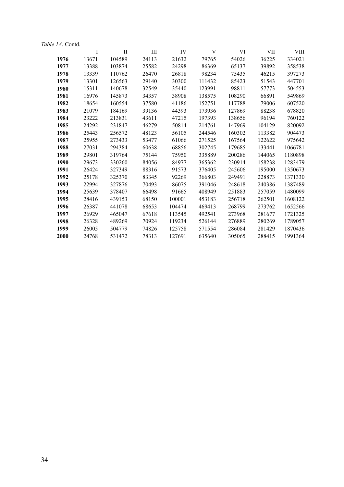| Table 1A. Contd. |       |          |       |        |        |        |            |             |
|------------------|-------|----------|-------|--------|--------|--------|------------|-------------|
|                  | I     | $\rm II$ | III   | IV     | V      | VI     | <b>VII</b> | <b>VIII</b> |
| 1976             | 13671 | 104589   | 24113 | 21632  | 79765  | 54026  | 36225      | 334021      |
| 1977             | 13388 | 103874   | 25582 | 24298  | 86369  | 65137  | 39892      | 358538      |
| 1978             | 13339 | 110762   | 26470 | 26818  | 98234  | 75435  | 46215      | 397273      |
| 1979             | 13301 | 126563   | 29140 | 30300  | 111432 | 85423  | 51543      | 447701      |
| 1980             | 15311 | 140678   | 32549 | 35440  | 123991 | 98811  | 57773      | 504553      |
| 1981             | 16976 | 145873   | 34357 | 38908  | 138575 | 108290 | 66891      | 549869      |
| 1982             | 18654 | 160554   | 37580 | 41186  | 152751 | 117788 | 79006      | 607520      |
| 1983             | 21079 | 184169   | 39136 | 44393  | 173936 | 127869 | 88238      | 678820      |
| 1984             | 23222 | 213831   | 43611 | 47215  | 197393 | 138656 | 96194      | 760122      |
| 1985             | 24292 | 231847   | 46279 | 50814  | 214761 | 147969 | 104129     | 820092      |
| 1986             | 25443 | 256572   | 48123 | 56105  | 244546 | 160302 | 113382     | 904473      |
| 1987             | 25955 | 273433   | 53477 | 61066  | 271525 | 167564 | 122622     | 975642      |
| 1988             | 27031 | 294384   | 60638 | 68856  | 302745 | 179685 | 133441     | 1066781     |
| 1989             | 29801 | 319764   | 75144 | 75950  | 335889 | 200286 | 144065     | 1180898     |
| 1990             | 29673 | 330260   | 84056 | 84977  | 365362 | 230914 | 158238     | 1283479     |
| 1991             | 26424 | 327349   | 88316 | 91573  | 376405 | 245606 | 195000     | 1350673     |
| 1992             | 25178 | 325370   | 83345 | 92269  | 366803 | 249491 | 228873     | 1371330     |
| 1993             | 22994 | 327876   | 70493 | 86075  | 391046 | 248618 | 240386     | 1387489     |
| 1994             | 25639 | 378407   | 66498 | 91665  | 408949 | 251883 | 257059     | 1480099     |
| 1995             | 28416 | 439153   | 68150 | 100001 | 453183 | 256718 | 262501     | 1608122     |
| 1996             | 26387 | 441078   | 68653 | 104474 | 469413 | 268799 | 273762     | 1652566     |
| 1997             | 26929 | 465047   | 67618 | 113545 | 492541 | 273968 | 281677     | 1721325     |
| 1998             | 26328 | 489269   | 70924 | 119234 | 526144 | 276889 | 280269     | 1789057     |
| 1999             | 26005 | 504779   | 74826 | 125758 | 571554 | 286084 | 281429     | 1870436     |
| 2000             | 24768 | 531472   | 78313 | 127691 | 635640 | 305065 | 288415     | 1991364     |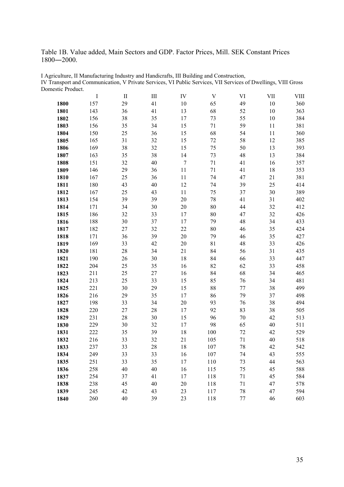Table 1B. Value added, Main Sectors and GDP. Factor Prices, Mill. SEK Constant Prices ―2000.

|      | I   | $\mathop{\mathrm{II}}\nolimits$ | Ш  | IV               | V      | VI     | VII | <b>VIII</b> |
|------|-----|---------------------------------|----|------------------|--------|--------|-----|-------------|
| 1800 | 157 | 29                              | 41 | 10               | 65     | 49     | 10  | 360         |
| 1801 | 143 | 36                              | 41 | 13               | 68     | 52     | 10  | 363         |
| 1802 | 156 | 38                              | 35 | 17               | 73     | 55     | 10  | 384         |
| 1803 | 156 | 35                              | 34 | 15               | 71     | 59     | 11  | 381         |
| 1804 | 150 | 25                              | 36 | 15               | 68     | 54     | 11  | 360         |
| 1805 | 165 | 31                              | 32 | 15               | $72\,$ | 58     | 12  | 385         |
| 1806 | 169 | 38                              | 32 | 15               | 75     | 50     | 13  | 393         |
| 1807 | 163 | 35                              | 38 | 14               | 73     | 48     | 13  | 384         |
| 1808 | 151 | 32                              | 40 | $\boldsymbol{7}$ | 71     | 41     | 16  | 357         |
| 1809 | 146 | 29                              | 36 | 11               | 71     | 41     | 18  | 353         |
| 1810 | 167 | 25                              | 36 | 11               | 74     | 47     | 21  | 381         |
| 1811 | 180 | 43                              | 40 | 12               | 74     | 39     | 25  | 414         |
| 1812 | 167 | 25                              | 43 | 11               | 75     | 37     | 30  | 389         |
| 1813 | 154 | 39                              | 39 | 20               | 78     | 41     | 31  | 402         |
| 1814 | 171 | 34                              | 30 | 20               | 80     | 44     | 32  | 412         |
| 1815 | 186 | 32                              | 33 | 17               | 80     | 47     | 32  | 426         |
| 1816 | 188 | 30                              | 37 | 17               | 79     | 48     | 34  | 433         |
| 1817 | 182 | 27                              | 32 | 22               | 80     | 46     | 35  | 424         |
| 1818 | 171 | 36                              | 39 | 20               | 79     | 46     | 35  | 427         |
| 1819 | 169 | 33                              | 42 | 20               | 81     | 48     | 33  | 426         |
| 1820 | 181 | 28                              | 34 | 21               | 84     | 56     | 31  | 435         |
| 1821 | 190 | 26                              | 30 | 18               | 84     | 66     | 33  | 447         |
| 1822 | 204 | 25                              | 35 | 16               | 82     | 62     | 33  | 458         |
| 1823 | 211 | 25                              | 27 | 16               | 84     | 68     | 34  | 465         |
| 1824 | 213 | 25                              | 33 | 15               | 85     | 76     | 34  | 481         |
| 1825 | 221 | 30                              | 29 | 15               | 88     | 77     | 38  | 499         |
| 1826 | 216 | 29                              | 35 | 17               | 86     | 79     | 37  | 498         |
| 1827 | 198 | 33                              | 34 | 20               | 93     | 76     | 38  | 494         |
| 1828 | 220 | $27\,$                          | 28 | 17               | 92     | 83     | 38  | 505         |
| 1829 | 231 | 28                              | 30 | 15               | 96     | $70\,$ | 42  | 513         |
| 1830 | 229 | 30                              | 32 | 17               | 98     | 65     | 40  | 511         |
| 1831 | 222 | 35                              | 39 | 18               | 100    | $72\,$ | 42  | 529         |
| 1832 | 216 | 33                              | 32 | 21               | 105    | 71     | 40  | 518         |
| 1833 | 237 | 33                              | 28 | 18               | 107    | 78     | 42  | 542         |
| 1834 | 249 | 33                              | 33 | 16               | 107    | 74     | 43  | 555         |
| 1835 | 251 | 33                              | 35 | 17               | 110    | 73     | 44  | 563         |
| 1836 | 258 | 40                              | 40 | 16               | 115    | 75     | 45  | 588         |
| 1837 | 254 | 37                              | 41 | 17               | 118    | 71     | 45  | 584         |
| 1838 | 238 | 45                              | 40 | 20               | 118    | 71     | 47  | 578         |
| 1839 | 245 | 42                              | 43 | 23               | 117    | 78     | 47  | 594         |
| 1840 | 260 | 40                              | 39 | 23               | 118    | 77     | 46  | 603         |

I Agriculture, II Manufacturing Industry and Handicrafts, III Building and Construction, IV Transport and Communication, V Private Services, VI Public Services, VII Services of Dwellings, VIII Gross Domestic Product.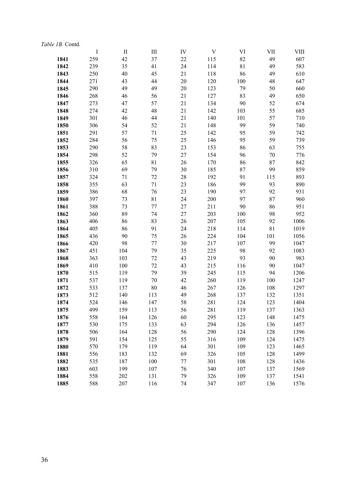|      | $\mathbf I$ | $\;$ II | III         | IV     | V   | VI          | VII    | VIII |
|------|-------------|---------|-------------|--------|-----|-------------|--------|------|
| 1841 | 259         | 42      | 37          | 22     | 115 | 82          | 49     | 607  |
| 1842 | 239         | 35      | 41          | 24     | 114 | $8\sqrt{1}$ | 49     | 583  |
| 1843 | 250         | 40      | 45          | 21     | 118 | 86          | 49     | 610  |
| 1844 | 271         | 43      | 44          | $20\,$ | 120 | 100         | 48     | 647  |
| 1845 | 290         | 49      | 49          | 20     | 123 | 79          | 50     | 660  |
| 1846 | 268         | 46      | 56          | 21     | 127 | 83          | 49     | 650  |
| 1847 | 273         | 47      | 57          | 21     | 134 | 90          | 52     | 674  |
| 1848 | 274         | 42      | 48          | 21     | 142 | 103         | 55     | 685  |
| 1849 | 301         | 46      | 44          | 21     | 140 | 101         | 57     | 710  |
| 1850 | 306         | 54      | 52          | 21     | 148 | 99          | 59     | 740  |
| 1851 | 291         | 57      | 71          | 25     | 142 | 95          | 59     | 742  |
| 1852 | 284         | 56      | 75          | 25     | 146 | 95          | 59     | 739  |
| 1853 | 290         | 58      | 83          | 23     | 153 | 86          | 63     | 755  |
| 1854 | 298         | 52      | 79          | 27     | 154 | 96          | $70\,$ | 776  |
| 1855 | 326         | 65      | 81          | 26     | 170 | 86          | 87     | 842  |
| 1856 | 310         | 69      | 79          | 30     | 185 | 87          | 99     | 859  |
| 1857 | 324         | 71      | 72          | 28     | 192 | 91          | 115    | 893  |
| 1858 | 355         | 63      | $71\,$      | 23     | 186 | 99          | 93     | 890  |
| 1859 | 386         | 68      | 76          | 23     | 190 | 97          | 92     | 931  |
| 1860 | 397         | 73      | $8\sqrt{1}$ | 24     | 200 | 97          | 87     | 960  |
| 1861 | 388         | 73      | 77          | 27     | 211 | 90          | 86     | 951  |
| 1862 | 360         | 89      | 74          | 27     | 203 | 100         | 98     | 952  |
| 1863 | 406         | 86      | 83          | 26     | 207 | 105         | 92     | 1006 |
| 1864 | 405         | 86      | 91          | 24     | 218 | 114         | 81     | 1019 |
| 1865 | 436         | 90      | 75          | 26     | 224 | 104         | 101    | 1056 |
| 1866 | 420         | 98      | 77          | 30     | 217 | 107         | 99     | 1047 |
| 1867 | 451         | 104     | 79          | 35     | 225 | 98          | 92     | 1083 |
| 1868 | 363         | 103     | 72          | 43     | 219 | 93          | 90     | 983  |
| 1869 | 410         | 100     | 72          | 43     | 215 | 116         | 90     | 1047 |
| 1870 | 515         | 119     | 79          | 39     | 245 | 115         | 94     | 1206 |
| 1871 | 537         | 119     | 70          | 42     | 260 | 119         | 100    | 1247 |
| 1872 | 533         | 137     | 80          | 46     | 267 | 126         | 108    | 1297 |
| 1873 | 512         | 140     | 113         | 49     | 268 | 137         | 132    | 1351 |
| 1874 | 524         | 146     | 147         | 58     | 281 | 124         | 123    | 1404 |
| 1875 | 499         | 159     | 113         | 56     | 281 | 119         | 137    | 1363 |
| 1876 | 558         | 164     | 126         | 60     | 295 | 123         | 148    | 1475 |
| 1877 | 530         | 175     | 133         | 63     | 294 | 126         | 136    | 1457 |
| 1878 | 506         | 164     | 128         | 56     | 290 | 124         | 128    | 1396 |
| 1879 | 591         | 154     | 125         | 55     | 316 | 109         | 124    | 1475 |
| 1880 | 570         | 179     | 119         | 64     | 301 | 109         | 123    | 1465 |
| 1881 | 556         | 183     | 132         | 69     | 326 | 105         | 128    | 1499 |
| 1882 | 535         | 187     | 100         | 77     | 301 | 108         | 128    | 1436 |
| 1883 | 603         | 199     | 107         | 76     | 340 | 107         | 137    | 1569 |
| 1884 | 558         | 202     | 131         | 79     | 326 | 109         | 137    | 1541 |
| 1885 | 588         | 207     | 116         | 74     | 347 | 107         | 136    | 1576 |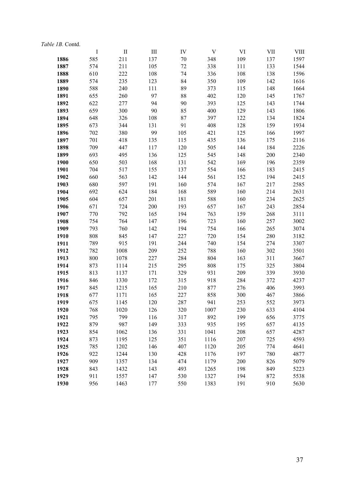|      | $\bf{I}$ | $\mathbf{I}$ | III | IV  | V    | VI  | <b>VII</b> | VIII |
|------|----------|--------------|-----|-----|------|-----|------------|------|
| 1886 | 585      | 211          | 137 | 70  | 348  | 109 | 137        | 1597 |
| 1887 | 574      | 211          | 105 | 72  | 338  | 111 | 133        | 1544 |
| 1888 | 610      | 222          | 108 | 74  | 336  | 108 | 138        | 1596 |
| 1889 | 574      | 235          | 123 | 84  | 350  | 109 | 142        | 1616 |
| 1890 | 588      | 240          | 111 | 89  | 373  | 115 | 148        | 1664 |
| 1891 | 655      | 260          | 97  | 88  | 402  | 120 | 145        | 1767 |
| 1892 | 622      | 277          | 94  | 90  | 393  | 125 | 143        | 1744 |
| 1893 | 659      | 300          | 90  | 85  | 400  | 129 | 143        | 1806 |
| 1894 | 648      | 326          | 108 | 87  | 397  | 122 | 134        | 1824 |
| 1895 | 673      | 344          | 131 | 91  | 408  | 128 | 159        | 1934 |
| 1896 | 702      | 380          | 99  | 105 | 421  | 125 | 166        | 1997 |
| 1897 | 701      | 418          | 135 | 115 | 435  | 136 | 175        | 2116 |
| 1898 | 709      | 447          | 117 | 120 | 505  | 144 | 184        | 2226 |
| 1899 | 693      | 495          | 136 | 125 | 545  | 148 | 200        | 2340 |
| 1900 | 650      | 503          | 168 | 131 | 542  | 169 | 196        | 2359 |
| 1901 | 704      | 517          | 155 | 137 | 554  | 166 | 183        | 2415 |
| 1902 | 660      | 563          | 142 | 144 | 561  | 152 | 194        | 2415 |
| 1903 | 680      | 597          | 191 | 160 | 574  | 167 | 217        | 2585 |
| 1904 | 692      | 624          | 184 | 168 | 589  | 160 | 214        | 2631 |
| 1905 | 604      | 657          | 201 | 181 | 588  | 160 | 234        | 2625 |
| 1906 | 671      | 724          | 200 | 193 | 657  | 167 | 243        | 2854 |
| 1907 | 770      | 792          | 165 | 194 | 763  | 159 | 268        | 3111 |
| 1908 | 754      | 764          | 147 | 196 | 723  | 160 | 257        | 3002 |
| 1909 | 793      | 760          | 142 | 194 | 754  | 166 | 265        | 3074 |
| 1910 | 808      | 845          | 147 | 227 | 720  | 154 | 280        | 3182 |
| 1911 | 789      | 915          | 191 | 244 | 740  | 154 | 274        | 3307 |
| 1912 | 782      | 1008         | 209 | 252 | 788  | 160 | 302        | 3501 |
| 1913 | 800      | 1078         | 227 | 284 | 804  | 163 | 311        | 3667 |
| 1914 | 873      | 1114         | 215 | 295 | 808  | 175 | 325        | 3804 |
| 1915 | 813      | 1137         | 171 | 329 | 931  | 209 | 339        | 3930 |
| 1916 | 846      | 1330         | 172 | 315 | 918  | 284 | 372        | 4237 |
| 1917 | 845      | 1215         | 165 | 210 | 877  | 276 | 406        | 3993 |
| 1918 | 677      | 1171         | 165 | 227 | 858  | 300 | 467        | 3866 |
| 1919 | 675      | 1145         | 120 | 287 | 941  | 253 | 552        | 3973 |
| 1920 | 768      | 1020         | 126 | 320 | 1007 | 230 | 633        | 4104 |
| 1921 | 795      | 799          | 116 | 317 | 892  | 199 | 656        | 3775 |
| 1922 | 879      | 987          | 149 | 333 | 935  | 195 | 657        | 4135 |
| 1923 | 854      | 1062         | 136 | 331 | 1041 | 208 | 657        | 4287 |
| 1924 | 873      | 1195         | 125 | 351 | 1116 | 207 | 725        | 4593 |
| 1925 | 785      | 1202         | 146 | 407 | 1120 | 205 | 774        | 4641 |
| 1926 | 922      | 1244         | 130 | 428 | 1176 | 197 | 780        | 4877 |
| 1927 | 909      | 1357         | 134 | 474 | 1179 | 200 | 826        | 5079 |
| 1928 | 843      | 1432         | 143 | 493 | 1265 | 198 | 849        | 5223 |
| 1929 | 911      | 1557         | 147 | 530 | 1327 | 194 | 872        | 5538 |
| 1930 | 956      | 1463         | 177 | 550 | 1383 | 191 | 910        | 5630 |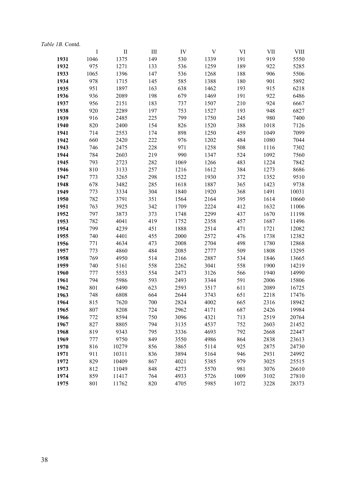| <i>Table 1B.</i> Contd. |      |                                 |           |      |      |      |            |       |
|-------------------------|------|---------------------------------|-----------|------|------|------|------------|-------|
|                         | I    | $\mathop{\mathrm{II}}\nolimits$ | $\rm III$ | IV   | V    | VI   | <b>VII</b> | VIII  |
| 1931                    | 1046 | 1375                            | 149       | 530  | 1339 | 191  | 919        | 5550  |
| 1932                    | 975  | 1271                            | 133       | 536  | 1259 | 189  | 922        | 5285  |
| 1933                    | 1065 | 1396                            | 147       | 536  | 1268 | 188  | 906        | 5506  |
| 1934                    | 978  | 1715                            | 145       | 585  | 1388 | 180  | 901        | 5892  |
| 1935                    | 951  | 1897                            | 163       | 638  | 1462 | 193  | 915        | 6218  |
| 1936                    | 936  | 2089                            | 198       | 679  | 1469 | 191  | 922        | 6486  |
| 1937                    | 956  | 2151                            | 183       | 737  | 1507 | 210  | 924        | 6667  |
| 1938                    | 920  | 2289                            | 197       | 753  | 1527 | 193  | 948        | 6827  |
| 1939                    | 916  | 2485                            | 225       | 799  | 1750 | 245  | 980        | 7400  |
| 1940                    | 820  | 2400                            | 154       | 826  | 1520 | 388  | 1018       | 7126  |
| 1941                    | 714  | 2553                            | 174       | 898  | 1250 | 459  | 1049       | 7099  |
| 1942                    | 660  | 2420                            | 222       | 976  | 1202 | 484  | 1080       | 7044  |
| 1943                    | 746  | 2475                            | 228       | 971  | 1258 | 508  | 1116       | 7302  |
| 1944                    | 784  | 2603                            | 219       | 990  | 1347 | 524  | 1092       | 7560  |
| 1945                    | 793  | 2723                            | 282       | 1069 | 1266 | 483  | 1224       | 7842  |
| 1946                    | 810  | 3133                            | 257       | 1216 | 1612 | 384  | 1273       | 8686  |
| 1947                    | 773  | 3265                            | 298       | 1522 | 1930 | 372  | 1352       | 9510  |
| 1948                    | 678  | 3482                            | 285       | 1618 | 1887 | 365  | 1423       | 9738  |
| 1949                    | 773  | 3334                            | 304       | 1840 | 1920 | 368  | 1491       | 10031 |
| 1950                    | 782  | 3791                            | 351       | 1564 | 2164 | 395  | 1614       | 10660 |
| 1951                    | 763  | 3925                            | 342       | 1709 | 2224 | 412  | 1632       | 11006 |
| 1952                    | 797  | 3873                            | 373       | 1748 | 2299 | 437  | 1670       | 11198 |
| 1953                    | 782  | 4041                            | 419       | 1752 | 2358 | 457  | 1687       | 11496 |
| 1954                    | 799  | 4239                            | 451       | 1888 | 2514 | 471  | 1721       | 12082 |
| 1955                    | 740  | 4401                            | 455       | 2000 | 2572 | 476  | 1738       | 12382 |
| 1956                    | 771  | 4634                            | 473       | 2008 | 2704 | 498  | 1780       | 12868 |
| 1957                    | 773  | 4860                            | 484       | 2085 | 2777 | 509  | 1808       | 13295 |
| 1958                    | 769  | 4950                            | 514       | 2166 | 2887 | 534  | 1846       | 13665 |
| 1959                    | 740  | 5161                            | 558       | 2262 | 3041 | 558  | 1900       | 14219 |
| 1960                    | 777  | 5553                            | 554       | 2473 | 3126 | 566  | 1940       | 14990 |
| 1961                    | 794  | 5986                            | 593       | 2493 | 3344 | 591  | 2006       | 15806 |
| 1962                    | 801  | 6490                            | 623       | 2593 | 3517 | 611  | 2089       | 16725 |
| 1963                    | 748  | 6808                            | 664       | 2644 | 3743 | 651  | 2218       | 17476 |
| 1964                    | 815  | 7620                            | 700       | 2824 | 4002 | 665  | 2316       | 18942 |
| 1965                    | 807  | 8208                            | 724       | 2962 | 4171 | 687  | 2426       | 19984 |
| 1966                    | 772  | 8594                            | 750       | 3096 | 4321 | 713  | 2519       | 20764 |
| 1967                    | 827  | 8805                            | 794       | 3135 | 4537 | 752  | 2603       | 21452 |
| 1968                    | 819  | 9343                            | 795       | 3336 | 4693 | 792  | 2668       | 22447 |
| 1969                    | 777  | 9750                            | 849       | 3550 | 4986 | 864  | 2838       | 23613 |
| 1970                    | 816  | 10279                           | 856       | 3865 | 5114 | 925  | 2875       | 24730 |
| 1971                    | 911  | 10311                           | 836       | 3894 | 5164 | 946  | 2931       | 24992 |
| 1972                    | 829  | 10409                           | 867       | 4021 | 5385 | 979  | 3025       | 25515 |
| 1973                    | 812  | 11049                           | 848       | 4273 | 5570 | 981  | 3076       | 26610 |
| 1974                    | 859  | 11417                           | 764       | 4933 | 5726 | 1009 | 3102       | 27810 |
| 1975                    | 801  | 11762                           | 820       | 4705 | 5985 | 1072 | 3228       | 28373 |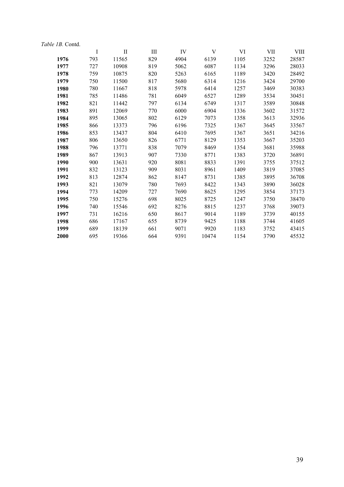| Table 1B. Contd. |         |              |           |      |       |      |            |       |
|------------------|---------|--------------|-----------|------|-------|------|------------|-------|
|                  | $\bf I$ | $\mathbf{I}$ | $\rm III$ | IV   | V     | VI   | <b>VII</b> | VIII  |
| 1976             | 793     | 11565        | 829       | 4904 | 6139  | 1105 | 3252       | 28587 |
| 1977             | 727     | 10908        | 819       | 5062 | 6087  | 1134 | 3296       | 28033 |
| 1978             | 759     | 10875        | 820       | 5263 | 6165  | 1189 | 3420       | 28492 |
| 1979             | 750     | 11500        | 817       | 5680 | 6314  | 1216 | 3424       | 29700 |
| 1980             | 780     | 11667        | 818       | 5978 | 6414  | 1257 | 3469       | 30383 |
| 1981             | 785     | 11486        | 781       | 6049 | 6527  | 1289 | 3534       | 30451 |
| 1982             | 821     | 11442        | 797       | 6134 | 6749  | 1317 | 3589       | 30848 |
| 1983             | 891     | 12069        | 770       | 6000 | 6904  | 1336 | 3602       | 31572 |
| 1984             | 895     | 13065        | 802       | 6129 | 7073  | 1358 | 3613       | 32936 |
| 1985             | 866     | 13373        | 796       | 6196 | 7325  | 1367 | 3645       | 33567 |
| 1986             | 853     | 13437        | 804       | 6410 | 7695  | 1367 | 3651       | 34216 |
| 1987             | 806     | 13650        | 826       | 6771 | 8129  | 1353 | 3667       | 35203 |
| 1988             | 796     | 13771        | 838       | 7079 | 8469  | 1354 | 3681       | 35988 |
| 1989             | 867     | 13913        | 907       | 7330 | 8771  | 1383 | 3720       | 36891 |
| 1990             | 900     | 13631        | 920       | 8081 | 8833  | 1391 | 3755       | 37512 |
| 1991             | 832     | 13123        | 909       | 8031 | 8961  | 1409 | 3819       | 37085 |
| 1992             | 813     | 12874        | 862       | 8147 | 8731  | 1385 | 3895       | 36708 |
| 1993             | 821     | 13079        | 780       | 7693 | 8422  | 1343 | 3890       | 36028 |
| 1994             | 773     | 14209        | 727       | 7690 | 8625  | 1295 | 3854       | 37173 |
| 1995             | 750     | 15276        | 698       | 8025 | 8725  | 1247 | 3750       | 38470 |
| 1996             | 740     | 15546        | 692       | 8276 | 8815  | 1237 | 3768       | 39073 |
| 1997             | 731     | 16216        | 650       | 8617 | 9014  | 1189 | 3739       | 40155 |
| 1998             | 686     | 17167        | 655       | 8739 | 9425  | 1188 | 3744       | 41605 |
| 1999             | 689     | 18139        | 661       | 9071 | 9920  | 1183 | 3752       | 43415 |
| 2000             | 695     | 19366        | 664       | 9391 | 10474 | 1154 | 3790       | 45532 |
|                  |         |              |           |      |       |      |            |       |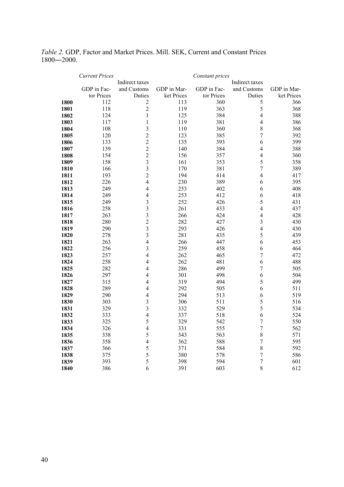*Table 2.* GDP, Factor and Market Prices. Mill. SEK, Current and Constant Prices ―2000.

|              | <b>Current Prices</b> |                         |             | Constant prices |                         |             |
|--------------|-----------------------|-------------------------|-------------|-----------------|-------------------------|-------------|
|              |                       | Indirect taxes          |             |                 | Indirect taxes          |             |
|              | GDP in Fac-           | and Customs             | GDP in Mar- | GDP in Fac-     | and Customs             | GDP in Mar- |
|              | tor Prices            | Duties                  | ket Prices  | tor Prices      | Duties                  | ket Prices  |
| 1800         | 112                   | $\sqrt{2}$              | 113         | 360             | 5                       | 366         |
| 1801         | 118                   | $\overline{c}$          | 119         | 363             | 5                       | 368         |
| 1802         | 124                   | $\mathbf{1}$            | 125         | 384             | $\overline{4}$          | 388         |
| 1803         | 117                   | $\mathbf{1}$            | 119         | 381             | $\overline{4}$          | 386         |
| 1804         | 108                   | $\overline{3}$          | 110         | 360             | 8                       | 368         |
| 1805         | 120                   | $\overline{c}$          | 123         | 385             | $\overline{7}$          | 392         |
| 1806         | 133                   | $\overline{c}$          | 135         | 393             | 6                       | 399         |
| 1807         | 139                   | $\overline{2}$          | 140         | 384             | $\overline{\mathbf{4}}$ | 388         |
| 1808         | 154                   | $\overline{c}$          | 156         | 357             | $\overline{\mathbf{4}}$ | 360         |
| 1809         | 158                   | $\overline{3}$          | 161         | 353             | 5                       | 358         |
| 1810         | 166                   | $\overline{\mathbf{3}}$ | 170         | 381             | $\overline{7}$          | 389         |
| 1811         | 193                   | $\overline{c}$          | 194         | 414             | $\overline{\mathbf{4}}$ | 417         |
| 1812         | 226                   | $\overline{4}$          | 230         | 389             | 6                       | 395         |
| 1813         | 249                   | $\overline{4}$          | 253         | 402             | 6                       | 408         |
| 1814         | 249                   | $\overline{4}$          | 253         | 412             | 6                       | 418         |
| 1815         | 249                   | $\overline{\mathbf{3}}$ | 252         | 426             | 5                       | 431         |
| 1816         | 258                   | $\overline{\mathbf{3}}$ | 261         | 433             | $\overline{\mathbf{4}}$ | 437         |
| 1817         | 263                   | $\overline{\mathbf{3}}$ | 266         | 424             | $\overline{4}$          | 428         |
| 1818         | 280                   | $\overline{2}$          | 282         | 427             | 3                       | 430         |
| 1819         | 290                   | $\overline{\mathbf{3}}$ | 293         | 426             | $\overline{\mathbf{4}}$ | 430         |
| 1820         | 278                   | $\overline{3}$          | 281         | 435             | 5                       | 439         |
| 1821         | 263                   | $\overline{4}$          | 266         | 447             | 6                       | 453         |
| 1822         | 256                   | $\mathfrak{Z}$          | 259         | 458             | 6                       | 464         |
| 1823         | 257                   | $\overline{4}$          | 262         | 465             | $\boldsymbol{7}$        | 472         |
| 1824         | 258                   | $\overline{4}$          | 262         | 481             | 6                       | 488         |
| 1825         | 282                   | $\overline{4}$          | 286         | 499             | $\overline{7}$          | 505         |
| 1826         | 297                   | 4                       | 301         | 498             | 6                       | 504         |
| 1827         | 315<br>289            | 4<br>$\overline{4}$     | 319<br>292  | 494             | 5<br>6                  | 499         |
| 1828         |                       | $\overline{4}$          |             | 505             |                         | 511         |
| 1829         | 290<br>303            | $\overline{3}$          | 294<br>306  | 513<br>511      | 6                       | 519         |
| 1830         | 329                   | $\overline{\mathbf{3}}$ | 332         | 529             | 5<br>5                  | 516<br>534  |
| 1831<br>1832 | 333                   | $\overline{4}$          | 337         | 518             | 6                       | 524         |
| 1833         | 325                   | 5                       | 329         | 542             | $\boldsymbol{7}$        | 550         |
| 1834         | 326                   | $\overline{4}$          | 331         | 555             | 7                       | 562         |
| 1835         | 338                   | 5                       | 343         | 563             | 8                       | 571         |
| 1836         | 358                   | $\overline{4}$          | 362         | 588             | $\overline{7}$          | 595         |
| 1837         | 366                   | 5                       | 371         | 584             | 8                       | 592         |
| 1838         | 375                   | 5                       | 380         | 578             | $\overline{7}$          | 586         |
| 1839         | 393                   | 5                       | 398         | 594             | $\overline{7}$          | 601         |
| 1840         | 386                   | 6                       | 391         | 603             | 8                       | 612         |
|              |                       |                         |             |                 |                         |             |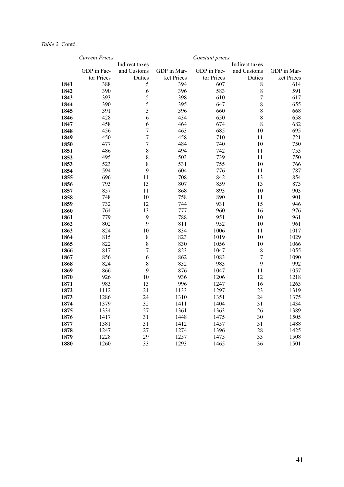|      | <b>Current Prices</b> |                |             | Constant prices |                  |             |
|------|-----------------------|----------------|-------------|-----------------|------------------|-------------|
|      |                       | Indirect taxes |             |                 | Indirect taxes   |             |
|      | GDP in Fac-           | and Customs    | GDP in Mar- | GDP in Fac-     | and Customs      | GDP in Mar- |
|      | tor Prices            | Duties         | ket Prices  | tor Prices      | Duties           | ket Prices  |
| 1841 | 388                   | 5              | 394         | 607             | 8                | 614         |
| 1842 | 390                   | 6              | 396         | 583             | 8                | 591         |
| 1843 | 393                   | 5              | 398         | 610             | $\overline{7}$   | 617         |
| 1844 | 390                   | 5              | 395         | 647             | 8                | 655         |
| 1845 | 391                   | 5              | 396         | 660             | 8                | 668         |
| 1846 | 428                   | 6              | 434         | 650             | 8                | 658         |
| 1847 | 458                   | 6              | 464         | 674             | 8                | 682         |
| 1848 | 456                   | $\overline{7}$ | 463         | 685             | 10               | 695         |
| 1849 | 450                   | $\overline{7}$ | 458         | 710             | 11               | 721         |
| 1850 | 477                   | $\overline{7}$ | 484         | 740             | 10               | 750         |
| 1851 | 486                   | 8              | 494         | 742             | 11               | 753         |
| 1852 | 495                   | 8              | 503         | 739             | 11               | 750         |
| 1853 | 523                   | 8              | 531         | 755             | 10               | 766         |
| 1854 | 594                   | 9              | 604         | 776             | 11               | 787         |
| 1855 | 696                   | 11             | 708         | 842             | 13               | 854         |
| 1856 | 793                   | 13             | 807         | 859             | 13               | 873         |
| 1857 | 857                   | 11             | 868         | 893             | 10               | 903         |
| 1858 | 748                   | 10             | 758         | 890             | 11               | 901         |
| 1859 | 732                   | 12             | 744         | 931             | 15               | 946         |
| 1860 | 764                   | 13             | 777         | 960             | 16               | 976         |
| 1861 | 779                   | 9              | 788         | 951             | 10               | 961         |
| 1862 | 802                   | 9              | 811         | 952             | 10               | 961         |
| 1863 | 824                   | 10             | 834         | 1006            | 11               | 1017        |
| 1864 | 815                   | 8              | 823         | 1019            | 10               | 1029        |
| 1865 | 822                   | 8              | 830         | 1056            | 10               | 1066        |
| 1866 | 817                   | $\overline{7}$ | 823         | 1047            | 8                | 1055        |
| 1867 | 856                   | 6              | 862         | 1083            | $\boldsymbol{7}$ | 1090        |
| 1868 | 824                   | 8              | 832         | 983             | 9                | 992         |
| 1869 | 866                   | 9              | 876         | 1047            | 11               | 1057        |
| 1870 | 926                   | 10             | 936         | 1206            | 12               | 1218        |
| 1871 | 983                   | 13             | 996         | 1247            | 16               | 1263        |
| 1872 | 1112                  | 21             | 1133        | 1297            | 23               | 1319        |
| 1873 | 1286                  | 24             | 1310        | 1351            | 24               | 1375        |
| 1874 | 1379                  | 32             | 1411        | 1404            | 31               | 1434        |
| 1875 | 1334                  | 27             | 1361        | 1363            | 26               | 1389        |
| 1876 | 1417                  | 31             | 1448        | 1475            | 30               | 1505        |
| 1877 | 1381                  | 31             | 1412        | 1457            | 31               | 1488        |
| 1878 | 1247                  | 27             | 1274        | 1396            | 28               | 1425        |
| 1879 | 1228                  | 29             | 1257        | 1475            | 33               | 1508        |
| 1880 | 1260                  | 33             | 1293        | 1465            | 36               | 1501        |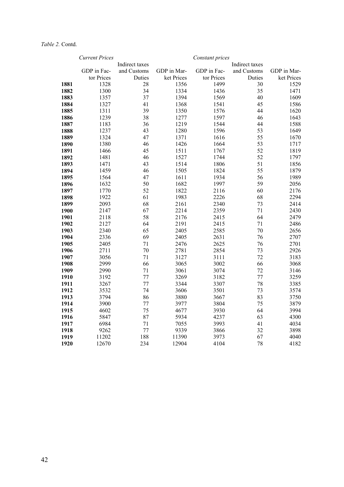|              | <b>Current Prices</b> |                |              | Constant prices |                |              |
|--------------|-----------------------|----------------|--------------|-----------------|----------------|--------------|
|              |                       | Indirect taxes |              |                 | Indirect taxes |              |
|              | GDP in Fac-           | and Customs    | GDP in Mar-  | GDP in Fac-     | and Customs    | GDP in Mar-  |
|              | tor Prices            | Duties         | ket Prices   | tor Prices      | Duties         | ket Prices   |
| 1881         | 1328                  | 28             | 1356         | 1499            | 30             | 1529         |
| 1882         | 1300                  | 34             | 1334         | 1436            | 35             | 1471         |
| 1883         | 1357                  | 37             | 1394         | 1569            | 40             | 1609         |
| 1884         | 1327                  | 41             | 1368         | 1541            | 45             | 1586         |
| 1885         | 1311                  | 39             | 1350         | 1576            | 44             | 1620         |
| 1886         | 1239                  | 38             | 1277         | 1597            | 46             | 1643         |
| 1887         | 1183                  | 36             | 1219         | 1544            | 44             | 1588         |
| 1888         | 1237                  | 43             | 1280         | 1596            | 53             | 1649         |
| 1889         | 1324                  | 47             | 1371         | 1616            | 55             | 1670         |
| 1890         | 1380                  | 46             | 1426         | 1664            | 53             | 1717         |
| 1891         | 1466                  | 45             | 1511         | 1767            | 52             | 1819         |
| 1892         | 1481                  | 46             | 1527         | 1744            | 52             | 1797         |
| 1893         | 1471                  | 43             | 1514         | 1806            | 51             | 1856         |
| 1894         | 1459                  | 46             | 1505         | 1824            | 55             | 1879         |
| 1895         | 1564                  | 47             | 1611         | 1934            | 56             | 1989         |
| 1896         | 1632                  | 50             | 1682         | 1997            | 59             | 2056         |
| 1897         | 1770                  | 52             | 1822         | 2116            | 60             | 2176         |
| 1898         | 1922                  | 61             | 1983         | 2226            | 68             | 2294         |
| 1899         | 2093                  | 68             | 2161         | 2340            | 73             | 2414         |
| 1900         | 2147                  | 67             | 2214         | 2359            | 71             | 2430         |
| 1901         | 2118                  | 58             | 2176         | 2415            | 64             | 2479         |
| 1902         | 2127                  | 64             | 2191         | 2415            | 71             | 2486         |
| 1903         | 2340                  | 65             | 2405         | 2585            | 70             | 2656         |
| 1904         | 2336                  | 69             | 2405         | 2631            | 76             | 2707         |
| 1905         | 2405                  | 71             | 2476         | 2625            | 76             | 2701         |
| 1906         | 2711                  | 70             | 2781         | 2854            | 73             | 2926         |
| 1907         | 3056                  | 71             | 3127         | 3111            | 72             | 3183         |
| 1908         | 2999                  | 66             | 3065         | 3002            | 66             | 3068         |
| 1909         | 2990                  | 71             | 3061         | 3074            | 72             | 3146         |
| 1910         | 3192                  | 77             | 3269         | 3182            | 77             | 3259         |
| 1911         | 3267                  | 77             | 3344         | 3307            | 78             | 3385         |
| 1912         | 3532                  | 74             | 3606         | 3501            | 73             | 3574         |
| 1913         | 3794                  | 86             | 3880         | 3667            | 83             | 3750         |
| 1914<br>1915 | 3900                  | 77             | 3977<br>4677 | 3804            | 75<br>64       | 3879<br>3994 |
|              | 4602                  | 75             |              | 3930            |                |              |
| 1916         | 5847                  | 87             | 5934         | 4237            | 63             | 4300         |
| 1917         | 6984                  | 71             | 7055         | 3993            | 41             | 4034         |
| 1918         | 9262                  | 77             | 9339         | 3866            | 32             | 3898         |
| 1919         | 11202                 | 188            | 11390        | 3973            | 67             | 4040         |
| 1920         | 12670                 | 234            | 12904        | 4104            | 78             | 4182         |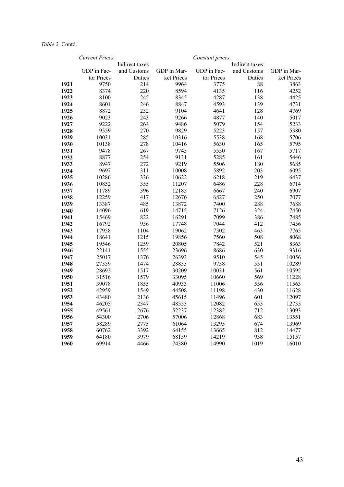|              | <b>Current Prices</b> |                |                | Constant prices |                |                |
|--------------|-----------------------|----------------|----------------|-----------------|----------------|----------------|
|              |                       | Indirect taxes |                |                 | Indirect taxes |                |
|              | GDP in Fac-           | and Customs    | GDP in Mar-    | GDP in Fac-     | and Customs    | GDP in Mar-    |
|              | tor Prices            | Duties         | ket Prices     | tor Prices      | Duties         | ket Prices     |
| 1921         | 9750                  | 214            | 9964           | 3775            | 88             | 3863           |
| 1922         | 8374                  | 220            | 8594           | 4135            | 116            | 4252           |
| 1923         | 8100                  | 245            | 8345           | 4287            | 138            | 4425           |
| 1924         | 8601                  | 246            | 8847           | 4593            | 139            | 4731           |
| 1925         | 8872                  | 232            | 9104           | 4641            | 128            | 4769           |
| 1926         | 9023                  | 243            | 9266           | 4877            | 140            | 5017           |
| 1927         | 9222                  | 264            | 9486           | 5079            | 154            | 5233           |
| 1928         | 9559                  | 270            | 9829           | 5223            | 157            | 5380           |
| 1929         | 10031                 | 285            | 10316          | 5538            | 168            | 5706           |
| 1930         | 10138                 | 278            | 10416          | 5630            | 165            | 5795           |
| 1931         | 9478                  | 267            | 9745           | 5550            | 167            | 5717           |
| 1932         | 8877                  | 254            | 9131           | 5285            | 161            | 5446           |
| 1933         | 8947                  | 272            | 9219           | 5506            | 180            | 5685           |
| 1934         | 9697                  | 311            | 10008          | 5892            | 203            | 6095           |
| 1935         | 10286                 | 336            | 10622          | 6218            | 219            | 6437           |
| 1936         | 10852                 | 355            | 11207          | 6486            | 228            | 6714           |
| 1937         | 11789                 | 396            | 12185          | 6667            | 240            | 6907           |
| 1938         | 12259                 | 417            | 12676          | 6827            | 250            | 7077           |
| 1939         | 13387                 | 485            | 13872          | 7400            | 288            | 7688           |
| 1940         | 14096                 | 619            | 14715          | 7126            | 324            | 7450           |
| 1941         | 15469                 | 822            | 16291          | 7099            | 386            | 7485           |
| 1942         | 16792                 | 956            | 17748          | 7044            | 412            | 7456           |
| 1943         | 17958                 | 1104           | 19062          | 7302            | 463            | 7765           |
| 1944         | 18641                 | 1215           | 19856          | 7560            | 508            | 8068           |
| 1945         | 19546                 | 1259           | 20805          | 7842            | 521            | 8363           |
| 1946         | 22141                 | 1555           | 23696          | 8686            | 630            | 9316           |
| 1947         | 25017                 | 1376           | 26393          | 9510            | 545            | 10056          |
| 1948         | 27359                 | 1474           | 28833          | 9738            | 551            | 10289          |
| 1949         | 28692                 | 1517           | 30209          | 10031           | 561            | 10592          |
| 1950         | 31516                 | 1579           | 33095          | 10660           | 569            | 11228          |
| 1951         | 39078                 | 1855           | 40933          | 11006           | 556            | 11563          |
| 1952         | 42959                 | 1549<br>2136   | 44508          | 11198           | 430<br>601     | 11628          |
| 1953         | 43480                 |                | 45615          | 11496           | 653            | 12097<br>12735 |
| 1954         | 46205                 | 2347           | 48553          | 12082           |                |                |
| 1955         | 49561                 | 2676           | 52237          | 12382           | 712            | 13093          |
| 1956         | 54300                 | 2706           | 57006          | 12868           | 683<br>674     | 13551          |
| 1957<br>1958 | 58289<br>60762        | 2775<br>3392   | 61064<br>64155 | 13295<br>13665  | 812            | 13969<br>14477 |
| 1959         | 64180                 | 3979           | 68159          | 14219           | 938            | 15157          |
|              |                       |                |                |                 |                |                |
| 1960         | 69914                 | 4466           | 74380          | 14990           | 1019           | 16010          |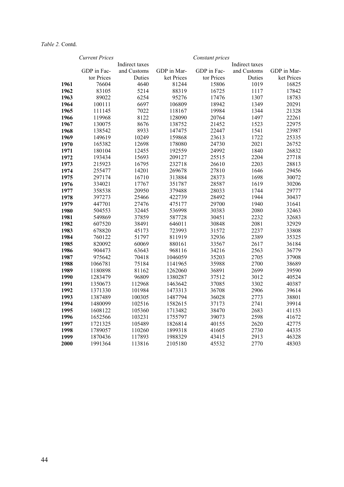|      | <b>Current Prices</b> |                |             | Constant prices |                |             |
|------|-----------------------|----------------|-------------|-----------------|----------------|-------------|
|      |                       | Indirect taxes |             |                 | Indirect taxes |             |
|      | GDP in Fac-           | and Customs    | GDP in Mar- | GDP in Fac-     | and Customs    | GDP in Mar- |
|      | tor Prices            | Duties         | ket Prices  | tor Prices      | Duties         | ket Prices  |
| 1961 | 76604                 | 4640           | 81244       | 15806           | 1019           | 16825       |
| 1962 | 83105                 | 5214           | 88319       | 16725           | 1117           | 17842       |
| 1963 | 89022                 | 6254           | 95276       | 17476           | 1307           | 18783       |
| 1964 | 100111                | 6697           | 106809      | 18942           | 1349           | 20291       |
| 1965 | 111145                | 7022           | 118167      | 19984           | 1344           | 21328       |
| 1966 | 119968                | 8122           | 128090      | 20764           | 1497           | 22261       |
| 1967 | 130075                | 8676           | 138752      | 21452           | 1523           | 22975       |
| 1968 | 138542                | 8933           | 147475      | 22447           | 1541           | 23987       |
| 1969 | 149619                | 10249          | 159868      | 23613           | 1722           | 25335       |
| 1970 | 165382                | 12698          | 178080      | 24730           | 2021           | 26752       |
| 1971 | 180104                | 12455          | 192559      | 24992           | 1840           | 26832       |
| 1972 | 193434                | 15693          | 209127      | 25515           | 2204           | 27718       |
| 1973 | 215923                | 16795          | 232718      | 26610           | 2203           | 28813       |
| 1974 | 255477                | 14201          | 269678      | 27810           | 1646           | 29456       |
| 1975 | 297174                | 16710          | 313884      | 28373           | 1698           | 30072       |
| 1976 | 334021                | 17767          | 351787      | 28587           | 1619           | 30206       |
| 1977 | 358538                | 20950          | 379488      | 28033           | 1744           | 29777       |
| 1978 | 397273                | 25466          | 422739      | 28492           | 1944           | 30437       |
| 1979 | 447701                | 27476          | 475177      | 29700           | 1940           | 31641       |
| 1980 | 504553                | 32445          | 536998      | 30383           | 2080           | 32463       |
| 1981 | 549869                | 37859          | 587728      | 30451           | 2232           | 32683       |
| 1982 | 607520                | 38491          | 646011      | 30848           | 2081           | 32929       |
| 1983 | 678820                | 45173          | 723993      | 31572           | 2237           | 33808       |
| 1984 | 760122                | 51797          | 811919      | 32936           | 2389           | 35325       |
| 1985 | 820092                | 60069          | 880161      | 33567           | 2617           | 36184       |
| 1986 | 904473                | 63643          | 968116      | 34216           | 2563           | 36779       |
| 1987 | 975642                | 70418          | 1046059     | 35203           | 2705           | 37908       |
| 1988 | 1066781               | 75184          | 1141965     | 35988           | 2700           | 38689       |
| 1989 | 1180898               | 81162          | 1262060     | 36891           | 2699           | 39590       |
| 1990 | 1283479               | 96809          | 1380287     | 37512           | 3012           | 40524       |
| 1991 | 1350673               | 112968         | 1463642     | 37085           | 3302           | 40387       |
| 1992 | 1371330               | 101984         | 1473313     | 36708           | 2906           | 39614       |
| 1993 | 1387489               | 100305         | 1487794     | 36028           | 2773           | 38801       |
| 1994 | 1480099               | 102516         | 1582615     | 37173           | 2741           | 39914       |
| 1995 | 1608122               | 105360         | 1713482     | 38470           | 2683           | 41153       |
| 1996 | 1652566               | 103231         | 1755797     | 39073           | 2598           | 41672       |
| 1997 | 1721325               | 105489         | 1826814     | 40155           | 2620           | 42775       |
| 1998 | 1789057               | 110260         | 1899318     | 41605           | 2730           | 44335       |
| 1999 | 1870436               | 117893         | 1988329     | 43415           | 2913           | 46328       |
| 2000 | 1991364               | 113816         | 2105180     | 45532           | 2770           | 48303       |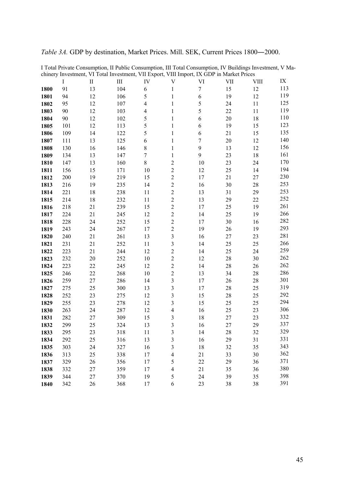|  | <i>Table 3A.</i> GDP by destination, Market Prices. Mill. SEK, Current Prices 1800–2000. |  |  |  |  |  |
|--|------------------------------------------------------------------------------------------|--|--|--|--|--|
|--|------------------------------------------------------------------------------------------|--|--|--|--|--|

|      | enniery mychanen,<br>$\bf{I}$ | $\mathbf{I}$ | Ш   | IV                       | To Your mycomen, The Export, The import, IX ODT in munctine<br>V | VI               | VII | <b>VIII</b> | IX  |
|------|-------------------------------|--------------|-----|--------------------------|------------------------------------------------------------------|------------------|-----|-------------|-----|
| 1800 | 91                            | 13           | 104 | 6                        | $\mathbf{1}$                                                     | $\tau$           | 15  | 12          | 113 |
| 1801 | 94                            | 12           | 106 | 5                        | $\mathbf{1}$                                                     | $\sqrt{6}$       | 19  | 12          | 119 |
| 1802 | 95                            | 12           | 107 | $\overline{\mathcal{L}}$ | $\mathbf{1}$                                                     | 5                | 24  | 11          | 125 |
| 1803 | 90                            | 12           | 103 | $\overline{4}$           | $\mathbf{1}$                                                     | 5                | 22  | 11          | 119 |
| 1804 | 90                            | 12           | 102 | 5                        | $\mathbf{1}$                                                     | 6                | 20  | 18          | 110 |
| 1805 | 101                           | 12           | 113 | 5                        | 1                                                                | 6                | 19  | 15          | 123 |
| 1806 | 109                           | 14           | 122 | 5                        | $\mathbf{1}$                                                     | 6                | 21  | 15          | 135 |
| 1807 | 111                           | 13           | 125 | 6                        | $\mathbf{1}$                                                     | $\boldsymbol{7}$ | 20  | 12          | 140 |
| 1808 | 130                           | 16           | 146 | 8                        | $\mathbf{1}$                                                     | 9                | 13  | 12          | 156 |
|      |                               |              |     | $\overline{7}$           |                                                                  | 9                | 23  | 18          | 161 |
| 1809 | 134                           | 13           | 147 | $\,8\,$                  | $\mathbf{1}$<br>$\overline{c}$                                   |                  | 23  | 24          | 170 |
| 1810 | 147                           | 13           | 160 |                          | $\overline{2}$                                                   | 10               |     |             | 194 |
| 1811 | 156                           | 15           | 171 | 10                       | $\overline{2}$                                                   | 12               | 25  | 14          | 230 |
| 1812 | 200                           | 19           | 219 | 15                       |                                                                  | 17               | 21  | 27          | 253 |
| 1813 | 216                           | 19           | 235 | 14                       | $\overline{2}$                                                   | 16               | 30  | 28          | 253 |
| 1814 | 221                           | 18           | 238 | 11                       | $\overline{c}$                                                   | 13               | 31  | 29          | 252 |
| 1815 | 214                           | 18           | 232 | 11                       | $\overline{c}$                                                   | 13               | 29  | 22          | 261 |
| 1816 | 218                           | 21           | 239 | 15                       | $\overline{c}$                                                   | 17               | 25  | 19          |     |
| 1817 | 224                           | 21           | 245 | 12                       | $\overline{2}$                                                   | 14               | 25  | 19          | 266 |
| 1818 | 228                           | 24           | 252 | 15                       | $\overline{c}$                                                   | 17               | 30  | 16          | 282 |
| 1819 | 243                           | 24           | 267 | 17                       | $\overline{c}$                                                   | 19               | 26  | 19          | 293 |
| 1820 | 240                           | 21           | 261 | 13                       | 3                                                                | 16               | 27  | 23          | 281 |
| 1821 | 231                           | 21           | 252 | 11                       | 3                                                                | 14               | 25  | 25          | 266 |
| 1822 | 223                           | 21           | 244 | 12                       | $\overline{c}$                                                   | 14               | 25  | 24          | 259 |
| 1823 | 232                           | 20           | 252 | 10                       | $\overline{c}$                                                   | 12               | 28  | 30          | 262 |
| 1824 | 223                           | 22           | 245 | 12                       | $\overline{2}$                                                   | 14               | 28  | 26          | 262 |
| 1825 | 246                           | 22           | 268 | 10                       | $\overline{c}$                                                   | 13               | 34  | 28          | 286 |
| 1826 | 259                           | 27           | 286 | 14                       | $\overline{\mathbf{3}}$                                          | 17               | 26  | 28          | 301 |
| 1827 | 275                           | 25           | 300 | 13                       | 3                                                                | 17               | 28  | 25          | 319 |
| 1828 | 252                           | 23           | 275 | 12                       | 3                                                                | 15               | 28  | 25          | 292 |
| 1829 | 255                           | 23           | 278 | 12                       | 3                                                                | 15               | 25  | 25          | 294 |
| 1830 | 263                           | 24           | 287 | 12                       | $\overline{4}$                                                   | 16               | 25  | 23          | 306 |
| 1831 | 282                           | 27           | 309 | 15                       | 3                                                                | 18               | 27  | 23          | 332 |
| 1832 | 299                           | 25           | 324 | 13                       | 3                                                                | 16               | 27  | 29          | 337 |
| 1833 | 295                           | 23           | 318 | 11                       | 3                                                                | 14               | 28  | 32          | 329 |
| 1834 | 292                           | 25           | 316 | 13                       | 3                                                                | 16               | 29  | 31          | 331 |
| 1835 | 303                           | 24           | 327 | 16                       | 3                                                                | 18               | 32  | 35          | 343 |
| 1836 | 313                           | 25           | 338 | 17                       | $\overline{4}$                                                   | 21               | 33  | 30          | 362 |
| 1837 | 329                           | 26           | 356 | 17                       | 5                                                                | 22               | 29  | 36          | 371 |
| 1838 | 332                           | 27           | 359 | 17                       | 4                                                                | 21               | 35  | 36          | 380 |
| 1839 | 344                           | 27           | 370 | 19                       | 5                                                                | 24               | 39  | 35          | 398 |
| 1840 | 342                           | 26           | 368 | 17                       | 6                                                                | 23               | 38  | 38          | 391 |

I Total Private Consumption, II Public Consumption, III Total Consumption, IV Buildings Investment, V Machinery Investment, VI Total Investment, VII Export, VIII Import, IX GDP in Market Prices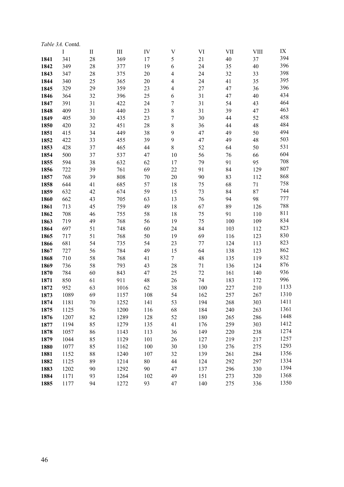|      | <i>Table 3A.</i> Contd. |              |      |     |                |        |     |             |      |
|------|-------------------------|--------------|------|-----|----------------|--------|-----|-------------|------|
|      | I                       | $\mathbf{I}$ | III  | IV  | $\mathbf V$    | VI     | VII | <b>VIII</b> | IX   |
| 1841 | 341                     | 28           | 369  | 17  | 5              | 21     | 40  | 37          | 394  |
| 1842 | 349                     | 28           | 377  | 19  | 6              | 24     | 35  | 40          | 396  |
| 1843 | 347                     | 28           | 375  | 20  | $\overline{4}$ | 24     | 32  | 33          | 398  |
| 1844 | 340                     | 25           | 365  | 20  | $\overline{4}$ | 24     | 41  | 35          | 395  |
| 1845 | 329                     | 29           | 359  | 23  | $\overline{4}$ | 27     | 47  | 36          | 396  |
| 1846 | 364                     | 32           | 396  | 25  | 6              | 31     | 47  | 40          | 434  |
| 1847 | 391                     | 31           | 422  | 24  | 7              | 31     | 54  | 43          | 464  |
| 1848 | 409                     | 31           | 440  | 23  | 8              | 31     | 39  | 47          | 463  |
| 1849 | 405                     | 30           | 435  | 23  | 7              | 30     | 44  | 52          | 458  |
| 1850 | 420                     | 32           | 451  | 28  | $8\,$          | 36     | 44  | 48          | 484  |
| 1851 | 415                     | 34           | 449  | 38  | 9              | 47     | 49  | 50          | 494  |
| 1852 | 422                     | 33           | 455  | 39  | $\mathbf{9}$   | 47     | 49  | 48          | 503  |
| 1853 | 428                     | 37           | 465  | 44  | $\,8\,$        | 52     | 64  | 50          | 531  |
| 1854 | 500                     | 37           | 537  | 47  | 10             | 56     | 76  | 66          | 604  |
| 1855 | 594                     | 38           | 632  | 62  | 17             | 79     | 91  | 95          | 708  |
| 1856 | 722                     | 39           | 761  | 69  | 22             | 91     | 84  | 129         | 807  |
| 1857 | 768                     | 39           | 808  | 70  | 20             | 90     | 83  | 112         | 868  |
| 1858 | 644                     | 41           | 685  | 57  | 18             | 75     | 68  | 71          | 758  |
| 1859 | 632                     | 42           | 674  | 59  | 15             | 73     | 84  | 87          | 744  |
| 1860 | 662                     | 43           | 705  | 63  | 13             | 76     | 94  | 98          | 777  |
| 1861 | 713                     | 45           | 759  | 49  | 18             | 67     | 89  | 126         | 788  |
| 1862 | 708                     | 46           | 755  | 58  | 18             | 75     | 91  | 110         | 811  |
| 1863 | 719                     | 49           | 768  | 56  | 19             | 75     | 100 | 109         | 834  |
| 1864 | 697                     | 51           | 748  | 60  | 24             | 84     | 103 | 112         | 823  |
| 1865 | 717                     | 51           | 768  | 50  | 19             | 69     | 116 | 123         | 830  |
| 1866 | 681                     | 54           | 735  | 54  | 23             | 77     | 124 | 113         | 823  |
| 1867 | 727                     | 56           | 784  | 49  | 15             | 64     | 138 | 123         | 862  |
| 1868 | 710                     | 58           | 768  | 41  | $\tau$         | 48     | 135 | 119         | 832  |
| 1869 | 736                     | 58           | 793  | 43  | 28             | 71     | 136 | 124         | 876  |
| 1870 | 784                     | 60           | 843  | 47  | 25             | $72\,$ | 161 | 140         | 936  |
| 1871 | 850                     | 61           | 911  | 48  | 26             | 74     | 183 | 172         | 996  |
| 1872 | 952                     | 63           | 1016 | 62  | 38             | 100    | 227 | 210         | 1133 |
| 1873 | 1089                    | 69           | 1157 | 108 | 54             | 162    | 257 | 267         | 1310 |
| 1874 | 1181                    | 70           | 1252 | 141 | 53             | 194    | 268 | 303         | 1411 |
| 1875 | 1125                    | 76           | 1200 | 116 | 68             | 184    | 240 | 263         | 1361 |
| 1876 | 1207                    | 82           | 1289 | 128 | 52             | 180    | 265 | 286         | 1448 |
| 1877 | 1194                    | 85           | 1279 | 135 | 41             | 176    | 259 | 303         | 1412 |
| 1878 | 1057                    | 86           | 1143 | 113 | 36             | 149    | 220 | 238         | 1274 |
| 1879 | 1044                    | 85           | 1129 | 101 | 26             | 127    | 219 | 217         | 1257 |
| 1880 | 1077                    | 85           | 1162 | 100 | 30             | 130    | 276 | 275         | 1293 |
| 1881 | 1152                    | 88           | 1240 | 107 | 32             | 139    | 261 | 284         | 1356 |
| 1882 | 1125                    | 89           | 1214 | 80  | 44             | 124    | 292 | 297         | 1334 |
| 1883 | 1202                    | 90           | 1292 | 90  | 47             | 137    | 296 | 330         | 1394 |
| 1884 | 1171                    | 93           | 1264 | 102 | 49             | 151    | 273 | 320         | 1368 |
| 1885 | 1177                    | 94           | 1272 | 93  | 47             | 140    | 275 | 336         | 1350 |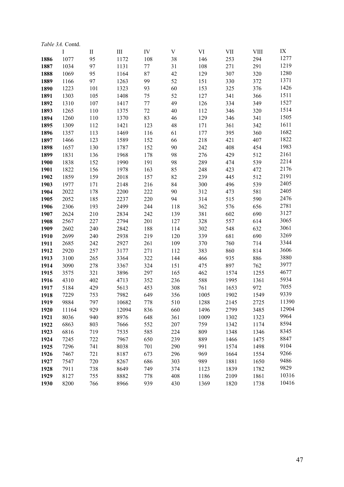|      | <i>Table 3A.</i> Contd. |              |           |        |             |      |                                                   |             |       |  |  |  |
|------|-------------------------|--------------|-----------|--------|-------------|------|---------------------------------------------------|-------------|-------|--|--|--|
|      | I                       | $\mathbf{I}$ | $\rm III$ | IV     | $\mathbf V$ | VI   | $\ensuremath{\mathrm{V}}\ensuremath{\mathrm{II}}$ | <b>VIII</b> | IX    |  |  |  |
| 1886 | 1077                    | 95           | 1172      | 108    | 38          | 146  | 253                                               | 294         | 1277  |  |  |  |
| 1887 | 1034                    | 97           | 1131      | 77     | 31          | 108  | 271                                               | 291         | 1219  |  |  |  |
| 1888 | 1069                    | 95           | 1164      | 87     | 42          | 129  | 307                                               | 320         | 1280  |  |  |  |
| 1889 | 1166                    | 97           | 1263      | 99     | 52          | 151  | 330                                               | 372         | 1371  |  |  |  |
| 1890 | 1223                    | 101          | 1323      | 93     | 60          | 153  | 325                                               | 376         | 1426  |  |  |  |
| 1891 | 1303                    | 105          | 1408      | 75     | 52          | 127  | 341                                               | 366         | 1511  |  |  |  |
| 1892 | 1310                    | 107          | 1417      | 77     | 49          | 126  | 334                                               | 349         | 1527  |  |  |  |
| 1893 | 1265                    | 110          | 1375      | $72\,$ | 40          | 112  | 346                                               | 320         | 1514  |  |  |  |
| 1894 | 1260                    | 110          | 1370      | 83     | 46          | 129  | 346                                               | 341         | 1505  |  |  |  |
| 1895 | 1309                    | 112          | 1421      | 123    | 48          | 171  | 361                                               | 342         | 1611  |  |  |  |
| 1896 | 1357                    | 113          | 1469      | 116    | 61          | 177  | 395                                               | 360         | 1682  |  |  |  |
| 1897 | 1466                    | 123          | 1589      | 152    | 66          | 218  | 421                                               | 407         | 1822  |  |  |  |
| 1898 | 1657                    | 130          | 1787      | 152    | 90          | 242  | 408                                               | 454         | 1983  |  |  |  |
| 1899 | 1831                    | 136          | 1968      | 178    | 98          | 276  | 429                                               | 512         | 2161  |  |  |  |
| 1900 | 1838                    | 152          | 1990      | 191    | 98          | 289  | 474                                               | 539         | 2214  |  |  |  |
| 1901 | 1822                    | 156          | 1978      | 163    | 85          | 248  | 423                                               | 472         | 2176  |  |  |  |
| 1902 | 1859                    | 159          | 2018      | 157    | 82          | 239  | 445                                               | 512         | 2191  |  |  |  |
| 1903 | 1977                    | 171          | 2148      | 216    | 84          | 300  | 496                                               | 539         | 2405  |  |  |  |
| 1904 | 2022                    | 178          | 2200      | 222    | 90          | 312  | 473                                               | 581         | 2405  |  |  |  |
| 1905 | 2052                    | 185          | 2237      | 220    | 94          | 314  | 515                                               | 590         | 2476  |  |  |  |
| 1906 | 2306                    | 193          | 2499      | 244    | 118         | 362  | 576                                               | 656         | 2781  |  |  |  |
| 1907 | 2624                    | 210          | 2834      | 242    | 139         | 381  | 602                                               | 690         | 3127  |  |  |  |
| 1908 | 2567                    | 227          | 2794      | 201    | 127         | 328  | 557                                               | 614         | 3065  |  |  |  |
| 1909 | 2602                    | 240          | 2842      | 188    | 114         | 302  | 548                                               | 632         | 3061  |  |  |  |
| 1910 | 2699                    | 240          | 2938      | 219    | 120         | 339  | 681                                               | 690         | 3269  |  |  |  |
| 1911 | 2685                    | 242          | 2927      | 261    | 109         | 370  | 760                                               | 714         | 3344  |  |  |  |
| 1912 | 2920                    | 257          | 3177      | 271    | 112         | 383  | 860                                               | 814         | 3606  |  |  |  |
| 1913 | 3100                    | 265          | 3364      | 322    | 144         | 466  | 935                                               | 886         | 3880  |  |  |  |
| 1914 | 3090                    | 278          | 3367      | 324    | 151         | 475  | 897                                               | 762         | 3977  |  |  |  |
| 1915 | 3575                    | 321          | 3896      | 297    | 165         | 462  | 1574                                              | 1255        | 4677  |  |  |  |
| 1916 | 4310                    | 402          | 4713      | 352    | 236         | 588  | 1995                                              | 1361        | 5934  |  |  |  |
| 1917 | 5184                    | 429          | 5613      | 453    | 308         | 761  | 1653                                              | 972         | 7055  |  |  |  |
| 1918 | 7229                    | 753          | 7982      | 649    | 356         | 1005 | 1902                                              | 1549        | 9339  |  |  |  |
| 1919 | 9884                    | 797          | 10682     | 778    | 510         | 1288 | 2145                                              | 2725        | 11390 |  |  |  |
| 1920 | 11164                   | 929          | 12094     | 836    | 660         | 1496 | 2799                                              | 3485        | 12904 |  |  |  |
| 1921 | 8036                    | 940          | 8976      | 648    | 361         | 1009 | 1302                                              | 1323        | 9964  |  |  |  |
| 1922 | 6863                    | 803          | 7666      | 552    | 207         | 759  | 1342                                              | 1174        | 8594  |  |  |  |
| 1923 | 6816                    | 719          | 7535      | 585    | 224         | 809  | 1348                                              | 1346        | 8345  |  |  |  |
| 1924 | 7245                    | 722          | 7967      | 650    | 239         | 889  | 1466                                              | 1475        | 8847  |  |  |  |
| 1925 | 7296                    | 741          | 8038      | 701    | 290         | 991  | 1574                                              | 1498        | 9104  |  |  |  |
| 1926 | 7467                    | 721          | 8187      | 673    | 296         | 969  | 1664                                              | 1554        | 9266  |  |  |  |
| 1927 | 7547                    | 720          | 8267      | 686    | 303         | 989  | 1881                                              | 1650        | 9486  |  |  |  |
| 1928 | 7911                    | 738          | 8649      | 749    | 374         | 1123 | 1839                                              | 1782        | 9829  |  |  |  |
| 1929 | 8127                    | 755          | 8882      | 778    | 408         | 1186 | 2109                                              | 1861        | 10316 |  |  |  |
| 1930 | 8200                    | 766          | 8966      | 939    | 430         | 1369 | 1820                                              | 1738        | 10416 |  |  |  |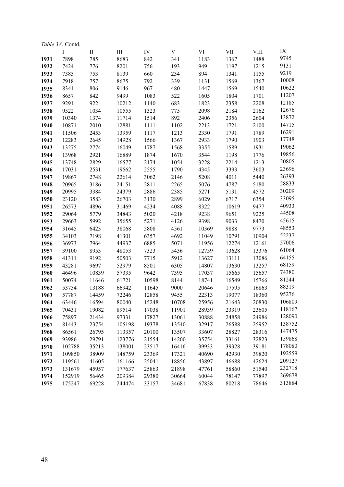| <i>Table 3A.</i> Contd. |        |              |        |       |       |       |       |             |        |  |  |
|-------------------------|--------|--------------|--------|-------|-------|-------|-------|-------------|--------|--|--|
|                         | I      | $\mathbf{I}$ | III    | IV    | V     | VI    | VII   | <b>VIII</b> | IX     |  |  |
| 1931                    | 7898   | 785          | 8683   | 842   | 341   | 1183  | 1367  | 1488        | 9745   |  |  |
| 1932                    | 7424   | 776          | 8201   | 756   | 193   | 949   | 1197  | 1215        | 9131   |  |  |
| 1933                    | 7385   | 753          | 8139   | 660   | 234   | 894   | 1341  | 1155        | 9219   |  |  |
| 1934                    | 7918   | 757          | 8675   | 792   | 339   | 1131  | 1569  | 1367        | 10008  |  |  |
| 1935                    | 8341   | 806          | 9146   | 967   | 480   | 1447  | 1569  | 1540        | 10622  |  |  |
| 1936                    | 8657   | 842          | 9499   | 1083  | 522   | 1605  | 1804  | 1701        | 11207  |  |  |
| 1937                    | 9291   | 922          | 10212  | 1140  | 683   | 1823  | 2358  | 2208        | 12185  |  |  |
| 1938                    | 9522   | 1034         | 10555  | 1323  | 775   | 2098  | 2184  | 2162        | 12676  |  |  |
| 1939                    | 10340  | 1374         | 11714  | 1514  | 892   | 2406  | 2356  | 2604        | 13872  |  |  |
| 1940                    | 10871  | 2010         | 12881  | 1111  | 1102  | 2213  | 1721  | 2100        | 14715  |  |  |
| 1941                    | 11506  | 2453         | 13959  | 1117  | 1213  | 2330  | 1791  | 1789        | 16291  |  |  |
| 1942                    | 12283  | 2645         | 14928  | 1566  | 1367  | 2933  | 1790  | 1903        | 17748  |  |  |
| 1943                    | 13275  | 2774         | 16049  | 1787  | 1568  | 3355  | 1589  | 1931        | 19062  |  |  |
| 1944                    | 13968  | 2921         | 16889  | 1874  | 1670  | 3544  | 1198  | 1776        | 19856  |  |  |
| 1945                    | 13748  | 2829         | 16577  | 2174  | 1054  | 3228  | 2214  | 1213        | 20805  |  |  |
| 1946                    | 17031  | 2531         | 19562  | 2555  | 1790  | 4345  | 3393  | 3603        | 23696  |  |  |
| 1947                    | 19867  | 2748         | 22614  | 3062  | 2146  | 5208  | 4011  | 5440        | 26393  |  |  |
| 1948                    | 20965  | 3186         | 24151  | 2811  | 2265  | 5076  | 4787  | 5180        | 28833  |  |  |
| 1949                    | 20995  | 3384         | 24379  | 2886  | 2385  | 5271  | 5131  | 4572        | 30209  |  |  |
| 1950                    | 23120  | 3583         | 26703  | 3130  | 2899  | 6029  | 6717  | 6354        | 33095  |  |  |
| 1951                    | 26573  | 4896         | 31469  | 4234  | 4088  | 8322  | 10619 | 9477        | 40933  |  |  |
| 1952                    | 29064  | 5779         | 34843  | 5020  | 4218  | 9238  | 9651  | 9225        | 44508  |  |  |
| 1953                    | 29663  | 5992         | 35655  | 5271  | 4126  | 9398  | 9033  | 8470        | 45615  |  |  |
| 1954                    | 31645  | 6423         | 38068  | 5808  | 4561  | 10369 | 9888  | 9773        | 48553  |  |  |
| 1955                    | 34103  | 7198         | 41301  | 6357  | 4692  | 11049 | 10791 | 10904       | 52237  |  |  |
| 1956                    | 36973  | 7964         | 44937  | 6885  | 5071  | 11956 | 12274 | 12161       | 57006  |  |  |
| 1957                    | 39100  | 8953         | 48053  | 7323  | 5436  | 12759 | 13628 | 13376       | 61064  |  |  |
| 1958                    | 41311  | 9192         | 50503  | 7715  | 5912  | 13627 | 13111 | 13086       | 64155  |  |  |
| 1959                    | 43281  | 9697         | 52979  | 8501  | 6305  | 14807 | 13630 | 13257       | 68159  |  |  |
| 1960                    | 46496  | 10839        | 57335  | 9642  | 7395  | 17037 | 15665 | 15657       | 74380  |  |  |
| 1961                    | 50074  | 11646        | 61721  | 10598 | 8144  | 18741 | 16549 | 15766       | 81244  |  |  |
| 1962                    | 53754  | 13188        | 66942  | 11645 | 9000  | 20646 | 17595 | 16863       | 88319  |  |  |
| 1963                    | 57787  | 14459        | 72246  | 12858 | 9455  | 22313 | 19077 | 18360       | 95276  |  |  |
| 1964                    | 63446  | 16594        | 80040  | 15248 | 10708 | 25956 | 21643 | 20830       | 106809 |  |  |
| 1965                    | 70431  | 19082        | 89514  | 17038 | 11901 | 28939 | 23319 | 23605       | 118167 |  |  |
| 1966                    | 75897  | 21434        | 97331  | 17827 | 13061 | 30888 | 24858 | 24986       | 128090 |  |  |
| 1967                    | 81443  | 23754        | 105198 | 19378 | 13540 | 32917 | 26588 | 25952       | 138752 |  |  |
| 1968                    | 86561  | 26795        | 113357 | 20100 | 13507 | 33607 | 28827 | 28316       | 147475 |  |  |
| 1969                    | 93986  | 29791        | 123776 | 21554 | 14200 | 35754 | 33161 | 32823       | 159868 |  |  |
| 1970                    | 102788 | 35213        | 138001 | 23517 | 16416 | 39933 | 39328 | 39181       | 178080 |  |  |
| 1971                    | 109850 | 38909        | 148759 | 23369 | 17321 | 40690 | 42930 | 39820       | 192559 |  |  |
| 1972                    | 119561 | 41605        | 161166 | 25041 | 18856 | 43897 | 46688 | 42624       | 209127 |  |  |
| 1973                    | 131679 | 45957        | 177637 | 25863 | 21898 | 47761 | 58860 | 51540       | 232718 |  |  |
| 1974                    | 152919 | 56465        | 209384 | 29380 | 30664 | 60044 | 78147 | 77897       | 269678 |  |  |
| 1975                    | 175247 | 69228        | 244474 | 33157 | 34681 | 67838 | 80218 | 78646       | 313884 |  |  |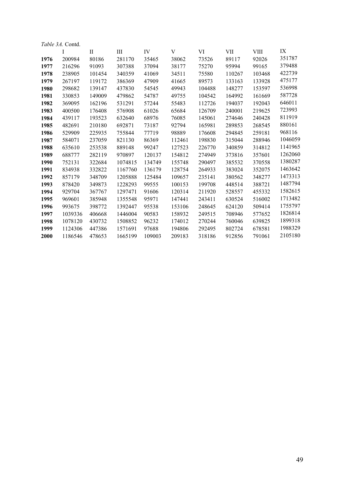|      | <i>Table 3A.</i> Contd. |             |         |        |        |        |        |             |         |  |  |
|------|-------------------------|-------------|---------|--------|--------|--------|--------|-------------|---------|--|--|
|      | Ι                       | $_{\rm II}$ | Ш       | IV     | V      | VI     | VII    | <b>VIII</b> | IX      |  |  |
| 1976 | 200984                  | 80186       | 281170  | 35465  | 38062  | 73526  | 89117  | 92026       | 351787  |  |  |
| 1977 | 216296                  | 91093       | 307388  | 37094  | 38177  | 75270  | 95994  | 99165       | 379488  |  |  |
| 1978 | 238905                  | 101454      | 340359  | 41069  | 34511  | 75580  | 110267 | 103468      | 422739  |  |  |
| 1979 | 267197                  | 119172      | 386369  | 47909  | 41665  | 89573  | 133163 | 133928      | 475177  |  |  |
| 1980 | 298682                  | 139147      | 437830  | 54545  | 49943  | 104488 | 148277 | 153597      | 536998  |  |  |
| 1981 | 330853                  | 149009      | 479862  | 54787  | 49755  | 104542 | 164992 | 161669      | 587728  |  |  |
| 1982 | 369095                  | 162196      | 531291  | 57244  | 55483  | 112726 | 194037 | 192043      | 646011  |  |  |
| 1983 | 400500                  | 176408      | 576908  | 61026  | 65684  | 126709 | 240001 | 219625      | 723993  |  |  |
| 1984 | 439117                  | 193523      | 632640  | 68976  | 76085  | 145061 | 274646 | 240428      | 811919  |  |  |
| 1985 | 482691                  | 210180      | 692871  | 73187  | 92794  | 165981 | 289853 | 268545      | 880161  |  |  |
| 1986 | 529909                  | 225935      | 755844  | 77719  | 98889  | 176608 | 294845 | 259181      | 968116  |  |  |
| 1987 | 584071                  | 237059      | 821130  | 86369  | 112461 | 198830 | 315044 | 288946      | 1046059 |  |  |
| 1988 | 635610                  | 253538      | 889148  | 99247  | 127523 | 226770 | 340859 | 314812      | 1141965 |  |  |
| 1989 | 688777                  | 282119      | 970897  | 120137 | 154812 | 274949 | 373816 | 357601      | 1262060 |  |  |
| 1990 | 752131                  | 322684      | 1074815 | 134749 | 155748 | 290497 | 385532 | 370558      | 1380287 |  |  |
| 1991 | 834938                  | 332822      | 1167760 | 136179 | 128754 | 264933 | 383024 | 352075      | 1463642 |  |  |
| 1992 | 857179                  | 348709      | 1205888 | 125484 | 109657 | 235141 | 380562 | 348277      | 1473313 |  |  |
| 1993 | 878420                  | 349873      | 1228293 | 99555  | 100153 | 199708 | 448514 | 388721      | 1487794 |  |  |
| 1994 | 929704                  | 367767      | 1297471 | 91606  | 120314 | 211920 | 528557 | 455332      | 1582615 |  |  |
| 1995 | 969601                  | 385948      | 1355548 | 95971  | 147441 | 243411 | 630524 | 516002      | 1713482 |  |  |
| 1996 | 993675                  | 398772      | 1392447 | 95538  | 153106 | 248645 | 624120 | 509414      | 1755797 |  |  |
| 1997 | 1039336                 | 406668      | 1446004 | 90583  | 158932 | 249515 | 708946 | 577652      | 1826814 |  |  |
| 1998 | 1078120                 | 430732      | 1508852 | 96232  | 174012 | 270244 | 760046 | 639825      | 1899318 |  |  |
| 1999 | 1124306                 | 447386      | 1571691 | 97688  | 194806 | 292495 | 802724 | 678581      | 1988329 |  |  |
| 2000 | 1186546                 | 478653      | 1665199 | 109003 | 209183 | 318186 | 912856 | 791061      | 2105180 |  |  |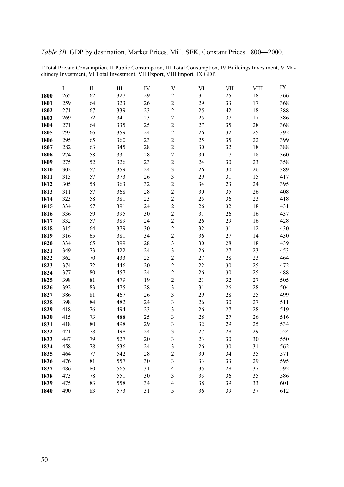I Total Private Consumption, II Public Consumption, III Total Consumption, IV Buildings Investment, V Machinery Investment, VI Total Investment, VII Export, VIII Import, IX GDP.

|      | $\bf{I}$ | $\rm II$ | $\rm III$ | IV | $\mathbf V$    | VI | VII | <b>VIII</b> | IX  |
|------|----------|----------|-----------|----|----------------|----|-----|-------------|-----|
| 1800 | 265      | 62       | 327       | 29 | $\sqrt{2}$     | 31 | 25  | $18\,$      | 366 |
| 1801 | 259      | 64       | 323       | 26 | $\overline{c}$ | 29 | 33  | 17          | 368 |
| 1802 | 271      | 67       | 339       | 23 | $\overline{c}$ | 25 | 42  | 18          | 388 |
| 1803 | 269      | 72       | 341       | 23 | $\overline{c}$ | 25 | 37  | 17          | 386 |
| 1804 | 271      | 64       | 335       | 25 | $\overline{c}$ | 27 | 35  | 28          | 368 |
| 1805 | 293      | 66       | 359       | 24 | $\overline{c}$ | 26 | 32  | 25          | 392 |
| 1806 | 295      | 65       | 360       | 23 | $\overline{c}$ | 25 | 35  | 22          | 399 |
| 1807 | 282      | 63       | 345       | 28 | $\overline{c}$ | 30 | 32  | 18          | 388 |
| 1808 | 274      | 58       | 331       | 28 | $\overline{2}$ | 30 | 17  | 18          | 360 |
| 1809 | 275      | 52       | 326       | 23 | $\overline{c}$ | 24 | 30  | 23          | 358 |
| 1810 | 302      | 57       | 359       | 24 | 3              | 26 | 30  | 26          | 389 |
| 1811 | 315      | 57       | 373       | 26 | 3              | 29 | 31  | 15          | 417 |
| 1812 | 305      | 58       | 363       | 32 | $\overline{c}$ | 34 | 23  | 24          | 395 |
| 1813 | 311      | 57       | 368       | 28 | $\overline{c}$ | 30 | 35  | 26          | 408 |
| 1814 | 323      | 58       | 381       | 23 | $\overline{c}$ | 25 | 36  | 23          | 418 |
| 1815 | 334      | 57       | 391       | 24 | $\overline{c}$ | 26 | 32  | 18          | 431 |
| 1816 | 336      | 59       | 395       | 30 | $\overline{c}$ | 31 | 26  | 16          | 437 |
| 1817 | 332      | 57       | 389       | 24 | $\overline{c}$ | 26 | 29  | 16          | 428 |
| 1818 | 315      | 64       | 379       | 30 | $\overline{c}$ | 32 | 31  | 12          | 430 |
| 1819 | 316      | 65       | 381       | 34 | $\overline{c}$ | 36 | 27  | 14          | 430 |
| 1820 | 334      | 65       | 399       | 28 | 3              | 30 | 28  | 18          | 439 |
| 1821 | 349      | 73       | 422       | 24 | 3              | 26 | 27  | 23          | 453 |
| 1822 | 362      | 70       | 433       | 25 | $\overline{c}$ | 27 | 28  | 23          | 464 |
| 1823 | 374      | 72       | 446       | 20 | $\overline{c}$ | 22 | 30  | 25          | 472 |
| 1824 | 377      | 80       | 457       | 24 | $\overline{c}$ | 26 | 30  | 25          | 488 |
| 1825 | 398      | 81       | 479       | 19 | $\overline{c}$ | 21 | 32  | 27          | 505 |
| 1826 | 392      | 83       | 475       | 28 | 3              | 31 | 26  | 28          | 504 |
| 1827 | 386      | 81       | 467       | 26 | 3              | 29 | 28  | 25          | 499 |
| 1828 | 398      | 84       | 482       | 24 | 3              | 26 | 30  | 27          | 511 |
| 1829 | 418      | 76       | 494       | 23 | 3              | 26 | 27  | 28          | 519 |
| 1830 | 415      | 73       | 488       | 25 | 3              | 28 | 27  | 26          | 516 |
| 1831 | 418      | 80       | 498       | 29 | 3              | 32 | 29  | 25          | 534 |
| 1832 | 421      | 78       | 498       | 24 | 3              | 27 | 28  | 29          | 524 |
| 1833 | 447      | 79       | 527       | 20 | 3              | 23 | 30  | 30          | 550 |
| 1834 | 458      | 78       | 536       | 24 | 3              | 26 | 30  | 31          | 562 |
| 1835 | 464      | 77       | 542       | 28 | $\overline{c}$ | 30 | 34  | 35          | 571 |
| 1836 | 476      | 81       | 557       | 30 | 3              | 33 | 33  | 29          | 595 |
| 1837 | 486      | 80       | 565       | 31 | $\overline{4}$ | 35 | 28  | 37          | 592 |
| 1838 | 473      | 78       | 551       | 30 | 3              | 33 | 36  | 35          | 586 |
| 1839 | 475      | 83       | 558       | 34 | $\overline{4}$ | 38 | 39  | 33          | 601 |
| 1840 | 490      | 83       | 573       | 31 | 5              | 36 | 39  | 37          | 612 |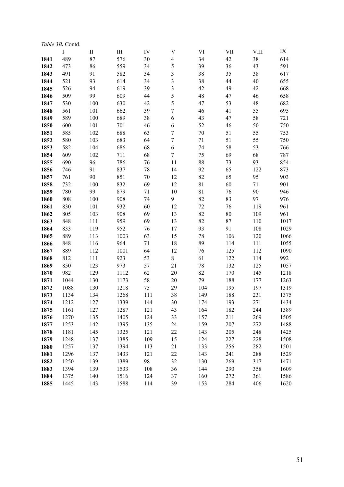|      | <i>Table 3B.</i> Contd. |              |      |     |                         |        |     |             |      |
|------|-------------------------|--------------|------|-----|-------------------------|--------|-----|-------------|------|
|      | I                       | $\mathbf{I}$ | III  | IV  | $\mathbf V$             | VI     | VII | <b>VIII</b> | IX   |
| 1841 | 489                     | 87           | 576  | 30  | $\overline{\mathbf{4}}$ | 34     | 42  | 38          | 614  |
| 1842 | 473                     | 86           | 559  | 34  | 5                       | 39     | 36  | 43          | 591  |
| 1843 | 491                     | 91           | 582  | 34  | 3                       | 38     | 35  | 38          | 617  |
| 1844 | 521                     | 93           | 614  | 34  | 3                       | 38     | 44  | 40          | 655  |
| 1845 | 526                     | 94           | 619  | 39  | 3                       | 42     | 49  | 42          | 668  |
| 1846 | 509                     | 99           | 609  | 44  | 5                       | 48     | 47  | 46          | 658  |
| 1847 | 530                     | 100          | 630  | 42  | 5                       | 47     | 53  | 48          | 682  |
| 1848 | 561                     | 101          | 662  | 39  | $\overline{7}$          | 46     | 41  | 55          | 695  |
| 1849 | 589                     | 100          | 689  | 38  | 6                       | 43     | 47  | 58          | 721  |
| 1850 | 600                     | 101          | 701  | 46  | $\epsilon$              | 52     | 46  | 50          | 750  |
| 1851 | 585                     | 102          | 688  | 63  | $\boldsymbol{7}$        | 70     | 51  | 55          | 753  |
| 1852 | 580                     | 103          | 683  | 64  | $\boldsymbol{7}$        | $71\,$ | 51  | 55          | 750  |
| 1853 | 582                     | 104          | 686  | 68  | 6                       | 74     | 58  | 53          | 766  |
| 1854 | 609                     | 102          | 711  | 68  | $\boldsymbol{7}$        | 75     | 69  | 68          | 787  |
| 1855 | 690                     | 96           | 786  | 76  | 11                      | 88     | 73  | 93          | 854  |
| 1856 | 746                     | 91           | 837  | 78  | 14                      | 92     | 65  | 122         | 873  |
| 1857 | 761                     | 90           | 851  | 70  | 12                      | 82     | 65  | 95          | 903  |
| 1858 | 732                     | 100          | 832  | 69  | 12                      | 81     | 60  | 71          | 901  |
| 1859 | 780                     | 99           | 879  | 71  | 10                      | 81     | 76  | 90          | 946  |
| 1860 | 808                     | 100          | 908  | 74  | 9                       | 82     | 83  | 97          | 976  |
| 1861 | 830                     | 101          | 932  | 60  | 12                      | 72     | 76  | 119         | 961  |
| 1862 | 805                     | 103          | 908  | 69  | 13                      | 82     | 80  | 109         | 961  |
| 1863 | 848                     | 111          | 959  | 69  | 13                      | 82     | 87  | 110         | 1017 |
| 1864 | 833                     | 119          | 952  | 76  | 17                      | 93     | 91  | 108         | 1029 |
| 1865 | 889                     | 113          | 1003 | 63  | 15                      | 78     | 106 | 120         | 1066 |
| 1866 | 848                     | 116          | 964  | 71  | 18                      | 89     | 114 | 111         | 1055 |
| 1867 | 889                     | 112          | 1001 | 64  | 12                      | 76     | 125 | 112         | 1090 |
| 1868 | 812                     | 111          | 923  | 53  | $8\,$                   | 61     | 122 | 114         | 992  |
| 1869 | 850                     | 123          | 973  | 57  | 21                      | 78     | 132 | 125         | 1057 |
| 1870 | 982                     | 129          | 1112 | 62  | 20                      | 82     | 170 | 145         | 1218 |
| 1871 | 1044                    | 130          | 1173 | 58  | 20                      | 79     | 188 | 177         | 1263 |
| 1872 | 1088                    | 130          | 1218 | 75  | 29                      | 104    | 195 | 197         | 1319 |
| 1873 | 1134                    | 134          | 1268 | 111 | 38                      | 149    | 188 | 231         | 1375 |
| 1874 | 1212                    | 127          | 1339 | 144 | 30                      | 174    | 193 | 271         | 1434 |
| 1875 | 1161                    | 127          | 1287 | 121 | 43                      | 164    | 182 | 244         | 1389 |
| 1876 | 1270                    | 135          | 1405 | 124 | 33                      | 157    | 211 | 269         | 1505 |
| 1877 | 1253                    | 142          | 1395 | 135 | 24                      | 159    | 207 | 272         | 1488 |
| 1878 | 1181                    | 145          | 1325 | 121 | 22                      | 143    | 205 | 248         | 1425 |
| 1879 | 1248                    | 137          | 1385 | 109 | 15                      | 124    | 227 | 228         | 1508 |
| 1880 | 1257                    | 137          | 1394 | 113 | 21                      | 133    | 256 | 282         | 1501 |
| 1881 | 1296                    | 137          | 1433 | 121 | 22                      | 143    | 241 | 288         | 1529 |
| 1882 | 1250                    | 139          | 1389 | 98  | 32                      | 130    | 269 | 317         | 1471 |
| 1883 | 1394                    | 139          | 1533 | 108 | 36                      | 144    | 290 | 358         | 1609 |
| 1884 | 1375                    | 140          | 1516 | 124 | 37                      | 160    | 272 | 361         | 1586 |
| 1885 | 1445                    | 143          | 1588 | 114 | 39                      | 153    | 284 | 406         | 1620 |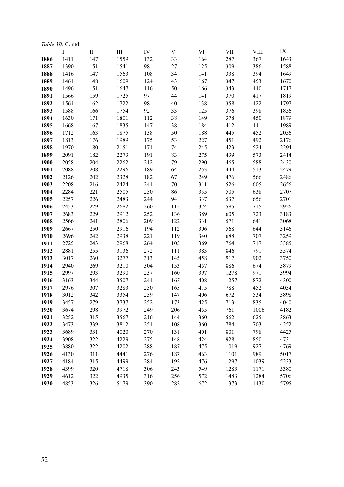| <i>Table 3B.</i> Contd. |      |              |      |     |        |     |      |             |      |  |  |
|-------------------------|------|--------------|------|-----|--------|-----|------|-------------|------|--|--|
|                         | I    | $\mathbf{I}$ | III  | IV  | V      | VI  | VII  | <b>VIII</b> | IX   |  |  |
| 1886                    | 1411 | 147          | 1559 | 132 | 33     | 164 | 287  | 367         | 1643 |  |  |
| 1887                    | 1390 | 151          | 1541 | 98  | $27\,$ | 125 | 309  | 386         | 1588 |  |  |
| 1888                    | 1416 | 147          | 1563 | 108 | 34     | 141 | 338  | 394         | 1649 |  |  |
| 1889                    | 1461 | 148          | 1609 | 124 | 43     | 167 | 347  | 453         | 1670 |  |  |
| 1890                    | 1496 | 151          | 1647 | 116 | 50     | 166 | 343  | 440         | 1717 |  |  |
| 1891                    | 1566 | 159          | 1725 | 97  | 44     | 141 | 370  | 417         | 1819 |  |  |
| 1892                    | 1561 | 162          | 1722 | 98  | 40     | 138 | 358  | 422         | 1797 |  |  |
| 1893                    | 1588 | 166          | 1754 | 92  | 33     | 125 | 376  | 398         | 1856 |  |  |
| 1894                    | 1630 | 171          | 1801 | 112 | 38     | 149 | 378  | 450         | 1879 |  |  |
| 1895                    | 1668 | 167          | 1835 | 147 | 38     | 184 | 412  | 441         | 1989 |  |  |
| 1896                    | 1712 | 163          | 1875 | 138 | 50     | 188 | 445  | 452         | 2056 |  |  |
| 1897                    | 1813 | 176          | 1989 | 175 | 53     | 227 | 451  | 492         | 2176 |  |  |
| 1898                    | 1970 | 180          | 2151 | 171 | 74     | 245 | 423  | 524         | 2294 |  |  |
| 1899                    | 2091 | 182          | 2273 | 191 | 83     | 275 | 439  | 573         | 2414 |  |  |
| 1900                    | 2058 | 204          | 2262 | 212 | 79     | 290 | 465  | 588         | 2430 |  |  |
| 1901                    | 2088 | 208          | 2296 | 189 | 64     | 253 | 444  | 513         | 2479 |  |  |
| 1902                    | 2126 | 202          | 2328 | 182 | 67     | 249 | 476  | 566         | 2486 |  |  |
| 1903                    | 2208 | 216          | 2424 | 241 | 70     | 311 | 526  | 605         | 2656 |  |  |
| 1904                    | 2284 | 221          | 2505 | 250 | 86     | 335 | 505  | 638         | 2707 |  |  |
| 1905                    | 2257 | 226          | 2483 | 244 | 94     | 337 | 537  | 656         | 2701 |  |  |
| 1906                    | 2453 | 229          | 2682 | 260 | 115    | 374 | 585  | 715         | 2926 |  |  |
| 1907                    | 2683 | 229          | 2912 | 252 | 136    | 389 | 605  | 723         | 3183 |  |  |
| 1908                    | 2566 | 241          | 2806 | 209 | 122    | 331 | 571  | 641         | 3068 |  |  |
| 1909                    | 2667 | 250          | 2916 | 194 | 112    | 306 | 568  | 644         | 3146 |  |  |
| 1910                    | 2696 | 242          | 2938 | 221 | 119    | 340 | 688  | 707         | 3259 |  |  |
| 1911                    | 2725 | 243          | 2968 | 264 | 105    | 369 | 764  | 717         | 3385 |  |  |
| 1912                    | 2881 | 255          | 3136 | 272 | 111    | 383 | 846  | 791         | 3574 |  |  |
| 1913                    | 3017 | 260          | 3277 | 313 | 145    | 458 | 917  | 902         | 3750 |  |  |
| 1914                    | 2940 | 269          | 3210 | 304 | 153    | 457 | 886  | 674         | 3879 |  |  |
| 1915                    | 2997 | 293          | 3290 | 237 | 160    | 397 | 1278 | 971         | 3994 |  |  |
| 1916                    | 3163 | 344          | 3507 | 241 | 167    | 408 | 1257 | 872         | 4300 |  |  |
| 1917                    | 2976 | 307          | 3283 | 250 | 165    | 415 | 788  | 452         | 4034 |  |  |
| 1918                    | 3012 | 342          | 3354 | 259 | 147    | 406 | 672  | 534         | 3898 |  |  |
| 1919                    | 3457 | 279          | 3737 | 252 | 173    | 425 | 713  | 835         | 4040 |  |  |
| 1920                    | 3674 | 298          | 3972 | 249 | 206    | 455 | 761  | 1006        | 4182 |  |  |
| 1921                    | 3252 | 315          | 3567 | 216 | 144    | 360 | 562  | 625         | 3863 |  |  |
| 1922                    | 3473 | 339          | 3812 | 251 | 108    | 360 | 784  | 703         | 4252 |  |  |
| 1923                    | 3689 | 331          | 4020 | 270 | 131    | 401 | 801  | 798         | 4425 |  |  |
| 1924                    | 3908 | 322          | 4229 | 275 | 148    | 424 | 928  | 850         | 4731 |  |  |
| 1925                    | 3880 | 322          | 4202 | 288 | 187    | 475 | 1019 | 927         | 4769 |  |  |
| 1926                    | 4130 | 311          | 4441 | 276 | 187    | 463 | 1101 | 989         | 5017 |  |  |
| 1927                    | 4184 | 315          | 4499 | 284 | 192    | 476 | 1297 | 1039        | 5233 |  |  |
| 1928                    | 4399 | 320          | 4718 | 306 | 243    | 549 | 1283 | 1171        | 5380 |  |  |
| 1929                    | 4612 | 322          | 4935 | 316 | 256    | 572 | 1483 | 1284        | 5706 |  |  |
| 1930                    | 4853 | 326          | 5179 | 390 | 282    | 672 | 1373 | 1430        | 5795 |  |  |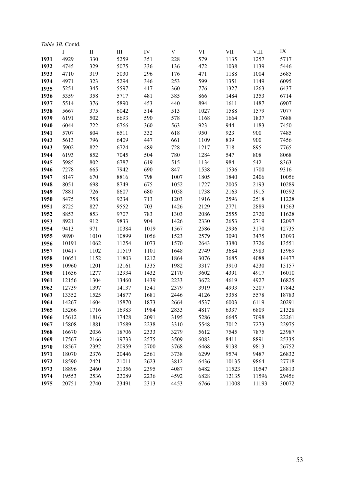|      | <i>Table 3B.</i> Contd. |              |           |      |      |      |       |             |       |
|------|-------------------------|--------------|-----------|------|------|------|-------|-------------|-------|
|      | $\bf{I}$                | $\mathbf{I}$ | $\rm III$ | IV   | V    | VI   | VII   | <b>VIII</b> | IX    |
| 1931 | 4929                    | 330          | 5259      | 351  | 228  | 579  | 1135  | 1257        | 5717  |
| 1932 | 4745                    | 329          | 5075      | 336  | 136  | 472  | 1038  | 1139        | 5446  |
| 1933 | 4710                    | 319          | 5030      | 296  | 176  | 471  | 1188  | 1004        | 5685  |
| 1934 | 4971                    | 323          | 5294      | 346  | 253  | 599  | 1351  | 1149        | 6095  |
| 1935 | 5251                    | 345          | 5597      | 417  | 360  | 776  | 1327  | 1263        | 6437  |
| 1936 | 5359                    | 358          | 5717      | 481  | 385  | 866  | 1484  | 1353        | 6714  |
| 1937 | 5514                    | 376          | 5890      | 453  | 440  | 894  | 1611  | 1487        | 6907  |
| 1938 | 5667                    | 375          | 6042      | 514  | 513  | 1027 | 1588  | 1579        | 7077  |
| 1939 | 6191                    | 502          | 6693      | 590  | 578  | 1168 | 1664  | 1837        | 7688  |
| 1940 | 6044                    | 722          | 6766      | 360  | 563  | 923  | 944   | 1183        | 7450  |
| 1941 | 5707                    | 804          | 6511      | 332  | 618  | 950  | 923   | 900         | 7485  |
| 1942 | 5613                    | 796          | 6409      | 447  | 661  | 1109 | 839   | 900         | 7456  |
| 1943 | 5902                    | 822          | 6724      | 489  | 728  | 1217 | 718   | 895         | 7765  |
| 1944 | 6193                    | 852          | 7045      | 504  | 780  | 1284 | 547   | 808         | 8068  |
| 1945 | 5985                    | 802          | 6787      | 619  | 515  | 1134 | 984   | 542         | 8363  |
| 1946 | 7278                    | 665          | 7942      | 690  | 847  | 1538 | 1536  | 1700        | 9316  |
| 1947 | 8147                    | 670          | 8816      | 798  | 1007 | 1805 | 1840  | 2406        | 10056 |
| 1948 | 8051                    | 698          | 8749      | 675  | 1052 | 1727 | 2005  | 2193        | 10289 |
| 1949 | 7881                    | 726          | 8607      | 680  | 1058 | 1738 | 2163  | 1915        | 10592 |
| 1950 | 8475                    | 758          | 9234      | 713  | 1203 | 1916 | 2596  | 2518        | 11228 |
| 1951 | 8725                    | 827          | 9552      | 703  | 1426 | 2129 | 2771  | 2889        | 11563 |
| 1952 | 8853                    | 853          | 9707      | 783  | 1303 | 2086 | 2555  | 2720        | 11628 |
| 1953 | 8921                    | 912          | 9833      | 904  | 1426 | 2330 | 2653  | 2719        | 12097 |
| 1954 | 9413                    | 971          | 10384     | 1019 | 1567 | 2586 | 2936  | 3170        | 12735 |
| 1955 | 9890                    | 1010         | 10899     | 1056 | 1523 | 2579 | 3090  | 3475        | 13093 |
| 1956 | 10191                   | 1062         | 11254     | 1073 | 1570 | 2643 | 3380  | 3726        | 13551 |
| 1957 | 10417                   | 1102         | 11519     | 1101 | 1648 | 2749 | 3684  | 3983        | 13969 |
| 1958 | 10651                   | 1152         | 11803     | 1212 | 1864 | 3076 | 3685  | 4088        | 14477 |
| 1959 | 10960                   | 1201         | 12161     | 1335 | 1982 | 3317 | 3910  | 4230        | 15157 |
| 1960 | 11656                   | 1277         | 12934     | 1432 | 2170 | 3602 | 4391  | 4917        | 16010 |
| 1961 | 12156                   | 1304         | 13460     | 1439 | 2233 | 3672 | 4619  | 4927        | 16825 |
| 1962 | 12739                   | 1397         | 14137     | 1541 | 2379 | 3919 | 4993  | 5207        | 17842 |
| 1963 | 13352                   | 1525         | 14877     | 1681 | 2446 | 4126 | 5358  | 5578        | 18783 |
| 1964 | 14267                   | 1604         | 15870     | 1873 | 2664 | 4537 | 6003  | 6119        | 20291 |
| 1965 | 15266                   | 1716         | 16983     | 1984 | 2833 | 4817 | 6337  | 6809        | 21328 |
| 1966 | 15612                   | 1816         | 17428     | 2091 | 3195 | 5286 | 6645  | 7098        | 22261 |
| 1967 | 15808                   | 1881         | 17689     | 2238 | 3310 | 5548 | 7012  | 7273        | 22975 |
| 1968 | 16670                   | 2036         | 18706     | 2333 | 3279 | 5612 | 7545  | 7875        | 23987 |
| 1969 | 17567                   | 2166         | 19733     | 2575 | 3509 | 6083 | 8411  | 8891        | 25335 |
| 1970 | 18567                   | 2392         | 20959     | 2700 | 3768 | 6468 | 9138  | 9813        | 26752 |
| 1971 | 18070                   | 2376         | 20446     | 2561 | 3738 | 6299 | 9574  | 9487        | 26832 |
| 1972 | 18590                   | 2421         | 21011     | 2623 | 3812 | 6436 | 10135 | 9864        | 27718 |
| 1973 | 18896                   | 2460         | 21356     | 2395 | 4087 | 6482 | 11523 | 10547       | 28813 |
| 1974 | 19553                   | 2536         | 22089     | 2236 | 4592 | 6828 | 12135 | 11596       | 29456 |
| 1975 | 20751                   | 2740         | 23491     | 2313 | 4453 | 6766 | 11008 | 11193       | 30072 |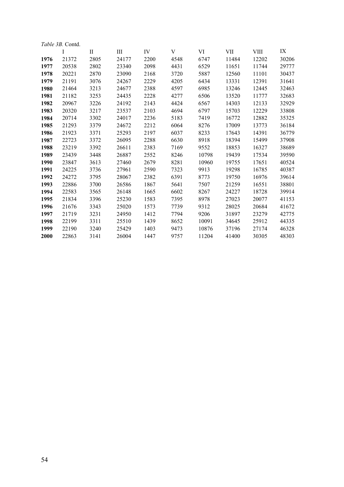|      | <i>Table 3B.</i> Contd. |             |       |      |      |       |       |             |       |
|------|-------------------------|-------------|-------|------|------|-------|-------|-------------|-------|
|      | I                       | $_{\rm II}$ | Ш     | IV   | V    | VI    | VII   | <b>VIII</b> | IX    |
| 1976 | 21372                   | 2805        | 24177 | 2200 | 4548 | 6747  | 11484 | 12202       | 30206 |
| 1977 | 20538                   | 2802        | 23340 | 2098 | 4431 | 6529  | 11651 | 11744       | 29777 |
| 1978 | 20221                   | 2870        | 23090 | 2168 | 3720 | 5887  | 12560 | 11101       | 30437 |
| 1979 | 21191                   | 3076        | 24267 | 2229 | 4205 | 6434  | 13331 | 12391       | 31641 |
| 1980 | 21464                   | 3213        | 24677 | 2388 | 4597 | 6985  | 13246 | 12445       | 32463 |
| 1981 | 21182                   | 3253        | 24435 | 2228 | 4277 | 6506  | 13520 | 11777       | 32683 |
| 1982 | 20967                   | 3226        | 24192 | 2143 | 4424 | 6567  | 14303 | 12133       | 32929 |
| 1983 | 20320                   | 3217        | 23537 | 2103 | 4694 | 6797  | 15703 | 12229       | 33808 |
| 1984 | 20714                   | 3302        | 24017 | 2236 | 5183 | 7419  | 16772 | 12882       | 35325 |
| 1985 | 21293                   | 3379        | 24672 | 2212 | 6064 | 8276  | 17009 | 13773       | 36184 |
| 1986 | 21923                   | 3371        | 25293 | 2197 | 6037 | 8233  | 17643 | 14391       | 36779 |
| 1987 | 22723                   | 3372        | 26095 | 2288 | 6630 | 8918  | 18394 | 15499       | 37908 |
| 1988 | 23219                   | 3392        | 26611 | 2383 | 7169 | 9552  | 18853 | 16327       | 38689 |
| 1989 | 23439                   | 3448        | 26887 | 2552 | 8246 | 10798 | 19439 | 17534       | 39590 |
| 1990 | 23847                   | 3613        | 27460 | 2679 | 8281 | 10960 | 19755 | 17651       | 40524 |
| 1991 | 24225                   | 3736        | 27961 | 2590 | 7323 | 9913  | 19298 | 16785       | 40387 |
| 1992 | 24272                   | 3795        | 28067 | 2382 | 6391 | 8773  | 19750 | 16976       | 39614 |
| 1993 | 22886                   | 3700        | 26586 | 1867 | 5641 | 7507  | 21259 | 16551       | 38801 |
| 1994 | 22583                   | 3565        | 26148 | 1665 | 6602 | 8267  | 24227 | 18728       | 39914 |
| 1995 | 21834                   | 3396        | 25230 | 1583 | 7395 | 8978  | 27023 | 20077       | 41153 |
| 1996 | 21676                   | 3343        | 25020 | 1573 | 7739 | 9312  | 28025 | 20684       | 41672 |
| 1997 | 21719                   | 3231        | 24950 | 1412 | 7794 | 9206  | 31897 | 23279       | 42775 |
| 1998 | 22199                   | 3311        | 25510 | 1439 | 8652 | 10091 | 34645 | 25912       | 44335 |
| 1999 | 22190                   | 3240        | 25429 | 1403 | 9473 | 10876 | 37196 | 27174       | 46328 |
| 2000 | 22863                   | 3141        | 26004 | 1447 | 9757 | 11204 | 41400 | 30305       | 48303 |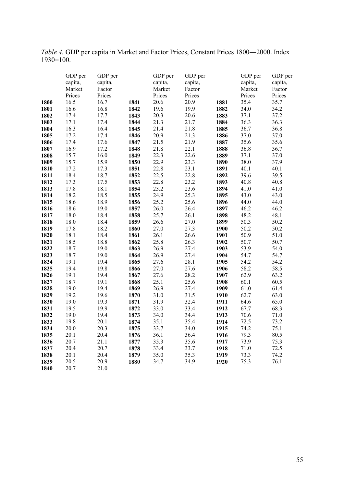*Table 4.* GDP per capita in Market and Factor Prices, Constant Prices 1800―2000. Index 1930=100.

|      | GDP per | GDP per |      | GDP per | GDP per |      | GDP per | GDP per |
|------|---------|---------|------|---------|---------|------|---------|---------|
|      | capita, | capita, |      | capita, | capita, |      | capita, | capita, |
|      | Market  | Factor  |      | Market  | Factor  |      | Market  | Factor  |
|      | Prices  | Prices  |      | Prices  | Prices  |      | Prices  | Prices  |
| 1800 | 16.5    | 16.7    | 1841 | 20.6    | 20.9    | 1881 | 35.4    | 35.7    |
| 1801 | 16.6    | 16.8    | 1842 | 19.6    | 19.9    | 1882 | 34.0    | 34.2    |
| 1802 | 17.4    | 17.7    | 1843 | 20.3    | 20.6    | 1883 | 37.1    | 37.2    |
| 1803 | 17.1    | 17.4    | 1844 | 21.3    | 21.7    | 1884 | 36.3    | 36.3    |
| 1804 | 16.3    | 16.4    | 1845 | 21.4    | 21.8    | 1885 | 36.7    | 36.8    |
| 1805 | 17.2    | 17.4    | 1846 | 20.9    | 21.3    | 1886 | 37.0    | 37.0    |
| 1806 | 17.4    | 17.6    | 1847 | 21.5    | 21.9    | 1887 | 35.6    | 35.6    |
| 1807 | 16.9    | 17.2    | 1848 | 21.8    | 22.1    | 1888 | 36.8    | 36.7    |
| 1808 | 15.7    | 16.0    | 1849 | 22.3    | 22.6    | 1889 | 37.1    | 37.0    |
| 1809 | 15.7    | 15.9    | 1850 | 22.9    | 23.3    | 1890 | 38.0    | 37.9    |
| 1810 | 17.2    | 17.3    | 1851 | 22.8    | 23.1    | 1891 | 40.1    | 40.1    |
| 1811 | 18.4    | 18.7    | 1852 | 22.5    | 22.8    | 1892 | 39.6    | 39.5    |
| 1812 | 17.3    | 17.5    | 1853 | 22.8    | 23.2    | 1893 | 40.8    | 40.8    |
| 1813 | 17.8    | 18.1    | 1854 | 23.2    | 23.6    | 1894 | 41.0    | 41.0    |
| 1814 | 18.2    | 18.5    | 1855 | 24.9    | 25.3    | 1895 | 43.0    | 43.0    |
| 1815 | 18.6    | 18.9    | 1856 | 25.2    | 25.6    | 1896 | 44.0    | 44.0    |
| 1816 | 18.6    | 19.0    | 1857 | 26.0    | 26.4    | 1897 | 46.2    | 46.2    |
| 1817 | 18.0    | 18.4    | 1858 | 25.7    | 26.1    | 1898 | 48.2    | 48.1    |
| 1818 | 18.0    | 18.4    | 1859 | 26.6    | 27.0    | 1899 | 50.3    | 50.2    |
| 1819 | 17.8    | 18.2    | 1860 | 27.0    | 27.3    | 1900 | 50.2    | 50.2    |
| 1820 | 18.1    | 18.4    | 1861 | 26.1    | 26.6    | 1901 | 50.9    | 51.0    |
| 1821 | 18.5    | 18.8    | 1862 | 25.8    | 26.3    | 1902 | 50.7    | 50.7    |
| 1822 | 18.7    | 19.0    | 1863 | 26.9    | 27.4    | 1903 | 53.9    | 54.0    |
| 1823 | 18.7    | 19.0    | 1864 | 26.9    | 27.4    | 1904 | 54.7    | 54.7    |
| 1824 | 19.1    | 19.4    | 1865 | 27.6    | 28.1    | 1905 | 54.2    | 54.2    |
| 1825 | 19.4    | 19.8    | 1866 | 27.0    | 27.6    | 1906 | 58.2    | 58.5    |
| 1826 | 19.1    | 19.4    | 1867 | 27.6    | 28.2    | 1907 | 62.9    | 63.2    |
| 1827 | 18.7    | 19.1    | 1868 | 25.1    | 25.6    | 1908 | 60.1    | 60.5    |
| 1828 | 19.0    | 19.4    | 1869 | 26.9    | 27.4    | 1909 | 61.0    | 61.4    |
| 1829 | 19.2    | 19.6    | 1870 | 31.0    | 31.5    | 1910 | 62.7    | 63.0    |
| 1830 | 19.0    | 19.3    | 1871 | 31.9    | 32.4    | 1911 | 64.6    | 65.0    |
| 1831 | 19.5    | 19.9    | 1872 | 33.0    | 33.4    | 1912 | 67.7    | 68.3    |
| 1832 | 19.0    | 19.4    | 1873 | 34.0    | 34.4    | 1913 | 70.6    | 71.0    |
| 1833 | 19.8    | 20.1    | 1874 | 35.1    | 35.4    | 1914 | 72.5    | 73.2    |
| 1834 | 20.0    | 20.3    | 1875 | 33.7    | 34.0    | 1915 | 74.2    | 75.1    |
| 1835 | 20.1    | 20.4    | 1876 | 36.1    | 36.4    | 1916 | 79.3    | 80.5    |
| 1836 | 20.7    | 21.1    | 1877 | 35.3    | 35.6    | 1917 | 73.9    | 75.3    |
| 1837 | 20.4    | 20.7    | 1878 | 33.4    | 33.7    | 1918 | 71.0    | 72.5    |
| 1838 | 20.1    | 20.4    | 1879 | 35.0    | 35.3    | 1919 | 73.3    | 74.2    |
| 1839 | 20.5    | 20.9    | 1880 | 34.7    | 34.9    | 1920 | 75.3    | 76.1    |
| 1840 | 20.7    | 21.0    |      |         |         |      |         |         |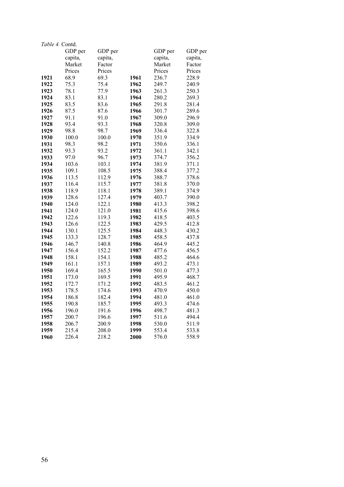| Table 4. Contd. |         |         |      |         |         |
|-----------------|---------|---------|------|---------|---------|
|                 | GDP per | GDP per |      | GDP per | GDP per |
|                 | capita, | capita, |      | capita, | capita, |
|                 | Market  | Factor  |      | Market  | Factor  |
|                 | Prices  | Prices  |      | Prices  | Prices  |
| 1921            | 68.9    | 69.3    | 1961 | 236.7   | 228.9   |
| 1922            | 75.3    | 75.4    | 1962 | 249.7   | 240.9   |
| 1923            | 78.1    | 77.9    | 1963 | 261.3   | 250.3   |
| 1924            | 83.1    | 83.1    | 1964 | 280.2   | 269.3   |
| 1925            | 83.5    | 83.6    | 1965 | 291.8   | 281.4   |
| 1926            | 87.5    | 87.6    | 1966 | 301.7   | 289.6   |
| 1927            | 91.1    | 91.0    | 1967 | 309.0   | 296.9   |
| 1928            | 93.4    | 93.3    | 1968 | 320.8   | 309.0   |
| 1929            | 98.8    | 98.7    | 1969 | 336.4   | 322.8   |
| 1930            | 100.0   | 100.0   | 1970 | 351.9   | 334.9   |
| 1931            | 98.3    | 98.2    | 1971 | 350.6   | 336.1   |
| 1932            | 93.3    | 93.2    | 1972 | 361.1   | 342.1   |
| 1933            | 97.0    | 96.7    | 1973 | 374.7   | 356.2   |
| 1934            | 103.6   | 103.1   | 1974 | 381.9   | 371.1   |
| 1935            | 109.1   | 108.5   | 1975 | 388.4   | 377.2   |
| 1936            | 113.5   | 112.9   | 1976 | 388.7   | 378.6   |
| 1937            | 116.4   | 115.7   | 1977 | 381.8   | 370.0   |
| 1938            | 118.9   | 118.1   | 1978 | 389.1   | 374.9   |
| 1939            | 128.6   | 127.4   | 1979 | 403.7   | 390.0   |
| 1940            | 124.0   | 122.1   | 1980 | 413.3   | 398.2   |
| 1941            | 124.0   | 121.0   | 1981 | 415.6   | 398.6   |
| 1942            | 122.6   | 119.3   | 1982 | 418.5   | 403.5   |
| 1943            | 126.6   | 122.5   | 1983 | 429.5   | 412.8   |
| 1944            | 130.1   | 125.5   | 1984 | 448.3   | 430.2   |
| 1945            | 133.3   | 128.7   | 1985 | 458.5   | 437.8   |
| 1946            | 146.7   | 140.8   | 1986 | 464.9   | 445.2   |
| 1947            | 156.4   | 152.2   | 1987 | 477.6   | 456.5   |
| 1948            | 158.1   | 154.1   | 1988 | 485.2   | 464.6   |
| 1949            | 161.1   | 157.1   | 1989 | 493.2   | 473.1   |
| 1950            | 169.4   | 165.5   | 1990 | 501.0   | 477.3   |
| 1951            | 173.0   | 169.5   | 1991 | 495.9   | 468.7   |
| 1952            | 172.7   | 171.2   | 1992 | 483.5   | 461.2   |
| 1953            | 178.5   | 174.6   | 1993 | 470.9   | 450.0   |
| 1954            | 186.8   | 182.4   | 1994 | 481.0   | 461.0   |
| 1955            | 190.8   | 185.7   | 1995 | 493.3   | 474.6   |
| 1956            | 196.0   | 191.6   | 1996 | 498.7   | 481.3   |
| 1957            | 200.7   | 196.6   | 1997 | 511.6   | 494.4   |
| 1958            | 206.7   | 200.9   | 1998 | 530.0   | 511.9   |
| 1959            | 215.4   | 208.0   | 1999 | 553.4   | 533.8   |
| 1960            | 226.4   | 218.2   | 2000 | 576.0   | 558.9   |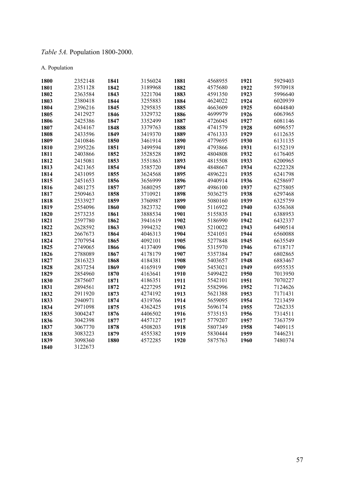# *Table 5A.* Population 1800-2000.

### A. Population

| 1800 | 2352148 | 1841 | 3156024 | 1881 | 4568955 | 1921 | 5929403 |
|------|---------|------|---------|------|---------|------|---------|
| 1801 | 2351128 | 1842 | 3189968 | 1882 | 4575680 | 1922 | 5970918 |
| 1802 | 2363584 | 1843 | 3221704 | 1883 | 4591350 | 1923 | 5996640 |
| 1803 | 2380418 | 1844 | 3255883 | 1884 | 4624022 | 1924 | 6020939 |
| 1804 | 2396216 | 1845 | 3295835 | 1885 | 4663609 | 1925 | 6044840 |
| 1805 | 2412927 | 1846 | 3329732 | 1886 | 4699979 | 1926 | 6063965 |
| 1806 | 2425386 | 1847 | 3352499 | 1887 | 4726045 | 1927 | 6081146 |
| 1807 | 2434167 | 1848 | 3379763 | 1888 | 4741579 | 1928 | 6096557 |
| 1808 | 2433596 | 1849 | 3419370 | 1889 | 4761333 | 1929 | 6112635 |
| 1809 | 2410846 | 1850 | 3461914 | 1890 | 4779695 | 1930 | 6131135 |
| 1810 | 2395226 | 1851 | 3499594 | 1891 | 4793866 | 1931 | 6152319 |
| 1811 | 2403866 | 1852 | 3528528 | 1892 | 4804808 | 1932 | 6176405 |
| 1812 | 2415081 | 1853 | 3551863 | 1893 | 4815508 | 1933 | 6200965 |
| 1813 | 2421365 | 1854 | 3585720 | 1894 | 4848667 | 1934 | 6222328 |
| 1814 | 2431095 | 1855 | 3624568 | 1895 | 4896221 | 1935 | 6241798 |
| 1815 | 2451653 | 1856 | 3656999 | 1896 | 4940914 | 1936 | 6258697 |
| 1816 | 2481275 | 1857 | 3680295 | 1897 | 4986100 | 1937 | 6275805 |
| 1817 | 2509463 | 1858 | 3710921 | 1898 | 5036275 | 1938 | 6297468 |
| 1818 | 2533927 | 1859 | 3760987 | 1899 | 5080160 | 1939 | 6325759 |
| 1819 | 2554096 | 1860 | 3823732 | 1900 | 5116922 | 1940 | 6356368 |
| 1820 | 2573235 | 1861 | 3888534 | 1901 | 5155835 | 1941 | 6388953 |
| 1821 | 2597780 | 1862 | 3941619 | 1902 | 5186990 | 1942 | 6432337 |
| 1822 | 2628592 | 1863 | 3994232 | 1903 | 5210022 | 1943 | 6490514 |
| 1823 | 2667673 | 1864 | 4046313 | 1904 | 5241051 | 1944 | 6560088 |
| 1824 | 2707954 | 1865 | 4092101 | 1905 | 5277848 | 1945 | 6635549 |
| 1825 | 2749065 | 1866 | 4137409 | 1906 | 5315970 | 1946 | 6718717 |
| 1826 | 2788089 | 1867 | 4178179 | 1907 | 5357384 | 1947 | 6802865 |
| 1827 | 2816323 | 1868 | 4184381 | 1908 | 5403657 | 1948 | 6883467 |
| 1828 | 2837254 | 1869 | 4165919 | 1909 | 5453021 | 1949 | 6955535 |
| 1829 | 2854960 | 1870 | 4163641 | 1910 | 5499422 | 1950 | 7013950 |
| 1830 | 2875607 | 1871 | 4186351 | 1911 | 5542101 | 1951 | 7070227 |
| 1831 | 2894561 | 1872 | 4227295 | 1912 | 5582996 | 1952 | 7124626 |
| 1832 | 2911920 | 1873 | 4274192 | 1913 | 5621388 | 1953 | 7171431 |
| 1833 | 2940971 | 1874 | 4319766 | 1914 | 5659095 | 1954 | 7213459 |
| 1834 | 2971098 | 1875 | 4362425 | 1915 | 5696174 | 1955 | 7262335 |
| 1835 | 3004247 | 1876 | 4406502 | 1916 | 5735153 | 1956 | 7314511 |
| 1836 | 3042398 | 1877 | 4457127 | 1917 | 5779207 | 1957 | 7363759 |
| 1837 | 3067770 | 1878 | 4508203 | 1918 | 5807349 | 1958 | 7409115 |
| 1838 | 3083223 | 1879 | 4555382 | 1919 | 5830444 | 1959 | 7446231 |
| 1839 | 3098360 | 1880 | 4572285 | 1920 | 5875763 | 1960 | 7480374 |
| 1840 | 3122673 |      |         |      |         |      |         |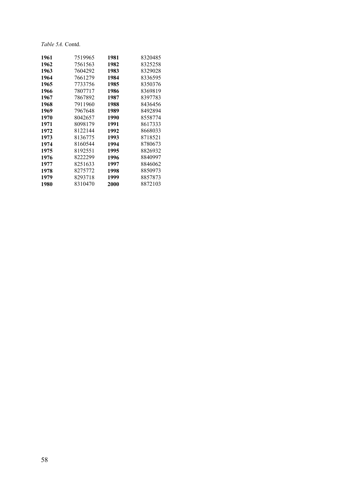| 1961 | 7519965 | 1981 | 8320485 |
|------|---------|------|---------|
| 1962 | 7561563 | 1982 | 8325258 |
| 1963 | 7604292 | 1983 | 8329028 |
| 1964 | 7661279 | 1984 | 8336595 |
| 1965 | 7733756 | 1985 | 8350376 |
| 1966 | 7807717 | 1986 | 8369819 |
| 1967 | 7867892 | 1987 | 8397783 |
| 1968 | 7911960 | 1988 | 8436456 |
| 1969 | 7967648 | 1989 | 8492894 |
| 1970 | 8042657 | 1990 | 8558774 |
| 1971 | 8098179 | 1991 | 8617333 |
| 1972 | 8122144 | 1992 | 8668033 |
| 1973 | 8136775 | 1993 | 8718521 |
| 1974 | 8160544 | 1994 | 8780673 |
| 1975 | 8192551 | 1995 | 8826932 |
| 1976 | 8222299 | 1996 | 8840997 |
| 1977 | 8251633 | 1997 | 8846062 |
| 1978 | 8275772 | 1998 | 8850973 |
| 1979 | 8293718 | 1999 | 8857873 |
| 1980 | 8310470 | 2000 | 8872103 |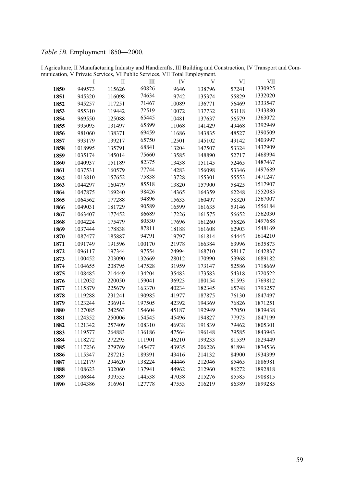## *Table 5B.* Employment 1850―2000.

I Agriculture, II Manufacturing Industry and Handicrafts, III Building and Construction, IV Transport and Communication, V Private Services, VI Public Services, VII Total Employment.

|      | Ι       | П      | Ш      | IV    | V      | VI    | VII     |
|------|---------|--------|--------|-------|--------|-------|---------|
| 1850 | 949573  | 115626 | 60826  | 9646  | 138796 | 57241 | 1330925 |
| 1851 | 945320  | 116098 | 74634  | 9742  | 135374 | 55829 | 1332020 |
| 1852 | 945257  | 117251 | 71467  | 10089 | 136771 | 56469 | 1333547 |
| 1853 | 955310  | 119442 | 72519  | 10072 | 137732 | 53118 | 1343880 |
| 1854 | 969550  | 125088 | 65445  | 10481 | 137637 | 56579 | 1363072 |
| 1855 | 995095  | 131497 | 65899  | 11068 | 141429 | 49468 | 1392949 |
| 1856 | 981060  | 138371 | 69459  | 11686 | 143835 | 48527 | 1390509 |
| 1857 | 993179  | 139217 | 65750  | 12501 | 145102 | 49142 | 1403997 |
| 1858 | 1018995 | 135791 | 68841  | 13204 | 147507 | 53324 | 1437909 |
| 1859 | 1035174 | 145014 | 75660  | 13585 | 148890 | 52717 | 1468994 |
| 1860 | 1040937 | 151189 | 82375  | 13438 | 151145 | 52465 | 1487467 |
| 1861 | 1037531 | 160579 | 77744  | 14283 | 156098 | 53346 | 1497689 |
| 1862 | 1013810 | 157652 | 75838  | 13728 | 155301 | 55553 | 1471247 |
| 1863 | 1044297 | 160479 | 85518  | 13820 | 157900 | 58425 | 1517907 |
| 1864 | 1047875 | 169240 | 98426  | 14365 | 164359 | 62248 | 1552085 |
| 1865 | 1064562 | 177288 | 94896  | 15633 | 160497 | 58320 | 1567007 |
| 1866 | 1049031 | 181729 | 90589  | 16599 | 161635 | 59146 | 1556184 |
| 1867 | 1063407 | 177452 | 86689  | 17226 | 161575 | 56652 | 1562030 |
| 1868 | 1004224 | 175479 | 80530  | 17696 | 161260 | 56826 | 1497688 |
| 1869 | 1037444 | 178838 | 87811  | 18188 | 161608 | 62903 | 1548169 |
| 1870 | 1087477 | 185887 | 94791  | 19797 | 161814 | 64445 | 1614210 |
| 1871 | 1091749 | 191596 | 100170 | 21978 | 166384 | 63996 | 1635873 |
| 1872 | 1096117 | 197344 | 97554  | 24994 | 168710 | 58117 | 1642837 |
| 1873 | 1100452 | 203090 | 132669 | 28012 | 170990 | 53968 | 1689182 |
| 1874 | 1104655 | 208795 | 147528 | 31959 | 173147 | 52586 | 1718669 |
| 1875 | 1108485 | 214449 | 134204 | 35483 | 173583 | 54318 | 1720522 |
| 1876 | 1112052 | 220050 | 159041 | 36923 | 180154 | 61593 | 1769812 |
| 1877 | 1115879 | 225679 | 163370 | 40234 | 182345 | 65748 | 1793257 |
| 1878 | 1119288 | 231241 | 190985 | 41977 | 187875 | 76130 | 1847497 |
| 1879 | 1123244 | 236914 | 197505 | 42392 | 194369 | 76826 | 1871251 |
| 1880 | 1127085 | 242563 | 154604 | 45187 | 192949 | 77050 | 1839438 |
| 1881 | 1124352 | 250006 | 154545 | 45496 | 194827 | 77973 | 1847199 |
| 1882 | 1121342 | 257409 | 108310 | 46938 | 191839 | 79462 | 1805301 |
| 1883 | 1119577 | 264883 | 136186 | 47564 | 196148 | 79585 | 1843943 |
| 1884 | 1118272 | 272293 | 111901 | 46210 | 199233 | 81539 | 1829449 |
| 1885 | 1117236 | 279769 | 145477 | 43935 | 206226 | 81894 | 1874536 |
| 1886 | 1115347 | 287213 | 189391 | 43416 | 214132 | 84900 | 1934399 |
| 1887 | 1112179 | 294620 | 138224 | 44446 | 212046 | 85465 | 1886981 |
| 1888 | 1108623 | 302060 | 137941 | 44962 | 212960 | 86272 | 1892818 |
| 1889 | 1106844 | 309533 | 144538 | 47038 | 215276 | 85585 | 1908815 |
| 1890 | 1104386 | 316961 | 127778 | 47553 | 216219 | 86389 | 1899285 |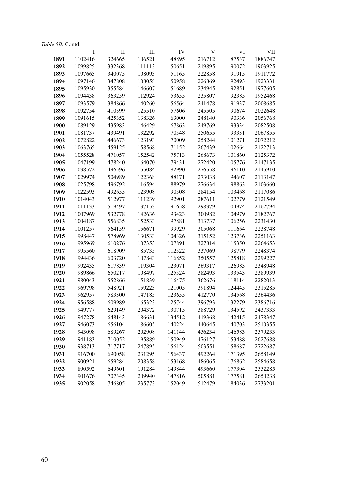| <i>Table 5B. Contd.</i> |  |  |
|-------------------------|--|--|
|                         |  |  |
|                         |  |  |

|      | I       | П      | Ш      | IV     | V      | VI     | VШ      |
|------|---------|--------|--------|--------|--------|--------|---------|
| 1891 | 1102416 | 324665 | 106521 | 48895  | 216712 | 87537  | 1886747 |
| 1892 | 1099825 | 332368 | 111113 | 50651  | 219895 | 90072  | 1903925 |
| 1893 | 1097665 | 340075 | 108093 | 51165  | 222858 | 91915  | 1911772 |
| 1894 | 1097146 | 347808 | 108058 | 50958  | 226869 | 92493  | 1923331 |
| 1895 | 1095930 | 355584 | 146607 | 51689  | 234945 | 92851  | 1977605 |
| 1896 | 1094438 | 363259 | 112924 | 53655  | 235807 | 92385  | 1952468 |
| 1897 | 1093579 | 384866 | 140260 | 56564  | 241478 | 91937  | 2008685 |
| 1898 | 1092754 | 410599 | 125510 | 57606  | 245505 | 90674  | 2022648 |
| 1899 | 1091615 | 425352 | 138326 | 63000  | 248140 | 90336  | 2056768 |
| 1900 | 1089129 | 435983 | 146429 | 67863  | 249769 | 93334  | 2082508 |
| 1901 | 1081737 | 439491 | 132292 | 70348  | 250655 | 93331  | 2067855 |
| 1902 | 1072822 | 446673 | 123193 | 70009  | 258244 | 101271 | 2072212 |
| 1903 | 1063765 | 459125 | 158568 | 71152  | 267439 | 102664 | 2122713 |
| 1904 | 1055528 | 471057 | 152542 | 75713  | 268673 | 101860 | 2125372 |
| 1905 | 1047199 | 478240 | 164070 | 79431  | 272420 | 105776 | 2147135 |
| 1906 | 1038572 | 496596 | 155084 | 82990  | 276558 | 96110  | 2145910 |
| 1907 | 1029974 | 504989 | 122368 | 88171  | 273038 | 94607  | 2113147 |
| 1908 | 1025798 | 496792 | 116594 | 88979  | 276634 | 98863  | 2103660 |
| 1909 | 1022593 | 492655 | 123908 | 90308  | 284154 | 103468 | 2117086 |
| 1910 | 1014043 | 512977 | 111239 | 92901  | 287611 | 102779 | 2121549 |
| 1911 | 1011133 | 519497 | 137153 | 91658  | 298379 | 104974 | 2162794 |
| 1912 | 1007969 | 532778 | 142636 | 93423  | 300982 | 104979 | 2182767 |
| 1913 | 1004187 | 556835 | 152533 | 97881  | 313737 | 106256 | 2231430 |
| 1914 | 1001257 | 564159 | 156671 | 99929  | 305068 | 111664 | 2238748 |
| 1915 | 998447  | 578969 | 130533 | 104326 | 315152 | 123736 | 2251163 |
| 1916 | 995969  | 610276 | 107353 | 107891 | 327814 | 115350 | 2264653 |
| 1917 | 995560  | 618909 | 85735  | 112322 | 337069 | 98779  | 2248374 |
| 1918 | 994436  | 603720 | 107843 | 116852 | 350557 | 125818 | 2299227 |
| 1919 | 992435  | 617839 | 119304 | 123071 | 369317 | 126983 | 2348948 |
| 1920 | 989866  | 650217 | 108497 | 125324 | 382493 | 133543 | 2389939 |
| 1921 | 980043  | 552866 | 151839 | 116475 | 362676 | 118114 | 2282013 |
| 1922 | 969798  | 548921 | 159223 | 121005 | 391894 | 124445 | 2315285 |
| 1923 | 962957  | 583300 | 147185 | 123655 | 412770 | 134568 | 2364436 |
| 1924 | 956588  | 609989 | 165323 | 125744 | 396793 | 132279 | 2386716 |
| 1925 | 949777  | 629149 | 204372 | 130715 | 388729 | 134592 | 2437333 |
| 1926 | 947278  | 648143 | 186631 | 134512 | 419368 | 142415 | 2478347 |
| 1927 | 946073  | 656104 | 186605 | 140224 | 440645 | 140703 | 2510355 |
| 1928 | 943098  | 689267 | 202908 | 141144 | 456234 | 146583 | 2579233 |
| 1929 | 941183  | 710052 | 195889 | 150949 | 476127 | 153488 | 2627688 |
| 1930 | 938713  | 717717 | 247895 | 156124 | 503551 | 158687 | 2722687 |
| 1931 | 916700  | 690058 | 231295 | 156437 | 492264 | 171395 | 2658149 |
| 1932 | 900921  | 659284 | 208358 | 153168 | 486065 | 176862 | 2584658 |
| 1933 | 890592  | 649601 | 191284 | 149844 | 493660 | 177304 | 2552285 |
| 1934 | 901676  | 707345 | 209940 | 147816 | 505881 | 177581 | 2650238 |
| 1935 | 902058  | 746805 | 235773 | 152049 | 512479 | 184036 | 2733201 |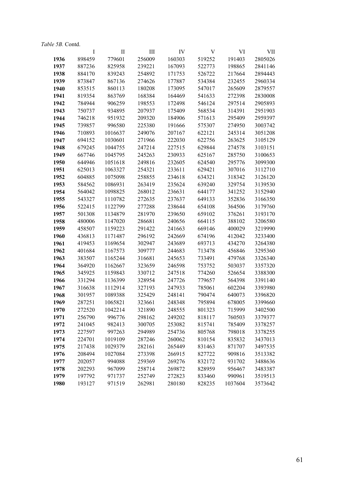|      | Table 5B. Contd. |         |        |        |        |         |         |
|------|------------------|---------|--------|--------|--------|---------|---------|
|      | Ι                | П       | Ш      | IV     | V      | VI      | VII     |
| 1936 | 898459           | 779601  | 256009 | 160303 | 519252 | 191403  | 2805026 |
| 1937 | 887236           | 825958  | 239221 | 167093 | 522773 | 198865  | 2841146 |
| 1938 | 884170           | 839243  | 254892 | 171753 | 526722 | 217664  | 2894443 |
| 1939 | 873847           | 867136  | 274626 | 177887 | 534384 | 232455  | 2960334 |
| 1940 | 853515           | 860113  | 180208 | 173095 | 547017 | 265609  | 2879557 |
| 1941 | 819354           | 863769  | 168384 | 164469 | 541633 | 272398  | 2830008 |
| 1942 | 784944           | 906259  | 198553 | 172498 | 546124 | 297514  | 2905893 |
| 1943 | 750737           | 934895  | 207937 | 175409 | 568534 | 314391  | 2951903 |
| 1944 | 746218           | 951932  | 209320 | 184906 | 571613 | 295409  | 2959397 |
| 1945 | 739857           | 996580  | 225380 | 191666 | 575307 | 274950  | 3003742 |
| 1946 | 710893           | 1016637 | 249076 | 207167 | 622121 | 245314  | 3051208 |
| 1947 | 694152           | 1030601 | 271966 | 222030 | 622756 | 263625  | 3105129 |
| 1948 | 679245           | 1044755 | 247214 | 227515 | 629844 | 274578  | 3103151 |
| 1949 | 667746           | 1045795 | 245263 | 230933 | 625167 | 285750  | 3100653 |
| 1950 | 644946           | 1051618 | 249816 | 232605 | 624540 | 295776  | 3099300 |
| 1951 | 625013           | 1063327 | 254321 | 233611 | 629421 | 307016  | 3112710 |
| 1952 | 604885           | 1075098 | 258855 | 234618 | 634321 | 318342  | 3126120 |
| 1953 | 584562           | 1086931 | 263419 | 235624 | 639240 | 329754  | 3139530 |
| 1954 | 564042           | 1098825 | 268012 | 236631 | 644177 | 341252  | 3152940 |
| 1955 | 543327           | 1110782 | 272635 | 237637 | 649133 | 352836  | 3166350 |
| 1956 | 522415           | 1122799 | 277288 | 238644 | 654108 | 364506  | 3179760 |
| 1957 | 501308           | 1134879 | 281970 | 239650 | 659102 | 376261  | 3193170 |
| 1958 | 480006           | 1147020 | 286681 | 240656 | 664115 | 388102  | 3206580 |
| 1959 | 458507           | 1159223 | 291422 | 241663 | 669146 | 400029  | 3219990 |
| 1960 | 436813           | 1171487 | 296192 | 242669 | 674196 | 412042  | 3233400 |
| 1961 | 419453           | 1169654 | 302947 | 243689 | 693713 | 434270  | 3264380 |
| 1962 | 401684           | 1167573 | 309777 | 244683 | 713478 | 456846  | 3295360 |
| 1963 | 383507           | 1165244 | 316681 | 245653 | 733491 | 479768  | 3326340 |
| 1964 | 364920           | 1162667 | 323659 | 246598 | 753752 | 503037  | 3357320 |
| 1965 | 345925           | 1159843 | 330712 | 247518 | 774260 | 526654  | 3388300 |
| 1966 | 331294           | 1136399 | 328954 | 247726 | 779657 | 564398  | 3391140 |
| 1967 | 316638           | 1112914 | 327193 | 247933 | 785061 | 602204  | 3393980 |
| 1968 | 301957           | 1089388 | 325429 | 248141 | 790474 | 640073  | 3396820 |
| 1969 | 287251           | 1065821 | 323661 | 248348 | 795894 | 678005  | 3399660 |
| 1970 | 272520           | 1042214 | 321890 | 248555 | 801323 | 715999  | 3402500 |
| 1971 | 256790           | 996776  | 298162 | 249202 | 818117 | 760503  | 3379377 |
| 1972 | 241045           | 982413  | 300705 | 253082 | 815741 | 785409  | 3378257 |
| 1973 | 227597           | 997263  | 294989 | 254736 | 805768 | 798018  | 3378255 |
| 1974 | 224701           | 1019109 | 287246 | 260062 | 810154 | 835832  | 3437013 |
| 1975 | 217438           | 1029379 | 282161 | 265449 | 831463 | 871707  | 3497535 |
| 1976 | 208494           | 1027084 | 273398 | 266915 | 827722 | 909816  | 3513382 |
| 1977 | 202057           | 994088  | 259369 | 269276 | 832172 | 931702  | 3488636 |
| 1978 | 202293           | 967099  | 258714 | 269872 | 828959 | 956467  | 3483387 |
| 1979 | 197792           | 971737  | 252749 | 272823 | 833460 | 990961  | 3519513 |
| 1980 | 193127           | 971519  | 262981 | 280180 | 828235 | 1037604 | 3573642 |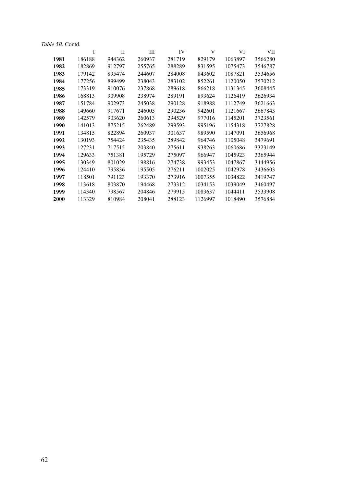|      | <i>Table 5B.</i> Contd. |        |        |        |         |         |         |
|------|-------------------------|--------|--------|--------|---------|---------|---------|
|      | I                       | П      | Ш      | IV     | V       | VI      | VII     |
| 1981 | 186188                  | 944362 | 260937 | 281719 | 829179  | 1063897 | 3566280 |
| 1982 | 182869                  | 912797 | 255765 | 288289 | 831595  | 1075473 | 3546787 |
| 1983 | 179142                  | 895474 | 244607 | 284008 | 843602  | 1087821 | 3534656 |
| 1984 | 177256                  | 899499 | 238043 | 283102 | 852261  | 1120050 | 3570212 |
| 1985 | 173319                  | 910076 | 237868 | 289618 | 866218  | 1131345 | 3608445 |
| 1986 | 168813                  | 909908 | 238974 | 289191 | 893624  | 1126419 | 3626934 |
| 1987 | 151784                  | 902973 | 245038 | 290128 | 918988  | 1112749 | 3621663 |
| 1988 | 149660                  | 917671 | 246005 | 290236 | 942601  | 1121667 | 3667843 |
| 1989 | 142579                  | 903620 | 260613 | 294529 | 977016  | 1145201 | 3723561 |
| 1990 | 141013                  | 875215 | 262489 | 299593 | 995196  | 1154318 | 3727828 |
| 1991 | 134815                  | 822894 | 260937 | 301637 | 989590  | 1147091 | 3656968 |
| 1992 | 130193                  | 754424 | 235435 | 289842 | 964746  | 1105048 | 3479691 |
| 1993 | 127231                  | 717515 | 203840 | 275611 | 938263  | 1060686 | 3323149 |
| 1994 | 129633                  | 751381 | 195729 | 275097 | 966947  | 1045923 | 3365944 |
| 1995 | 130349                  | 801029 | 198816 | 274738 | 993453  | 1047867 | 3444956 |
| 1996 | 124410                  | 795836 | 195505 | 276211 | 1002025 | 1042978 | 3436603 |
| 1997 | 118501                  | 791123 | 193370 | 273916 | 1007355 | 1034822 | 3419747 |
| 1998 | 113618                  | 803870 | 194468 | 273312 | 1034153 | 1039049 | 3460497 |
| 1999 | 114340                  | 798567 | 204846 | 279915 | 1083637 | 1044411 | 3533908 |
| 2000 | 113329                  | 810984 | 208041 | 288123 | 1126997 | 1018490 | 3576884 |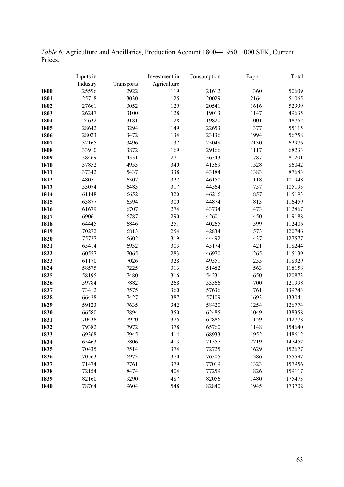*Table 6.* Agriculture and Ancillaries, Production Account 1800―1950. 1000 SEK, Current Prices.

|      | Inputs in |            | Investment in | Consumption | Export | Total  |
|------|-----------|------------|---------------|-------------|--------|--------|
|      | Industry  | Transports | Agriculture   |             |        |        |
| 1800 | 25596     | 2922       | 119           | 21612       | 360    | 50609  |
| 1801 | 25718     | 3030       | 125           | 20029       | 2164   | 51065  |
| 1802 | 27661     | 3052       | 129           | 20541       | 1616   | 52999  |
| 1803 | 26247     | 3100       | 128           | 19013       | 1147   | 49635  |
| 1804 | 24632     | 3181       | 128           | 19820       | 1001   | 48762  |
| 1805 | 28642     | 3294       | 149           | 22653       | 377    | 55115  |
| 1806 | 28023     | 3472       | 134           | 23136       | 1994   | 56758  |
| 1807 | 32165     | 3496       | 137           | 25048       | 2130   | 62976  |
| 1808 | 33910     | 3872       | 169           | 29166       | 1117   | 68233  |
| 1809 | 38469     | 4331       | 271           | 36343       | 1787   | 81201  |
| 1810 | 37852     | 4953       | 340           | 41369       | 1528   | 86042  |
| 1811 | 37342     | 5437       | 338           | 43184       | 1383   | 87683  |
| 1812 | 48051     | 6307       | 322           | 46150       | 1118   | 101948 |
| 1813 | 53074     | 6483       | 317           | 44564       | 757    | 105195 |
| 1814 | 61148     | 6652       | 320           | 46216       | 857    | 115193 |
| 1815 | 63877     | 6594       | 300           | 44874       | 813    | 116459 |
| 1816 | 61679     | 6707       | 274           | 43734       | 473    | 112867 |
| 1817 | 69061     | 6787       | 290           | 42601       | 450    | 119188 |
| 1818 | 64445     | 6846       | 251           | 40265       | 599    | 112406 |
| 1819 | 70272     | 6813       | 254           | 42834       | 573    | 120746 |
| 1820 | 75727     | 6602       | 319           | 44492       | 437    | 127577 |
| 1821 | 65414     | 6932       | 303           | 45174       | 421    | 118244 |
| 1822 | 60557     | 7065       | 283           | 46970       | 265    | 115139 |
| 1823 | 61170     | 7026       | 328           | 49551       | 255    | 118329 |
| 1824 | 58575     | 7225       | 313           | 51482       | 563    | 118158 |
| 1825 | 58195     | 7480       | 316           | 54231       | 650    | 120873 |
| 1826 | 59784     | 7882       | 268           | 53366       | 700    | 121998 |
| 1827 | 73412     | 7575       | 360           | 57636       | 761    | 139743 |
| 1828 | 66428     | 7427       | 387           | 57109       | 1693   | 133044 |
| 1829 | 59123     | 7635       | 342           | 58420       | 1254   | 126774 |
| 1830 | 66580     | 7894       | 350           | 62485       | 1049   | 138358 |
| 1831 | 70438     | 7920       | 375           | 62886       | 1159   | 142778 |
| 1832 | 79382     | 7972       | 378           | 65760       | 1148   | 154640 |
| 1833 | 69368     | 7945       | 414           | 68933       | 1952   | 148612 |
| 1834 | 65463     | 7806       | 413           | 71557       | 2219   | 147457 |
| 1835 | 70435     | 7514       | 374           | 72725       | 1629   | 152677 |
| 1836 | 70563     | 6973       | 370           | 76305       | 1386   | 155597 |
| 1837 | 71474     | 7761       | 379           | 77019       | 1323   | 157956 |
| 1838 | 72154     | 8474       | 404           | 77259       | 826    | 159117 |
| 1839 | 82160     | 9290       | 487           | 82056       | 1480   | 175473 |
| 1840 | 78764     | 9604       | 548           | 82840       | 1945   | 173702 |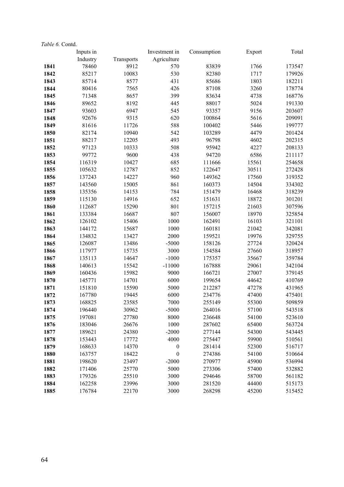| Table 6. Contd. |           |            |                  |             |        |        |
|-----------------|-----------|------------|------------------|-------------|--------|--------|
|                 | Inputs in |            | Investment in    | Consumption | Export | Total  |
|                 | Industry  | Transports | Agriculture      |             |        |        |
| 1841            | 78460     | 8912       | 570              | 83839       | 1766   | 173547 |
| 1842            | 85217     | 10083      | 530              | 82380       | 1717   | 179926 |
| 1843            | 85714     | 8577       | 431              | 85686       | 1803   | 182211 |
| 1844            | 80416     | 7565       | 426              | 87108       | 3260   | 178774 |
| 1845            | 71348     | 8657       | 399              | 83634       | 4738   | 168776 |
| 1846            | 89652     | 8192       | 445              | 88017       | 5024   | 191330 |
| 1847            | 93603     | 6947       | 545              | 93357       | 9156   | 203607 |
| 1848            | 92676     | 9315       | 620              | 100864      | 5616   | 209091 |
| 1849            | 81616     | 11726      | 588              | 100402      | 5446   | 199777 |
| 1850            | 82174     | 10940      | 542              | 103289      | 4479   | 201424 |
| 1851            | 88217     | 12205      | 493              | 96798       | 4602   | 202315 |
| 1852            | 97123     | 10333      | 508              | 95942       | 4227   | 208133 |
| 1853            | 99772     | 9600       | 438              | 94720       | 6586   | 211117 |
| 1854            | 116319    | 10427      | 685              | 111666      | 15561  | 254658 |
| 1855            | 105632    | 12787      | 852              | 122647      | 30511  | 272428 |
| 1856            | 137243    | 14227      | 960              | 149362      | 17560  | 319352 |
| 1857            | 143560    | 15005      | 861              | 160373      | 14504  | 334302 |
| 1858            | 135356    | 14153      | 784              | 151479      | 16468  | 318239 |
| 1859            | 115130    | 14916      | 652              | 151631      | 18872  | 301201 |
| 1860            | 112687    | 15290      | 801              | 157215      | 21603  | 307596 |
| 1861            | 133384    | 16687      | 807              | 156007      | 18970  | 325854 |
| 1862            | 126102    | 15406      | 1000             | 162491      | 16103  | 321101 |
| 1863            | 144172    | 15687      | 1000             | 160181      | 21042  | 342081 |
| 1864            | 134832    | 13427      | 2000             | 159521      | 19976  | 329755 |
| 1865            | 126087    | 13486      | $-5000$          | 158126      | 27724  | 320424 |
| 1866            | 117977    | 15735      | 3000             | 154584      | 27660  | 318957 |
| 1867            | 135113    | 14647      | $-1000$          | 175357      | 35667  | 359784 |
| 1868            | 140613    | 15542      | $-11000$         | 167888      | 29061  | 342104 |
| 1869            | 160436    | 15982      | 9000             | 166721      | 27007  | 379145 |
| 1870            | 145771    | 14701      | 6000             | 199654      | 44642  | 410769 |
| 1871            | 151810    | 15590      | 5000             | 212287      | 47278  | 431965 |
| 1872            | 167780    | 19445      | 6000             | 234776      | 47400  | 475401 |
| 1873            | 168825    | 23585      | 7000             | 255149      | 55300  | 509859 |
| 1874            | 196440    | 30962      | $-5000$          | 264016      | 57100  | 543518 |
| 1875            | 197081    | 27780      | 8000             | 236648      | 54100  | 523610 |
| 1876            | 183046    | 26676      | 1000             | 287602      | 65400  | 563724 |
| 1877            | 189621    | 24380      | $-2000$          | 277144      | 54300  | 543445 |
| 1878            | 153443    | 17772      | 4000             | 275447      | 59900  | 510561 |
| 1879            | 168633    | 14370      | $\boldsymbol{0}$ | 281414      | 52300  | 516717 |
| 1880            | 163757    | 18422      | 0                | 274386      | 54100  | 510664 |
| 1881            | 198620    | 23497      | $-2000$          | 270977      | 45900  | 536994 |
| 1882            | 171406    | 25770      | 5000             | 273306      | 57400  | 532882 |
| 1883            | 179326    | 25510      | 3000             | 294646      | 58700  | 561182 |
| 1884            | 162258    | 23996      | 3000             | 281520      | 44400  | 515173 |
| 1885            | 176784    | 22170      | 3000             | 268298      | 45200  | 515452 |
|                 |           |            |                  |             |        |        |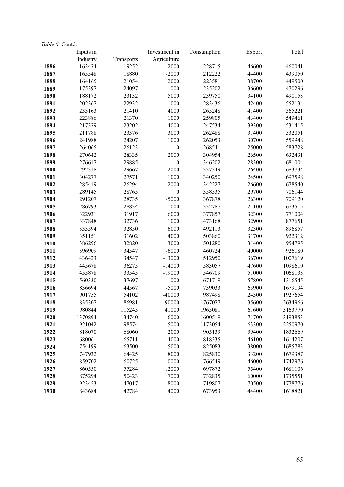| Table 6. Contd. |           |            |                  |             |        |         |
|-----------------|-----------|------------|------------------|-------------|--------|---------|
|                 | Inputs in |            | Investment in    | Consumption | Export | Total   |
|                 | Industry  | Transports | Agriculture      |             |        |         |
| 1886            | 163474    | 19252      | 2000             | 228715      | 46600  | 460041  |
| 1887            | 165548    | 18880      | $-2000$          | 212222      | 44400  | 439050  |
| 1888            | 164165    | 21054      | 2000             | 223581      | 38700  | 449500  |
| 1889            | 175397    | 24097      | $-1000$          | 235202      | 36600  | 470296  |
| 1890            | 188172    | 23132      | 5000             | 239750      | 34100  | 490153  |
| 1891            | 202367    | 22932      | 1000             | 283436      | 42400  | 552134  |
| 1892            | 233163    | 21410      | 4000             | 265248      | 41400  | 565221  |
| 1893            | 223886    | 21370      | 1000             | 259805      | 43400  | 549461  |
| 1894            | 217379    | 23202      | 4000             | 247534      | 39300  | 531415  |
| 1895            | 211788    | 23376      | 3000             | 262488      | 31400  | 532051  |
| 1896            | 241988    | 24207      | 1000             | 262053      | 30700  | 559948  |
| 1897            | 264065    | 26123      | $\boldsymbol{0}$ | 268541      | 25000  | 583728  |
| 1898            | 270642    | 28335      | 2000             | 304954      | 26500  | 632431  |
| 1899            | 276617    | 29885      | $\boldsymbol{0}$ | 346202      | 28300  | 681004  |
| 1900            | 292318    | 29667      | $-2000$          | 337349      | 26400  | 683734  |
| 1901            | 304277    | 27571      | 1000             | 340250      | 24500  | 697598  |
| 1902            | 285419    | 26294      | $-2000$          | 342227      | 26600  | 678540  |
| 1903            | 289145    | 28765      | $\boldsymbol{0}$ | 358535      | 29700  | 706144  |
| 1904            | 291207    | 28735      | $-5000$          | 367878      | 26300  | 709120  |
| 1905            | 286793    | 28834      | 1000             | 332787      | 24100  | 673515  |
| 1906            | 322931    | 31917      | 6000             | 377857      | 32300  | 771004  |
| 1907            | 337848    | 32736      | 1000             | 473168      | 32900  | 877651  |
| 1908            | 333594    | 32850      | 6000             | 492113      | 32300  | 896857  |
| 1909            | 351151    | 31602      | 4000             | 503860      | 31700  | 922312  |
| 1910            | 386296    | 32820      | 3000             | 501280      | 31400  | 954795  |
| 1911            | 396909    | 34547      | $-6000$          | 460724      | 40000  | 926180  |
| 1912            | 436423    | 34547      | $-13000$         | 512950      | 36700  | 1007619 |
| 1913            | 445678    | 36275      | $-14000$         | 583057      | 47600  | 1098610 |
| 1914            | 455878    | 33545      | $-19000$         | 546709      | 51000  | 1068133 |
| 1915            | 560330    | 37697      | $-11000$         | 671719      | 57800  | 1316545 |
| 1916            | 836694    | 44567      | $-5000$          | 739033      | 63900  | 1679194 |
| 1917            | 901755    | 54102      | $-40000$         | 987498      | 24300  | 1927654 |
| 1918            | 835307    | 86981      | $-90000$         | 1767077     | 35600  | 2634966 |
| 1919            | 980844    | 115245     | 41000            | 1965081     | 61600  | 3163770 |
| 1920            | 1370894   | 134740     | 16000            | 1600519     | 71700  | 3193853 |
| 1921            | 921042    | 98574      | $-5000$          | 1173054     | 63300  | 2250970 |
| 1922            | 818070    | 68060      | 2000             | 905139      | 39400  | 1832669 |
| 1923            | 680061    | 65711      | 4000             | 818335      | 46100  | 1614207 |
| 1924            | 754199    | 63500      | 5000             | 825083      | 38000  | 1685783 |
| 1925            | 747932    | 64425      | 8000             | 825830      | 33200  | 1679387 |
| 1926            | 859702    | 60725      | 10000            | 766549      | 46000  | 1742976 |
| 1927            | 860550    | 55284      | 12000            | 697872      | 55400  | 1681106 |
| 1928            | 875294    | 50423      | 17000            | 732835      | 60000  | 1735551 |
| 1929            | 923453    | 47017      | 18000            | 719807      | 70500  | 1778776 |
| 1930            | 843684    | 42784      | 14000            | 673953      | 44400  | 1618821 |
|                 |           |            |                  |             |        |         |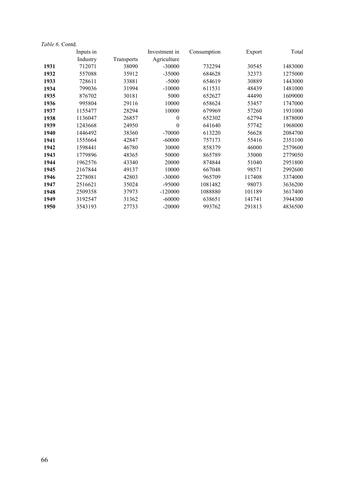| Table 6. Contd. |           |            |               |             |        |         |
|-----------------|-----------|------------|---------------|-------------|--------|---------|
|                 | Inputs in |            | Investment in | Consumption | Export | Total   |
|                 | Industry  | Transports | Agriculture   |             |        |         |
| 1931            | 712071    | 38090      | $-30000$      | 732294      | 30545  | 1483000 |
| 1932            | 557088    | 35912      | $-35000$      | 684628      | 32373  | 1275000 |
| 1933            | 728611    | 33881      | $-5000$       | 654619      | 30889  | 1443000 |
| 1934            | 799036    | 31994      | $-10000$      | 611531      | 48439  | 1481000 |
| 1935            | 876702    | 30181      | 5000          | 652627      | 44490  | 1609000 |
| 1936            | 995804    | 29116      | 10000         | 658624      | 53457  | 1747000 |
| 1937            | 1155477   | 28294      | 10000         | 679969      | 57260  | 1931000 |
| 1938            | 1136047   | 26857      | $\theta$      | 652302      | 62794  | 1878000 |
| 1939            | 1243668   | 24950      | $\theta$      | 641640      | 57742  | 1968000 |
| 1940            | 1446492   | 38360      | $-70000$      | 613220      | 56628  | 2084700 |
| 1941            | 1555664   | 42847      | $-60000$      | 757173      | 55416  | 2351100 |
| 1942            | 1598441   | 46780      | 30000         | 858379      | 46000  | 2579600 |
| 1943            | 1779896   | 48365      | 50000         | 865789      | 35000  | 2779050 |
| 1944            | 1962576   | 43340      | 20000         | 874844      | 51040  | 2951800 |
| 1945            | 2167844   | 49137      | 10000         | 667048      | 98571  | 2992600 |
| 1946            | 2278081   | 42803      | $-30000$      | 965709      | 117408 | 3374000 |
| 1947            | 2516621   | 35024      | -95000        | 1081482     | 98073  | 3636200 |
| 1948            | 2509358   | 37973      | $-120000$     | 1088880     | 101189 | 3617400 |
| 1949            | 3192547   | 31362      | $-60000$      | 638651      | 141741 | 3944300 |
| 1950            | 3543193   | 27733      | $-20000$      | 993762      | 291813 | 4836500 |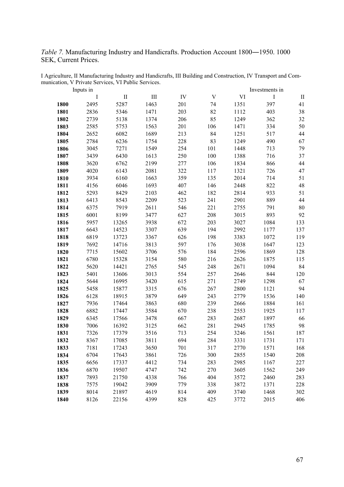*Table 7.* Manufacturing Industry and Handicrafts. Production Account 1800―1950. 1000 SEK, Current Prices.

|      | Inputs in |          |                             |     |                           | Investments in |         |              |  |
|------|-----------|----------|-----------------------------|-----|---------------------------|----------------|---------|--------------|--|
|      | $\bf{I}$  | $\rm II$ | $\mathop{\rm III}\nolimits$ | IV  | $\ensuremath{\mathbf{V}}$ | VI             | $\rm I$ | $\mathbf{I}$ |  |
| 1800 | 2495      | 5287     | 1463                        | 201 | 74                        | 1351           | 397     | 41           |  |
| 1801 | 2836      | 5346     | 1471                        | 203 | 82                        | 1112           | 403     | 38           |  |
| 1802 | 2739      | 5138     | 1374                        | 206 | 85                        | 1249           | 362     | 32           |  |
| 1803 | 2585      | 5753     | 1563                        | 201 | 106                       | 1471           | 334     | 50           |  |
| 1804 | 2652      | 6082     | 1689                        | 213 | 84                        | 1251           | 517     | 44           |  |
| 1805 | 2784      | 6236     | 1754                        | 228 | 83                        | 1249           | 490     | 67           |  |
| 1806 | 3045      | 7271     | 1549                        | 254 | 101                       | 1448           | 713     | 79           |  |
| 1807 | 3439      | 6430     | 1613                        | 250 | 100                       | 1388           | 716     | 37           |  |
| 1808 | 3620      | 6762     | 2199                        | 277 | 106                       | 1834           | 866     | 44           |  |
| 1809 | 4020      | 6143     | 2081                        | 322 | 117                       | 1321           | 726     | 47           |  |
| 1810 | 3934      | 6160     | 1663                        | 359 | 135                       | 2014           | 714     | 51           |  |
| 1811 | 4156      | 6046     | 1693                        | 407 | 146                       | 2448           | 822     | 48           |  |
| 1812 | 5293      | 8429     | 2103                        | 462 | 182                       | 2814           | 933     | 51           |  |
| 1813 | 6413      | 8543     | 2209                        | 523 | 241                       | 2901           | 889     | 44           |  |
| 1814 | 6375      | 7919     | 2611                        | 546 | 221                       | 2755           | 791     | 80           |  |
| 1815 | 6001      | 8199     | 3477                        | 627 | 208                       | 3015           | 893     | 92           |  |
| 1816 | 5957      | 13265    | 3938                        | 672 | 203                       | 3027           | 1084    | 133          |  |
| 1817 | 6643      | 14523    | 3307                        | 639 | 194                       | 2992           | 1177    | 137          |  |
| 1818 | 6819      | 13723    | 3367                        | 626 | 198                       | 3383           | 1072    | 119          |  |
| 1819 | 7692      | 14716    | 3813                        | 597 | 176                       | 3038           | 1647    | 123          |  |
| 1820 | 7715      | 15602    | 3706                        | 576 | 184                       | 2596           | 1869    | 128          |  |
| 1821 | 6780      | 15328    | 3154                        | 580 | 216                       | 2626           | 1875    | 115          |  |
| 1822 | 5620      | 14421    | 2765                        | 545 | 248                       | 2671           | 1094    | 84           |  |
| 1823 | 5401      | 13606    | 3013                        | 554 | 257                       | 2646           | 844     | 120          |  |
| 1824 | 5644      | 16995    | 3420                        | 615 | 271                       | 2749           | 1298    | 67           |  |
| 1825 | 5458      | 15877    | 3315                        | 676 | 267                       | 2800           | 1121    | 94           |  |
| 1826 | 6128      | 18915    | 3879                        | 649 | 243                       | 2779           | 1536    | 140          |  |
| 1827 | 7936      | 17464    | 3863                        | 680 | 239                       | 2666           | 1884    | 161          |  |
| 1828 | 6882      | 17447    | 3584                        | 670 | 238                       | 2553           | 1925    | 117          |  |
| 1829 | 6345      | 17566    | 3478                        | 667 | 283                       | 2687           | 1897    | 66           |  |
| 1830 | 7006      | 16392    | 3125                        | 662 | 281                       | 2945           | 1785    | 98           |  |
| 1831 | 7326      | 17379    | 3516                        | 713 | 254                       | 3246           | 1561    | 187          |  |
| 1832 | 8367      | 17085    | 3811                        | 694 | 284                       | 3331           | 1731    | 171          |  |
| 1833 | 7181      | 17243    | 3650                        | 701 | 317                       | 2770           | 1571    | 168          |  |
| 1834 | 6704      | 17643    | 3861                        | 726 | 300                       | 2855           | 1540    | 208          |  |
| 1835 | 6656      | 17337    | 4412                        | 734 | 283                       | 2985           | 1167    | 227          |  |
| 1836 | 6870      | 19507    | 4747                        | 742 | 270                       | 3605           | 1562    | 249          |  |
| 1837 | 7893      | 21750    | 4338                        | 766 | 404                       | 3572           | 2460    | 283          |  |
| 1838 | 7575      | 19042    | 3909                        | 779 | 338                       | 3872           | 1371    | 228          |  |
| 1839 | 8014      | 21897    | 4619                        | 814 | 409                       | 3740           | 1468    | 302          |  |
| 1840 | 8126      | 22156    | 4399                        | 828 | 425                       | 3772           | 2015    | 406          |  |

I Agriculture, II Manufacturing Industry and Handicrafts, III Building and Construction, IV Transport and Communication, V Private Services, VI Public Services.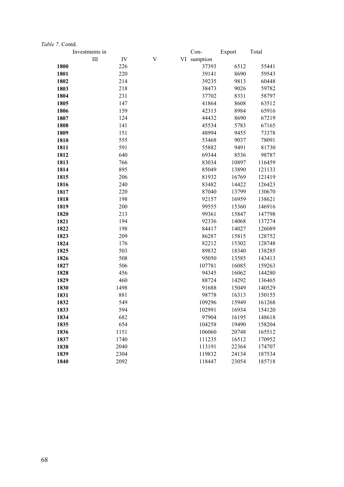|      | Investments in |      |   | Con-        | Export | Total  |
|------|----------------|------|---|-------------|--------|--------|
|      | III            | IV   | V | VI sumption |        |        |
| 1800 |                | 226  |   | 37393       | 6512   | 55441  |
| 1801 |                | 220  |   | 39141       | 8690   | 59543  |
| 1802 |                | 214  |   | 39235       | 9813   | 60448  |
| 1803 |                | 218  |   | 38473       | 9026   | 59782  |
| 1804 |                | 231  |   | 37702       | 8331   | 58797  |
| 1805 |                | 147  |   | 41864       | 8608   | 63512  |
| 1806 |                | 159  |   | 42313       | 8984   | 65916  |
| 1807 |                | 124  |   | 44432       | 8690   | 67219  |
| 1808 |                | 141  |   | 45534       | 5783   | 67165  |
| 1809 |                | 151  |   | 48994       | 9455   | 73378  |
| 1810 |                | 555  |   | 53468       | 9037   | 78091  |
| 1811 |                | 591  |   | 55882       | 9491   | 81730  |
| 1812 |                | 640  |   | 69344       | 8536   | 98787  |
| 1813 |                | 766  |   | 83034       | 10897  | 116459 |
| 1814 |                | 895  |   | 85049       | 13890  | 121133 |
| 1815 |                | 206  |   | 81932       | 16769  | 121419 |
| 1816 |                | 240  |   | 83482       | 14422  | 126423 |
| 1817 |                | 220  |   | 87040       | 13799  | 130670 |
| 1818 |                | 198  |   | 92157       | 16959  | 138621 |
| 1819 |                | 200  |   | 99555       | 15360  | 146916 |
| 1820 |                | 213  |   | 99361       | 15847  | 147798 |
| 1821 |                | 194  |   | 92336       | 14068  | 137274 |
| 1822 |                | 198  |   | 84417       | 14027  | 126089 |
| 1823 |                | 209  |   | 86287       | 15815  | 128752 |
| 1824 |                | 176  |   | 82212       | 15302  | 128748 |
| 1825 |                | 503  |   | 89832       | 18340  | 138285 |
| 1826 |                | 508  |   | 95050       | 13585  | 143413 |
| 1827 |                | 506  |   | 107781      | 16085  | 159263 |
| 1828 |                | 456  |   | 94345       | 16062  | 144280 |
| 1829 |                | 460  |   | 88724       | 14292  | 136465 |
| 1830 |                | 1498 |   | 91688       | 15049  | 140529 |
| 1831 |                | 881  |   | 98778       | 16313  | 150155 |
| 1832 |                | 549  |   | 109296      | 15949  | 161268 |
| 1833 |                | 594  |   | 102991      | 16934  | 154120 |
| 1834 |                | 682  |   | 97904       | 16195  | 148618 |
| 1835 |                | 654  |   | 104258      | 19490  | 158204 |
| 1836 |                | 1151 |   | 106060      | 20748  | 165512 |
| 1837 |                | 1740 |   | 111235      | 16512  | 170952 |
| 1838 |                | 2040 |   | 113191      | 22364  | 174707 |
| 1839 |                | 2304 |   | 119832      | 24134  | 187534 |
| 1840 |                | 2092 |   | 118447      | 23054  | 185718 |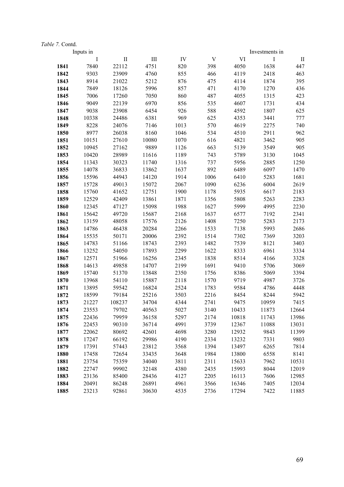|              | Inputs in      |                |                |              |                           |                | Investments in |               |  |
|--------------|----------------|----------------|----------------|--------------|---------------------------|----------------|----------------|---------------|--|
|              | $\bf{I}$       | $\mathbf{I}$   | III            | IV           | $\ensuremath{\mathbf{V}}$ | VI             | $\mathbf I$    | $\mathbf{I}$  |  |
| 1841         | 7840           | 22112          | 4751           | 820          | 398                       | 4050           | 1638           | 447           |  |
| 1842         | 9303           | 23909          | 4760           | 855          | 466                       | 4119           | 2418           | 463           |  |
| 1843         | 8914           | 21022          | 5212           | 876          | 475                       | 4114           | 1874           | 395           |  |
| 1844         | 7849           | 18126          | 5996           | 857          | 471                       | 4170           | 1270           | 436           |  |
| 1845         | 7006           | 17260          | 7050           | 860          | 487                       | 4055           | 1315           | 423           |  |
| 1846         | 9049           | 22139          | 6970           | 856          | 535                       | 4607           | 1731           | 434           |  |
| 1847         | 9038           | 23908          | 6454           | 926          | 588                       | 4592           | 1807           | 625           |  |
| 1848         | 10338          | 24486          | 6381           | 969          | 625                       | 4353           | 3441           | 777           |  |
| 1849         | 8228           | 24076          | 7146           | 1013         | 570                       | 4619           | 2275           | 740           |  |
| 1850         | 8977           | 26038          | 8160           | 1046         | 534                       | 4510           | 2911           | 962           |  |
| 1851         | 10151          | 27610          | 10080          | 1070         | 616                       | 4821           | 3462           | 905           |  |
| 1852         | 10945          | 27162          | 9889           | 1126         | 663                       | 5139           | 3549           | 905           |  |
| 1853         | 10420          | 28989          | 11616          | 1189         | 743                       | 5789           | 3130           | 1045          |  |
| 1854         | 11343          | 30323          | 11740          | 1316         | 737                       | 5956           | 2885           | 1250          |  |
| 1855         | 14078          | 36833          | 13862          | 1637         | 892                       | 6489           | 6097           | 1470          |  |
| 1856         | 15596          | 44943          | 14120          | 1914         | 1006                      | 6410           | 5283           | 1681          |  |
| 1857         | 15728          | 49013          | 15072          | 2067         | 1090                      | 6236           | 6004           | 2619          |  |
| 1858         | 15760          | 41652          | 12751          | 1900         | 1178                      | 5935           | 6617           | 2183          |  |
| 1859         | 12529          | 42409          | 13861          | 1871         | 1356                      | 5808           | 5263           | 2283          |  |
| 1860         | 12345          | 47127          | 15098          | 1988         | 1627                      | 5999           | 4995           | 2230          |  |
| 1861         | 15642          | 49720          | 15687          | 2168         | 1637                      | 6577           | 7192           | 2341          |  |
| 1862         | 13159          | 48058          | 17576          | 2126         | 1408                      | 7250           | 5283           | 2173          |  |
| 1863         | 14786          | 46438          | 20284          | 2266         | 1533                      | 7138           | 5993           | 2686          |  |
| 1864         | 15535          | 50171          | 20006          | 2392         | 1514                      | 7302           | 7369           | 3203          |  |
| 1865         | 14783          | 51166          | 18743          | 2393         | 1482                      | 7539           | 8121           | 3403          |  |
| 1866         | 13252          | 54050          | 17893          | 2299         | 1622                      | 8333           | 6961           | 3334          |  |
| 1867         | 12571          | 51966          | 16256          | 2345         | 1838                      | 8514           | 4166           | 3328          |  |
| 1868         | 14613          | 49858          | 14707          | 2199         | 1691                      | 9410           | 5706           | 3069          |  |
| 1869         | 15740          | 51370          | 13848          | 2350         | 1756                      | 8386           | 5069           | 3394          |  |
| 1870         | 13968          | 54110          | 15887          | 2118         | 1570                      | 9719           | 4987           | 3726          |  |
| 1871         | 13895          | 59542          | 16824          | 2524         | 1783                      | 9584           | 4786           | 4448          |  |
| 1872         | 18599          | 79184          | 25216          | 3503         | 2216                      | 8454           | 8244           | 5942          |  |
| 1873         | 21227          | 108237         | 34704          | 4344         | 2741                      | 9475           | 10959          | 7415          |  |
| 1874         | 23553          | 79702          | 40563          | 5027         | 3140                      | 10433          | 11873          | 12664         |  |
| 1875         | 22436          | 79959          | 36158          | 5297         | 2174                      | 10818          | 11743          | 13986         |  |
| 1876         | 22453          | 90310          | 36714          | 4991         | 3739                      | 12367          | 11088          | 13031         |  |
| 1877         | 22062          | 80692          | 42601<br>29986 | 4698<br>4190 | 3280                      | 12932          | 9843           | 11399<br>9803 |  |
| 1878         | 17247          | 66192          |                | 3568         | 2334                      | 13232          | 7331           |               |  |
| 1879<br>1880 | 17391          | 57443          | 23812          | 3648         | 1394                      | 13497          | 6265<br>6558   | 7814          |  |
| 1881         | 17458<br>23754 | 72654<br>75359 | 33435<br>34040 | 3811         | 1984<br>2311              | 13800<br>15633 | 7962           | 8141<br>10531 |  |
| 1882         | 22747          | 99902          | 32148          | 4380         | 2435                      | 15993          | 8044           | 12019         |  |
| 1883         | 23136          | 85400          | 28436          | 4127         | 2205                      | 16113          | 7606           | 12985         |  |
|              |                |                | 26891          | 4961         |                           |                |                |               |  |
| 1884         | 20491          | 86248          |                |              | 3566                      | 16346          | 7405           | 12034         |  |
| 1885         | 23213          | 92861          | 30630          | 4535         | 2736                      | 17294          | 7422           | 11885         |  |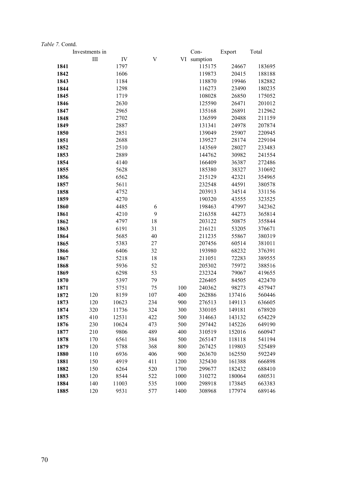|              | Investments in |              |           |            | Con-             | Export          | Total            |
|--------------|----------------|--------------|-----------|------------|------------------|-----------------|------------------|
|              | III            | IV           | V         |            | VI sumption      |                 |                  |
| 1841         |                | 1797         |           |            | 115175           | 24667           | 183695           |
| 1842         |                | 1606         |           |            | 119873           | 20415           | 188188           |
| 1843         |                | 1184         |           |            | 118870           | 19946           | 182882           |
| 1844         |                | 1298         |           |            | 116273           | 23490           | 180235           |
| 1845         |                | 1719         |           |            | 108028           | 26850           | 175052           |
| 1846         |                | 2630         |           |            | 125590           | 26471           | 201012           |
| 1847         |                | 2965         |           |            | 135168           | 26891           | 212962           |
| 1848         |                | 2702         |           |            | 136599           | 20488           | 211159           |
| 1849         |                | 2887         |           |            | 131341           | 24978           | 207874           |
| 1850         |                | 2851         |           |            | 139049           | 25907           | 220945           |
| 1851         |                | 2688         |           |            | 139527           | 28174           | 229104           |
| 1852         |                | 2510         |           |            | 143569           | 28027           | 233483           |
| 1853         |                | 2889         |           |            | 144762           | 30982           | 241554           |
| 1854         |                | 4140         |           |            | 166409           | 36387           | 272486           |
| 1855         |                | 5628         |           |            | 185380           | 38327           | 310692           |
| 1856         |                | 6562         |           |            | 215129           | 42321           | 354965           |
| 1857         |                | 5611         |           |            | 232548           | 44591           | 380578           |
| 1858         |                | 4752         |           |            | 203913           | 34514           | 331156           |
| 1859         |                | 4270         |           |            | 190320           | 43555           | 323525           |
| 1860         |                | 4485         | 6         |            | 198463           | 47997           | 342362           |
| 1861         |                | 4210         | 9         |            | 216358           | 44273           | 365814           |
| 1862         |                | 4797         | 18        |            | 203122           | 50875           | 355844           |
| 1863         |                | 6191         | 31        |            | 216121           | 53205           | 376671           |
| 1864         |                | 5685         | 40        |            | 211235           | 55867           | 380319           |
| 1865         |                | 5383         | 27        |            | 207456           | 60514           | 381011           |
| 1866         |                | 6406         | 32        |            | 193980           | 68232           | 376391           |
| 1867         |                | 5218         | 18        |            | 211051           | 72283           | 389555           |
| 1868         |                | 5936         | 52        |            | 205302           | 75972           | 388516           |
| 1869         |                | 6298         | 53        |            | 232324           | 79067           | 419655           |
| 1870         |                | 5397         | 79        |            | 226405           | 84505           | 422470           |
| 1871<br>1872 | 120            | 5751<br>8159 | 75<br>107 | 100<br>400 | 240362<br>262886 | 98273<br>137416 | 457947<br>560446 |
| 1873         | 120            | 10623        | 234       | 900        | 276513           | 149113          | 636605           |
| 1874         | 320            | 11736        | 324       | 300        | 330105           | 149181          | 678920           |
| 1875         | 410            | 12531        | 422       | 500        | 314663           | 143132          | 654229           |
| 1876         | 230            | 10624        | 473       | 500        | 297442           | 145226          | 649190           |
| 1877         | 210            | 9806         | 489       | 400        | 310519           | 152016          | 660947           |
| 1878         | 170            | 6561         | 384       | 500        | 265147           | 118118          | 541194           |
| 1879         | 120            | 5788         | 368       | 800        | 267425           | 119803          | 525489           |
| 1880         | 110            | 6936         | 406       | 900        | 263670           | 162550          | 592249           |
| 1881         | 150            | 4919         | 411       | 1200       | 325430           | 161388          | 666898           |
| 1882         | 150            | 6264         | 520       | 1700       | 299677           | 182432          | 688410           |
| 1883         | 120            | 8544         | 522       | 1000       | 310272           | 180064          | 680531           |
| 1884         | 140            | 11003        | 535       | 1000       | 298918           | 173845          | 663383           |
| 1885         | 120            | 9531         | 577       | 1400       | 308968           | 177974          | 689146           |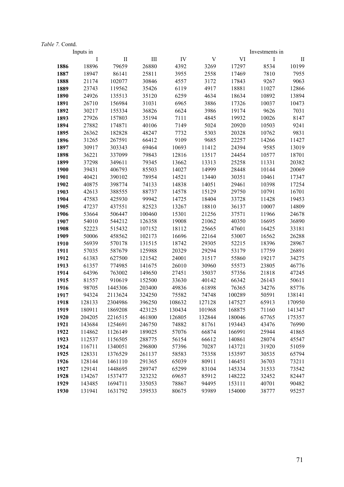|      | Inputs in |              |        |        |             |        | Investments in |              |
|------|-----------|--------------|--------|--------|-------------|--------|----------------|--------------|
|      | I         | $\mathbf{I}$ | III    | IV     | $\mathbf V$ | VI     | I              | $\mathbf{I}$ |
| 1886 | 18896     | 79659        | 26880  | 4392   | 3269        | 17297  | 8534           | 10199        |
| 1887 | 18947     | 86141        | 25811  | 3955   | 2558        | 17469  | 7810           | 7955         |
| 1888 | 21174     | 102077       | 30846  | 4557   | 3172        | 17843  | 9267           | 9063         |
| 1889 | 23743     | 119562       | 35426  | 6119   | 4917        | 18881  | 11027          | 12866        |
| 1890 | 24926     | 135513       | 35120  | 6259   | 4634        | 18634  | 10892          | 13894        |
| 1891 | 26710     | 156984       | 31031  | 6965   | 3886        | 17326  | 10037          | 10473        |
| 1892 | 30217     | 155334       | 36826  | 6624   | 3986        | 19174  | 9626           | 7031         |
| 1893 | 27926     | 157803       | 35194  | 7111   | 4845        | 19932  | 10026          | 8147         |
| 1894 | 27882     | 174871       | 40106  | 7149   | 5024        | 20920  | 10503          | 9241         |
| 1895 | 26362     | 182828       | 48247  | 7732   | 5303        | 20328  | 10762          | 9831         |
| 1896 | 31265     | 267591       | 66412  | 9109   | 9685        | 22257  | 14266          | 11427        |
| 1897 | 30917     | 303343       | 69464  | 10693  | 11412       | 24394  | 9585           | 13019        |
| 1898 | 36221     | 337099       | 79843  | 12816  | 13517       | 24454  | 10577          | 18701        |
| 1899 | 37298     | 349611       | 79345  | 13662  | 13313       | 25258  | 11331          | 20382        |
| 1900 | 39431     | 406793       | 85503  | 14027  | 14999       | 28448  | 10144          | 20069        |
| 1901 | 40421     | 390102       | 78954  | 14521  | 13440       | 30351  | 10461          | 17347        |
| 1902 | 40875     | 398774       | 74133  | 14838  | 14051       | 29461  | 10398          | 17254        |
| 1903 | 42613     | 388555       | 88737  | 14578  | 15129       | 29750  | 10791          | 16701        |
| 1904 | 47583     | 425930       | 99942  | 14725  | 18404       | 33728  | 11428          | 19453        |
| 1905 | 47237     | 437551       | 82523  | 13267  | 18810       | 36137  | 10007          | 14809        |
| 1906 | 53664     | 506447       | 100460 | 15301  | 21256       | 37571  | 11966          | 24678        |
| 1907 | 54010     | 544212       | 126358 | 19008  | 21062       | 40350  | 16695          | 36890        |
| 1908 | 52223     | 515432       | 107152 | 18112  | 25665       | 47601  | 16425          | 33181        |
| 1909 | 50006     | 458562       | 102173 | 16696  | 22164       | 53007  | 16562          | 26288        |
| 1910 | 56939     | 570178       | 131515 | 18742  | 29305       | 52215  | 18396          | 28967        |
| 1911 | 57035     | 587679       | 125988 | 20329  | 29294       | 53179  | 17759          | 26891        |
| 1912 | 61383     | 627500       | 121542 | 24001  | 31517       | 55860  | 19217          | 34275        |
| 1913 | 61357     | 774985       | 141675 | 26010  | 30960       | 55573  | 23805          | 46776        |
| 1914 | 64396     | 763002       | 149650 | 27451  | 35037       | 57356  | 21818          | 47245        |
| 1915 | 81557     | 910619       | 152500 | 33630  | 40142       | 66342  | 26143          | 50611        |
| 1916 | 98705     | 1445306      | 203400 | 49836  | 61898       | 76365  | 34276          | 85776        |
| 1917 | 94324     | 2113624      | 324250 | 75582  | 74748       | 100289 | 50591          | 138141       |
| 1918 | 128133    | 2304986      | 396250 | 108632 | 127128      | 147527 | 65913          | 170950       |
| 1919 | 180911    | 1869208      | 423125 | 130434 | 101968      | 168875 | 71160          | 141347       |
| 1920 | 204205    | 2216515      | 461800 | 126805 | 132844      | 180046 | 67765          | 175357       |
| 1921 | 143684    | 1254691      | 246750 | 74882  | 81761       | 193443 | 43476          | 76990        |
| 1922 | 114862    | 1126149      | 189025 | 57076  | 66874       | 166991 | 25944          | 41865        |
| 1923 | 112537    | 1156505      | 288775 | 56154  | 66612       | 140861 | 28074          | 45547        |
| 1924 | 116711    | 1340051      | 296800 | 57396  | 70287       | 143721 | 31920          | 51059        |
| 1925 | 128331    | 1376529      | 261137 | 58583  | 75358       | 153597 | 30535          | 65794        |
| 1926 | 128144    | 1461110      | 291365 | 65039  | 80911       | 146451 | 36703          | 73211        |
| 1927 | 129141    | 1448695      | 289747 | 65299  | 83104       | 145334 | 31533          | 73542        |
| 1928 | 134267    | 1537477      | 323232 | 69657  | 85912       | 148222 | 32452          | 82447        |
| 1929 | 143485    | 1694711      | 335053 | 78867  | 94495       | 153111 | 40701          | 90482        |
| 1930 | 131941    | 1631792      | 359533 | 80675  | 93989       | 154000 | 38777          | 95257        |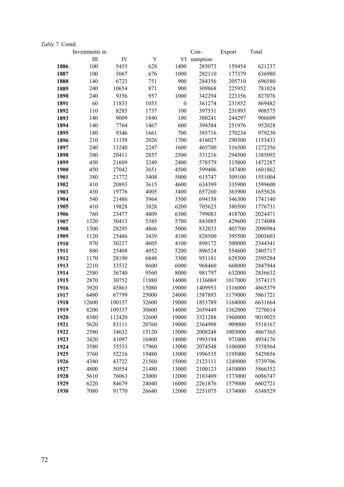|      | Investments in |        |             |                  | Con-     | Export  | Total   |
|------|----------------|--------|-------------|------------------|----------|---------|---------|
|      | III            | IV     | $\mathbf V$ | VI               | sumption |         |         |
| 1886 | 100            | 5455   | 628         | 1400             | 285073   | 159454  | 621237  |
| 1887 | 100            | 5067   | 676         | 1000             | 282110   | 177379  | 636980  |
| 1888 | 140            | 6723   | 751         | 900              | 284356   | 205710  | 696580  |
| 1889 | 240            | 10654  | 871         | 900              | 309868   | 225952  | 781024  |
| 1890 | 240            | 9356   | 957         | 1000             | 342294   | 223356  | 827076  |
| 1891 | 60             | 11833  | 1053        | $\boldsymbol{0}$ | 361274   | 231852  | 869482  |
| 1892 | 110            | 8285   | 1737        | 100              | 397531   | 231993  | 908575  |
| 1893 | 140            | 9009   | 1840        | 100              | 380241   | 244297  | 906609  |
| 1894 | 140            | 7764   | 1467        | 600              | 394384   | 251976  | 952028  |
| 1895 | 180            | 9346   | 1661        | 700              | 385716   | 270234  | 979230  |
| 1896 | 210            | 11158  | 2026        | 1700             | 416027   | 290300  | 1153433 |
| 1897 | 240            | 13240  | 2247        | 1600             | 465700   | 316500  | 1272356 |
| 1898 | 380            | 20411  | 2857        | 2500             | 531216   | 294500  | 1385092 |
| 1899 | 450            | 21609  | 3249        | 2400             | 578579   | 315800  | 1472287 |
| 1900 | 450            | 27042  | 3651        | 4500             | 599406   | 347400  | 1601862 |
| 1901 | 380            | 21772  | 3408        | 5000             | 615747   | 309100  | 1551004 |
| 1902 | 410            | 20893  | 3615        | 4600             | 634399   | 335900  | 1599600 |
| 1903 | 430            | 19776  | 4005        | 3400             | 657260   | 363900  | 1655626 |
| 1904 | 540            | 21486  | 3964        | 3500             | 694158   | 346300  | 1741140 |
| 1905 | 410            | 19828  | 3828        | 6200             | 705623   | 380500  | 1776731 |
| 1906 | 760            | 23477  | 4809        | 6300             | 799083   | 418700  | 2024471 |
| 1907 | 1320           | 30413  | 5385        | 5700             | 843085   | 429600  | 2174088 |
| 1908 | 1300           | 28295  | 4866        | 5000             | 832033   | 403700  | 2090984 |
| 1909 | 1120           | 25486  | 3439        | 4100             | 828500   | 395500  | 2003603 |
| 1910 | 970            | 30237  | 4605        | 4100             | 898172   | 500000  | 2344341 |
| 1911 | 880            | 25408  | 4952        | 5200             | 896524   | 554600  | 2405717 |
| 1912 | 1170           | 28190  | 6848        | 3300             | 951181   | 629300  | 2595284 |
| 1913 | 2210           | 33532  | 8600        | 6000             | 968460   | 668000  | 2847944 |
| 1914 | 2580           | 36740  | 9560        | 8000             | 981797   | 632000  | 2836632 |
| 1915 | 2870           | 30752  | 11880       | 14000            | 1136069  | 1017000 | 3574115 |
| 1916 | 3920           | 45863  | 15080       | 19000            | 1409953  | 1316000 | 4865379 |
| 1917 | 6480           | 67799  | 25000       | 24000            | 1587893  | 1179000 | 5861721 |
| 1918 | 12600          | 100157 | 32600       | 19000            | 1853789  | 1164000 | 6631664 |
| 1919 | 8200           | 109337 | 30600       | 14000            | 2659449  | 1362000 | 7270614 |
| 1920 | 8380           | 112420 | 32600       | 19000            | 3321288  | 1960000 | 9019025 |
| 1921 | 5620           | 83111  | 20760       | 19000            | 2364998  | 909000  | 5518167 |
| 1922 | 2580           | 34632  | 15120       | 15000            | 2008248  | 1003000 | 4867365 |
| 1923 | 3420           | 41097  | 16400       | 14000            | 1993194  | 971000  | 4934176 |
| 1924 | 3580           | 35533  | 17960       | 13000            | 2074548  | 1106000 | 5358564 |
| 1925 | 3760           | 52216  | 19480       | 13000            | 1996535  | 1195000 | 5429856 |
| 1926 | 4380           | 43722  | 21560       | 15000            | 2123111  | 1249000 | 5739706 |
| 1927 | 4800<br>5610   | 50554  | 21480       | 13000            | 2100123  | 1410000 | 5866352 |
| 1928 |                | 76063  | 23000       | 12000            | 2183409  | 1373000 | 6086747 |
| 1929 | 6220           | 84679  | 24040       | 16000            | 2261876  | 1579000 | 6602721 |
| 1930 | 7080           | 91770  | 26640       | 12000            | 2251075  | 1374000 | 6348529 |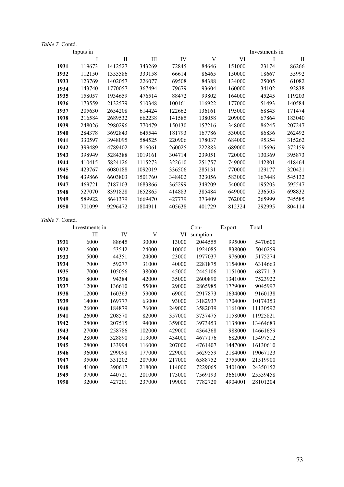|      | Inputs in |         |         |        |        |        | Investments in |             |
|------|-----------|---------|---------|--------|--------|--------|----------------|-------------|
|      | I         | П       | Ш       | IV     | V      | VI     | I              | $_{\rm II}$ |
| 1931 | 119673    | 1412527 | 343269  | 72845  | 84646  | 151000 | 23174          | 86266       |
| 1932 | 112150    | 1355586 | 339158  | 66614  | 86465  | 150000 | 18667          | 55992       |
| 1933 | 123769    | 1402057 | 226077  | 69508  | 84388  | 134000 | 25005          | 61082       |
| 1934 | 143740    | 1770057 | 367494  | 79679  | 93604  | 160000 | 34102          | 92838       |
| 1935 | 158057    | 1934659 | 476514  | 88472  | 99802  | 164000 | 45245          | 119203      |
| 1936 | 173559    | 2132579 | 510348  | 100161 | 116922 | 177000 | 51493          | 140584      |
| 1937 | 205630    | 2654208 | 614424  | 122662 | 136161 | 195000 | 68843          | 171474      |
| 1938 | 216584    | 2689532 | 662238  | 141585 | 138058 | 209000 | 67864          | 183040      |
| 1939 | 248026    | 2980296 | 770479  | 150130 | 157216 | 348000 | 86245          | 207247      |
| 1940 | 284378    | 3692843 | 645544  | 181793 | 167786 | 530000 | 86836          | 262492      |
| 1941 | 330597    | 3948095 | 584525  | 220906 | 178037 | 684000 | 95354          | 315262      |
| 1942 | 399489    | 4789402 | 816061  | 260025 | 222883 | 689000 | 115696         | 372159      |
| 1943 | 398949    | 5284388 | 1019161 | 304714 | 239051 | 720000 | 130369         | 395873      |
| 1944 | 410415    | 5824126 | 1115273 | 322610 | 251757 | 749000 | 142801         | 418464      |
| 1945 | 423767    | 6080188 | 1092019 | 336506 | 285131 | 770000 | 129177         | 320421      |
| 1946 | 439866    | 6603803 | 1501760 | 348402 | 323056 | 583000 | 167448         | 545132      |
| 1947 | 469721    | 7187103 | 1683866 | 365299 | 349209 | 540000 | 195203         | 595547      |
| 1948 | 527070    | 8391828 | 1652865 | 414883 | 385484 | 649000 | 236505         | 698832      |
| 1949 | 589922    | 8641379 | 1669470 | 427779 | 373409 | 762000 | 265999         | 745585      |
| 1950 | 701099    | 9296472 | 1804911 | 405638 | 401729 | 812324 | 292995         | 804114      |
|      |           |         |         |        |        |        |                |             |

| <i>e 7</i> . Contd. |                |        |        |        |          |         |          |
|---------------------|----------------|--------|--------|--------|----------|---------|----------|
|                     | Investments in |        |        |        | $Con-$   | Export  | Total    |
|                     | Ш              | IV     | V      | VI     | sumption |         |          |
| 1931                | 6000           | 88645  | 30000  | 13000  | 2044555  | 995000  | 5470600  |
| 1932                | 6000           | 53542  | 24000  | 10000  | 1924085  | 838000  | 5040259  |
| 1933                | 5000           | 44351  | 24000  | 23000  | 1977037  | 976000  | 5175274  |
| 1934                | 7000           | 59277  | 31000  | 40000  | 2281875  | 1154000 | 6314663  |
| 1935                | 7000           | 105056 | 38000  | 45000  | 2445106  | 1151000 | 6877113  |
| 1936                | 8000           | 94384  | 42000  | 35000  | 2600890  | 1341000 | 7523922  |
| 1937                | 12000          | 136610 | 55000  | 29000  | 2865985  | 1779000 | 9045997  |
| 1938                | 12000          | 160363 | 59000  | 69000  | 2917873  | 1634000 | 9160138  |
| 1939                | 14000          | 169777 | 63000  | 93000  | 3182937  | 1704000 | 10174353 |
| 1940                | 26000          | 184879 | 76000  | 249000 | 3582039  | 1161000 | 11130592 |
| 1941                | 26000          | 208570 | 82000  | 357000 | 3737475  | 1158000 | 11925821 |
| 1942                | 28000          | 207515 | 94000  | 359000 | 3973453  | 1138000 | 13464683 |
| 1943                | 27000          | 258786 | 102000 | 429000 | 4364368  | 988000  | 14661659 |
| 1944                | 28000          | 328890 | 113000 | 434000 | 4677176  | 682000  | 15497512 |
| 1945                | 28000          | 133994 | 116000 | 207000 | 4761407  | 1447000 | 16130610 |
| 1946                | 36000          | 299098 | 177000 | 229000 | 5629559  | 2184000 | 19067123 |
| 1947                | 35000          | 331202 | 207000 | 217000 | 6588752  | 2755000 | 21519900 |
| 1948                | 41000          | 390617 | 218000 | 114000 | 7229065  | 3401000 | 24350152 |
| 1949                | 37000          | 440721 | 201000 | 175000 | 7569193  | 3661000 | 25559458 |
| 1950                | 32000          | 427201 | 237000 | 199000 | 7782720  | 4904001 | 28101204 |
|                     |                |        |        |        |          |         |          |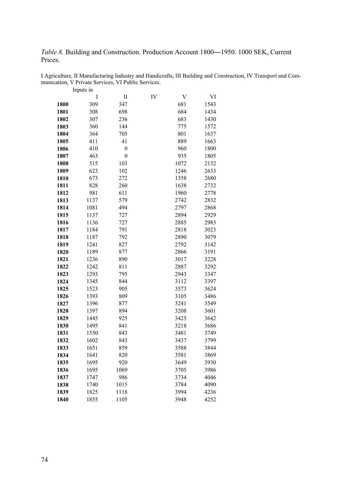*Table 8.* Building and Construction. Production Account 1800―1950. 1000 SEK, Current Prices.

|              | $\mathbf I$  | $\label{eq:1} \prod$ | IV | V            | VI           |
|--------------|--------------|----------------------|----|--------------|--------------|
| 1800         | 309          | 347                  |    | 681          | 1543         |
| 1801         | 308          | 698                  |    | 684          | 1434         |
| 1802         | 307          | 236                  |    | 683          | 1430         |
| 1803         | 360          | 144                  |    | 775          | 1572         |
| 1804         | 364          | 705                  |    | 801          | 1637         |
| 1805         | 411          | 41                   |    | 889          | 1663         |
| 1806         | 410          | $\boldsymbol{0}$     |    | 960          | 1800         |
| 1807         | 463          | $\overline{0}$       |    | 935          | 1805         |
| 1808         | 515          | 103                  |    | 1072         | 2132         |
| 1809         | 623          | 102                  |    | 1246         | 2633         |
| 1810         | 673          | 272                  |    | 1358         | 2680         |
| 1811         | 828          | 260                  |    | 1638         | 2732         |
| 1812         | 981          | 611                  |    | 1960         | 2778         |
| 1813         | 1137         | 579                  |    | 2742         | 2832         |
| 1814         | 1081         | 494                  |    | 2797         | 2868         |
| 1815         | 1137         | 727                  |    | 2894         | 2929         |
| 1816         | 1136         | 727                  |    | 2885         | 2983         |
| 1817         | 1184         | 791                  |    | 2818         | 3023         |
| 1818         | 1187         | 792                  |    | 2890         | 3079         |
| 1819         | 1241         | 827                  |    | 2792         | 3142         |
| 1820         | 1189         | 877                  |    | 2866         | 3191         |
| 1821         | 1236         | 890                  |    | 3017         | 3228         |
| 1822         | 1242         | 811                  |    | 2887         | 3292         |
| 1823         | 1293         | 795                  |    | 2943         | 3347         |
| 1824         | 1345         | 844                  |    | 3112         | 3397         |
| 1825         | 1523         | 905                  |    | 3573         | 3624         |
| 1826         | 1393         | 809                  |    | 3105         | 3486         |
| 1827         | 1396         | 877                  |    | 3241         | 3549         |
| 1828         | 1397         | 894                  |    | 3208         | 3601         |
| 1829         | 1445         | 925                  |    | 3425         | 3642         |
| 1830         | 1495         | 841                  |    | 3218         | 3686         |
| 1831         | 1550         | 843                  |    | 3481         | 3749         |
| 1832         | 1602         | 843                  |    | 3437         | 3799         |
| 1833         | 1651         | 859                  |    | 3588         | 3844         |
| 1834         | 1641         | 820                  |    | 3581         | 3869         |
| 1835<br>1836 | 1695         | 920<br>1069          |    | 3649         | 3930         |
|              | 1695<br>1747 |                      |    | 3705         | 3986<br>4046 |
| 1837<br>1838 |              | 986<br>1015          |    | 3734<br>3784 | 4090         |
| 1839         | 1740         |                      |    | 3994         | 4236         |
|              | 1825         | 1118                 |    |              |              |

1855 1105 3948 4252

I Agriculture, II Manufacturing Industry and Handicrafts, III Building and Construction, IV Transport and Communication, V Private Services, VI Public Services. Inputs in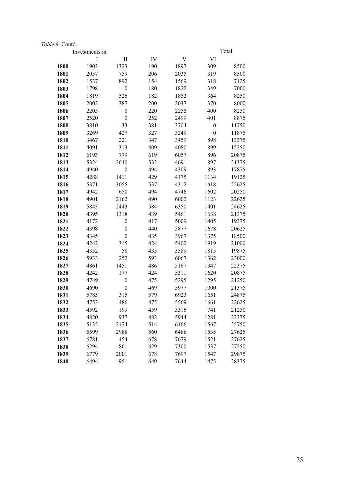|      | Investments in |                  |     |      |                  | Total |
|------|----------------|------------------|-----|------|------------------|-------|
|      | I              | $\rm II$         | IV  | V    | VI               |       |
| 1800 | 1903           | 1323             | 190 | 1897 | 309              | 8500  |
| 1801 | 2057           | 759              | 206 | 2035 | 319              | 8500  |
| 1802 | 1537           | 892              | 154 | 1569 | 318              | 7125  |
| 1803 | 1798           | $\boldsymbol{0}$ | 180 | 1822 | 349              | 7000  |
| 1804 | 1819           | 526              | 182 | 1852 | 364              | 8250  |
| 1805 | 2002           | 387              | 200 | 2037 | 370              | 8000  |
| 1806 | 2205           | $\boldsymbol{0}$ | 220 | 2255 | 400              | 8250  |
| 1807 | 2520           | $\boldsymbol{0}$ | 252 | 2499 | 401              | 8875  |
| 1808 | 3810           | 33               | 381 | 3704 | $\boldsymbol{0}$ | 11750 |
| 1809 | 3269           | 427              | 327 | 3249 | $\boldsymbol{0}$ | 11875 |
| 1810 | 3467           | 221              | 347 | 3459 | 898              | 13375 |
| 1811 | 4091           | 313              | 409 | 4080 | 899              | 15250 |
| 1812 | 6193           | 779              | 619 | 6057 | 896              | 20875 |
| 1813 | 5324           | 2640             | 532 | 4691 | 897              | 21375 |
| 1814 | 4940           | $\boldsymbol{0}$ | 494 | 4309 | 893              | 17875 |
| 1815 | 4288           | 1411             | 429 | 4175 | 1134             | 19125 |
| 1816 | 5371           | 3055             | 537 | 4312 | 1618             | 22625 |
| 1817 | 4942           | 650              | 494 | 4746 | 1602             | 20250 |
| 1818 | 4901           | 2162             | 490 | 6002 | 1123             | 22625 |
| 1819 | 5843           | 2443             | 584 | 6350 | 1401             | 24625 |
| 1820 | 4395           | 1318             | 439 | 5461 | 1638             | 21375 |
| 1821 | 4172           | $\boldsymbol{0}$ | 417 | 5009 | 1405             | 19375 |
| 1822 | 4398           | $\boldsymbol{0}$ | 440 | 5877 | 1678             | 20625 |
| 1823 | 4345           | $\boldsymbol{0}$ | 435 | 3967 | 1375             | 18500 |
| 1824 | 4242           | 315              | 424 | 5402 | 1919             | 21000 |
| 1825 | 4352           | 58               | 435 | 3589 | 1815             | 19875 |
| 1826 | 5933           | 252              | 593 | 6067 | 1362             | 23000 |
| 1827 | 4861           | 1451             | 486 | 5167 | 1347             | 22375 |
| 1828 | 4242           | 177              | 424 | 5311 | 1620             | 20875 |
| 1829 | 4749           | $\boldsymbol{0}$ | 475 | 5295 | 1295             | 21250 |
| 1830 | 4690           | $\boldsymbol{0}$ | 469 | 5977 | 1000             | 21375 |
| 1831 | 5785           | 315              | 579 | 6923 | 1651             | 24875 |
| 1832 | 4753           | 486              | 475 | 5569 | 1661             | 22625 |
| 1833 | 4592           | 199              | 459 | 5316 | 741              | 21250 |
| 1834 | 4820           | 937              | 482 | 5944 | 1281             | 23375 |
| 1835 | 5135           | 2174             | 514 | 6166 | 1567             | 25750 |
| 1836 | 5599           | 2988             | 560 | 6488 | 1535             | 27625 |
| 1837 | 6781           | 454              | 678 | 7679 | 1521             | 27625 |
| 1838 | 6294           | 861              | 629 | 7300 | 1537             | 27250 |
| 1839 | 6779           | 2001             | 678 | 7697 | 1547             | 29875 |
| 1840 | 6494           | 951              | 649 | 7644 | 1475             | 28375 |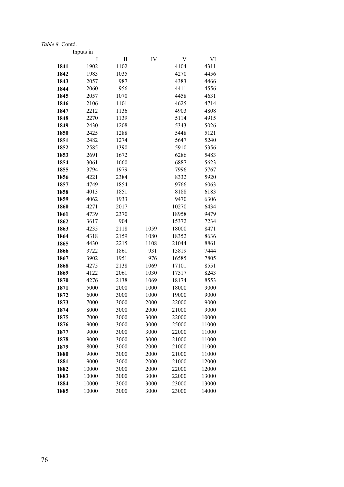|              | Inputs in    |                            |              |                |                |
|--------------|--------------|----------------------------|--------------|----------------|----------------|
|              | I            | $\mathop{\rm II}\nolimits$ | IV           | V              | VI             |
| 1841         | 1902         | 1102                       |              | 4104           | 4311           |
| 1842         | 1983         | 1035                       |              | 4270           | 4456           |
| 1843         | 2057         | 987                        |              | 4383           | 4466           |
| 1844         | 2060         | 956                        |              | 4411           | 4556           |
| 1845         | 2057         | 1070                       |              | 4458           | 4631           |
| 1846         | 2106         | 1101                       |              | 4625           | 4714           |
| 1847         | 2212         | 1136                       |              | 4903           | 4808           |
| 1848         | 2270         | 1139                       |              | 5114           | 4915           |
| 1849         | 2430         | 1208                       |              | 5343           | 5026           |
| 1850         | 2425         | 1288                       |              | 5448           | 5121           |
| 1851         | 2482         | 1274                       |              | 5647           | 5240           |
| 1852         | 2585         | 1390                       |              | 5910           | 5356           |
| 1853         | 2691         | 1672                       |              | 6286           | 5483           |
| 1854         | 3061         | 1660                       |              | 6887           | 5623           |
| 1855         | 3794         | 1979                       |              | 7996           | 5767           |
| 1856         | 4221         | 2384                       |              | 8332           | 5920           |
| 1857         | 4749         | 1854                       |              | 9766           | 6063           |
| 1858         | 4013         | 1851                       |              | 8188           | 6183           |
| 1859         | 4062         | 1933                       |              | 9470           | 6306           |
| 1860         | 4271         | 2017                       |              | 10270          | 6434           |
| 1861         | 4739         | 2370                       |              | 18958          | 9479           |
| 1862         | 3617         | 904                        |              | 15372          | 7234           |
| 1863         | 4235         | 2118                       | 1059         | 18000          | 8471           |
| 1864         | 4318         | 2159                       | 1080         | 18352          | 8636           |
| 1865         | 4430         | 2215                       | 1108         | 21044          | 8861           |
| 1866         | 3722         | 1861                       | 931          | 15819          | 7444           |
| 1867         | 3902         | 1951                       | 976          | 16585          | 7805           |
| 1868         | 4275         | 2138                       | 1069         | 17101          | 8551           |
| 1869         | 4122         | 2061                       | 1030         | 17517          | 8243           |
| 1870         | 4276         | 2138                       | 1069         | 18174          | 8553           |
| 1871         | 5000         | 2000                       | 1000         | 18000          | 9000           |
| 1872         | 6000         | 3000                       | 1000         | 19000          | 9000           |
| 1873         | 7000         | 3000                       | 2000         | 22000          | 9000           |
| 1874         | 8000         | 3000                       | 2000         | 21000          | 9000           |
| 1875         | 7000         | 3000                       | 3000         | 22000          | 10000          |
| 1876         | 9000         | 3000                       | 3000         | 25000          | 11000          |
| 1877         | 9000         | 3000<br>3000               | 3000         | 22000          | 11000          |
| 1878         | 9000         |                            | 3000         | 21000          | 11000          |
| 1879         | 8000         | 3000                       | 2000         | 21000          | 11000          |
| 1880<br>1881 | 9000<br>9000 | 3000<br>3000               | 2000<br>2000 | 21000<br>21000 | 11000<br>12000 |
| 1882         | 10000        | 3000                       | 2000         | 22000          | 12000          |
| 1883         | 10000        | 3000                       | 3000         | 22000          | 13000          |
| 1884         | 10000        | 3000                       | 3000         | 23000          | 13000          |
| 1885         | 10000        | 3000                       | 3000         | 23000          | 14000          |
|              |              |                            |              |                |                |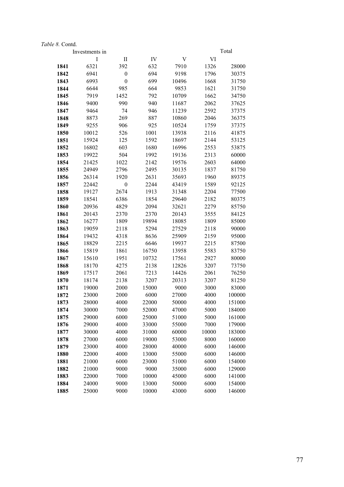|              | Investments in |                  |                |                |              | Total          |
|--------------|----------------|------------------|----------------|----------------|--------------|----------------|
|              | I              | $\rm II$         | IV             | V              | VI           |                |
| 1841         | 6321           | 392              | 632            | 7910           | 1326         | 28000          |
| 1842         | 6941           | $\boldsymbol{0}$ | 694            | 9198           | 1796         | 30375          |
| 1843         | 6993           | $\boldsymbol{0}$ | 699            | 10496          | 1668         | 31750          |
| 1844         | 6644           | 985              | 664            | 9853           | 1621         | 31750          |
| 1845         | 7919           | 1452             | 792            | 10709          | 1662         | 34750          |
| 1846         | 9400           | 990              | 940            | 11687          | 2062         | 37625          |
| 1847         | 9464           | 74               | 946            | 11239          | 2592         | 37375          |
| 1848         | 8873           | 269              | 887            | 10860          | 2046         | 36375          |
| 1849         | 9255           | 906              | 925            | 10524          | 1759         | 37375          |
| 1850         | 10012          | 526              | 1001           | 13938          | 2116         | 41875          |
| 1851         | 15924          | 125              | 1592           | 18697          | 2144         | 53125          |
| 1852         | 16802          | 603              | 1680           | 16996          | 2553         | 53875          |
| 1853         | 19922          | 504              | 1992           | 19136          | 2313         | 60000          |
| 1854         | 21425          | 1022             | 2142           | 19576          | 2603         | 64000          |
| 1855         | 24949          | 2796             | 2495           | 30135          | 1837         | 81750          |
| 1856         | 26314          | 1920             | 2631           | 35693          | 1960         | 89375          |
| 1857         | 22442          | $\boldsymbol{0}$ | 2244           | 43419          | 1589         | 92125          |
| 1858         | 19127          | 2674             | 1913           | 31348          | 2204         | 77500          |
| 1859         | 18541          | 6386             | 1854           | 29640          | 2182         | 80375          |
| 1860         | 20936          | 4829             | 2094           | 32621          | 2279         | 85750          |
| 1861         | 20143          | 2370             | 2370           | 20143          | 3555         | 84125          |
| 1862         | 16277          | 1809             | 19894          | 18085          | 1809         | 85000          |
| 1863         | 19059          | 2118             | 5294           | 27529          | 2118         | 90000          |
| 1864         | 19432          | 4318             | 8636           | 25909          | 2159         | 95000          |
| 1865         | 18829          | 2215             | 6646           | 19937          | 2215<br>5583 | 87500          |
| 1866<br>1867 | 15819<br>15610 | 1861<br>1951     | 16750<br>10732 | 13958<br>17561 | 2927         | 83750<br>80000 |
| 1868         | 18170          | 4275             | 2138           | 12826          | 3207         | 73750          |
| 1869         | 17517          | 2061             | 7213           | 14426          | 2061         | 76250          |
| 1870         | 18174          | 2138             | 3207           | 20313          | 3207         | 81250          |
| 1871         | 19000          | 2000             | 15000          | 9000           | 3000         | 83000          |
| 1872         | 23000          | 2000             | 6000           | 27000          | 4000         | 100000         |
| 1873         | 28000          | 4000             | 22000          | 50000          | 4000         | 151000         |
| 1874         | 30000          | 7000             | 52000          | 47000          | 5000         | 184000         |
| 1875         | 29000          | 6000             | 25000          | 51000          | 5000         | 161000         |
| 1876         | 29000          | 4000             | 33000          | 55000          | 7000         | 179000         |
| 1877         | 30000          | 4000             | 31000          | 60000          | 10000        | 183000         |
| 1878         | 27000          | 6000             | 19000          | 53000          | 8000         | 160000         |
| 1879         | 23000          | 4000             | 28000          | 40000          | 6000         | 146000         |
| 1880         | 22000          | 4000             | 13000          | 55000          | 6000         | 146000         |
| 1881         | 21000          | 6000             | 23000          | 51000          | 6000         | 154000         |
| 1882         | 21000          | 9000             | 9000           | 35000          | 6000         | 129000         |
| 1883         | 22000          | 7000             | 10000          | 45000          | 6000         | 141000         |
| 1884         | 24000          | 9000             | 13000          | 50000          | 6000         | 154000         |
| 1885         | 25000          | 9000             | 10000          | 43000          | 6000         | 146000         |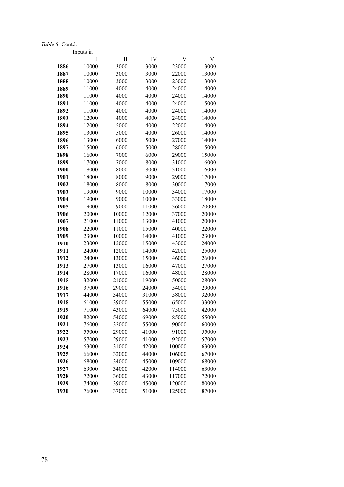|              | Inputs in      |                |                |                  |                |
|--------------|----------------|----------------|----------------|------------------|----------------|
|              | I              | П              | IV             | V                | VI             |
| 1886         | 10000          | 3000           | 3000           | 23000            | 13000          |
| 1887         | 10000          | 3000           | 3000           | 22000            | 13000          |
| 1888         | 10000          | 3000           | 3000           | 23000            | 13000          |
| 1889         | 11000          | 4000           | 4000           | 24000            | 14000          |
| 1890         | 11000          | 4000           | 4000           | 24000            | 14000          |
| 1891         | 11000          | 4000           | 4000           | 24000            | 15000          |
| 1892         | 11000          | 4000           | 4000           | 24000            | 14000          |
| 1893         | 12000          | 4000           | 4000           | 24000            | 14000          |
| 1894         | 12000          | 5000           | 4000           | 22000            | 14000          |
| 1895         | 13000          | 5000           | 4000           | 26000            | 14000          |
| 1896         | 13000          | 6000           | 5000           | 27000            | 14000          |
| 1897         | 15000          | 6000           | 5000           | 28000            | 15000          |
| 1898         | 16000          | 7000           | 6000           | 29000            | 15000          |
| 1899         | 17000          | 7000           | 8000           | 31000            | 16000          |
| 1900         | 18000          | 8000           | 8000           | 31000            | 16000          |
| 1901         | 18000          | 8000           | 9000           | 29000            | 17000          |
| 1902         | 18000          | 8000           | 8000           | 30000            | 17000          |
| 1903         | 19000          | 9000           | 10000          | 34000            | 17000          |
| 1904         | 19000          | 9000           | 10000          | 33000            | 18000          |
| 1905         | 19000          | 9000           | 11000          | 36000            | 20000          |
| 1906         | 20000          | 10000          | 12000          | 37000            | 20000          |
| 1907         | 21000          | 11000          | 13000          | 41000            | 20000          |
| 1908         | 22000          | 11000          | 15000          | 40000            | 22000          |
| 1909         | 23000          | 10000          | 14000          | 41000            | 23000          |
| 1910         | 23000          | 12000          | 15000          | 43000            | 24000          |
| 1911         | 24000          | 12000          | 14000          | 42000            | 25000          |
| 1912         | 24000          | 13000          | 15000          | 46000            | 26000          |
| 1913         | 27000          | 13000          | 16000          | 47000            | 27000          |
| 1914         | 28000          | 17000          | 16000          | 48000            | 28000          |
| 1915         | 32000          | 21000          | 19000          | 50000            | 28000          |
| 1916         | 37000          | 29000          | 24000          | 54000            | 29000          |
| 1917         | 44000          | 34000          | 31000          | 58000            | 32000          |
| 1918         | 61000          | 39000          | 55000          | 65000            | 33000          |
| 1919         | 71000          | 43000          | 64000          | 75000            | 42000          |
| 1920         | 82000          | 54000          | 69000          | 85000            | 55000          |
| 1921         | 76000          | 32000          | 55000          | 90000            | 60000          |
| 1922         | 55000          | 29000          | 41000          | 91000            | 55000          |
| 1923         | 57000          | 29000          | 41000          | 92000            | 57000          |
| 1924<br>1925 | 63000<br>66000 | 31000<br>32000 | 42000<br>44000 | 100000<br>106000 | 63000<br>67000 |
| 1926         | 68000          | 34000          | 45000          | 109000           | 68000          |
| 1927         | 69000          | 34000          | 42000          | 114000           | 63000          |
| 1928         | 72000          | 36000          | 43000          | 117000           | 72000          |
| 1929         | 74000          | 39000          | 45000          | 120000           | 80000          |
| 1930         | 76000          | 37000          | 51000          | 125000           | 87000          |
|              |                |                |                |                  |                |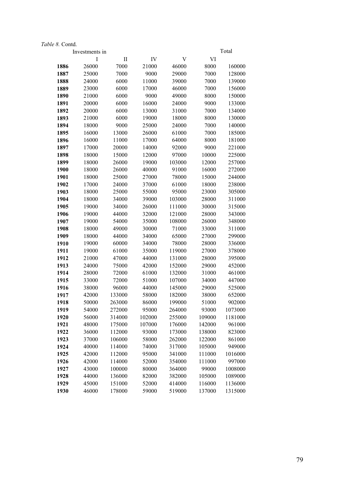|              | Investments in |                  |                |                  |                 | Total              |
|--------------|----------------|------------------|----------------|------------------|-----------------|--------------------|
|              | Ι              | $\rm II$         | IV             | V                | VI              |                    |
| 1886         | 26000          | 7000             | 21000          | 46000            | 8000            | 160000             |
| 1887         | 25000          | 7000             | 9000           | 29000            | 7000            | 128000             |
| 1888         | 24000          | 6000             | 11000          | 39000            | 7000            | 139000             |
| 1889         | 23000          | 6000             | 17000          | 46000            | 7000            | 156000             |
| 1890         | 21000          | 6000             | 9000           | 49000            | 8000            | 150000             |
| 1891         | 20000          | 6000             | 16000          | 24000            | 9000            | 133000             |
| 1892         | 20000          | 6000             | 13000          | 31000            | 7000            | 134000             |
| 1893         | 21000          | 6000             | 19000          | 18000            | 8000            | 130000             |
| 1894         | 18000          | 9000             | 25000          | 24000            | 7000            | 140000             |
| 1895         | 16000          | 13000            | 26000          | 61000            | 7000            | 185000             |
| 1896         | 16000          | 11000            | 17000          | 64000            | 8000            | 181000             |
| 1897         | 17000          | 20000            | 14000          | 92000            | 9000            | 221000             |
| 1898         | 18000          | 15000            | 12000          | 97000            | 10000           | 225000             |
| 1899         | 18000          | 26000            | 19000          | 103000           | 12000           | 257000             |
| 1900         | 18000          | 26000            | 40000          | 91000            | 16000           | 272000             |
| 1901         | 18000          | 25000            | 27000          | 78000            | 15000           | 244000             |
| 1902         | 17000          | 24000            | 37000          | 61000            | 18000           | 238000             |
| 1903         | 18000          | 25000            | 55000          | 95000            | 23000           | 305000             |
| 1904         | 18000          | 34000            | 39000          | 103000           | 28000           | 311000             |
| 1905         | 19000          | 34000            | 26000          | 111000           | 30000           | 315000             |
| 1906         | 19000          | 44000            | 32000          | 121000           | 28000           | 343000             |
| 1907         | 19000          | 54000            | 35000          | 108000           | 26000           | 348000             |
| 1908         | 18000          | 49000            | 30000          | 71000            | 33000           | 311000             |
| 1909         | 18000          | 44000            | 34000          | 65000            | 27000           | 299000             |
| 1910         | 19000          | 60000            | 34000          | 78000            | 28000           | 336000             |
| 1911         | 19000          | 61000            | 35000          | 119000           | 27000           | 378000             |
| 1912         | 21000          | 47000            | 44000          | 131000           | 28000           | 395000             |
| 1913         | 24000          | 75000            | 42000          | 152000           | 29000           | 452000             |
| 1914         | 28000          | 72000            | 61000          | 132000           | 31000           | 461000             |
| 1915         | 33000          | 72000            | 51000          | 107000           | 34000           | 447000             |
| 1916         | 38000          | 96000            | 44000          | 145000           | 29000           | 525000             |
| 1917         | 42000          | 133000           | 58000          | 182000           | 38000           | 652000             |
| 1918         | 50000          | 263000           | 86000<br>95000 | 199000           | 51000           | 902000             |
| 1919<br>1920 | 54000<br>56000 | 272000<br>314000 | 102000         | 264000<br>255000 | 93000<br>109000 | 1073000<br>1181000 |
| 1921         | 48000          | 175000           | 107000         | 176000           | 142000          | 961000             |
| 1922         | 36000          | 112000           | 93000          | 173000           | 138000          | 823000             |
| 1923         | 37000          | 106000           | 58000          | 262000           | 122000          | 861000             |
| 1924         | 40000          | 114000           | 74000          | 317000           | 105000          | 949000             |
| 1925         | 42000          | 112000           | 95000          | 341000           | 111000          | 1016000            |
| 1926         | 42000          | 114000           | 52000          | 354000           | 111000          | 997000             |
| 1927         | 43000          | 100000           | 80000          | 364000           | 99000           | 1008000            |
| 1928         | 44000          | 136000           | 82000          | 382000           | 105000          | 1089000            |
| 1929         | 45000          | 151000           | 52000          | 414000           | 116000          | 1136000            |
| 1930         | 46000          | 178000           | 59000          | 519000           | 137000          | 1315000            |
|              |                |                  |                |                  |                 |                    |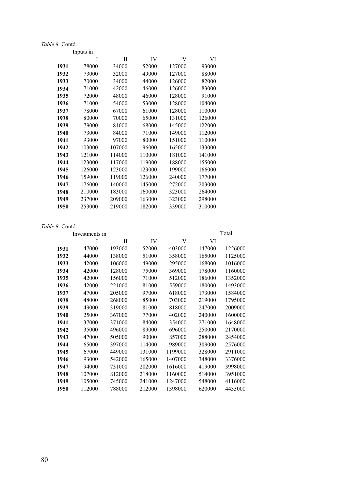|      | Inputs in |        |        |        |        |
|------|-----------|--------|--------|--------|--------|
|      | I         | П      | IV     | V      | VI     |
| 1931 | 78000     | 34000  | 52000  | 127000 | 93000  |
| 1932 | 73000     | 32000  | 49000  | 127000 | 88000  |
| 1933 | 70000     | 34000  | 44000  | 126000 | 82000  |
| 1934 | 71000     | 42000  | 46000  | 126000 | 83000  |
| 1935 | 72000     | 48000  | 46000  | 128000 | 91000  |
| 1936 | 71000     | 54000  | 53000  | 128000 | 104000 |
| 1937 | 78000     | 67000  | 61000  | 128000 | 110000 |
| 1938 | 80000     | 70000  | 65000  | 131000 | 126000 |
| 1939 | 79000     | 81000  | 68000  | 145000 | 122000 |
| 1940 | 73000     | 84000  | 71000  | 149000 | 112000 |
| 1941 | 93000     | 97000  | 80000  | 151000 | 110000 |
| 1942 | 103000    | 107000 | 96000  | 165000 | 133000 |
| 1943 | 121000    | 114000 | 110000 | 181000 | 141000 |
| 1944 | 123000    | 117000 | 119000 | 188000 | 155000 |
| 1945 | 126000    | 123000 | 123000 | 199000 | 166000 |
| 1946 | 159000    | 119000 | 126000 | 240000 | 177000 |
| 1947 | 176000    | 140000 | 145000 | 272000 | 203000 |
| 1948 | 210000    | 183000 | 160000 | 323000 | 264000 |
| 1949 | 237000    | 209000 | 163000 | 323000 | 298000 |
| 1950 | 253000    | 219000 | 182000 | 339000 | 310000 |

|      | Investments in |        |        |         |        | Total   |
|------|----------------|--------|--------|---------|--------|---------|
|      | I              | П      | IV     | V       | VI     |         |
| 1931 | 47000          | 193000 | 52000  | 403000  | 147000 | 1226000 |
| 1932 | 44000          | 138000 | 51000  | 358000  | 165000 | 1125000 |
| 1933 | 42000          | 106000 | 49000  | 295000  | 168000 | 1016000 |
| 1934 | 42000          | 128000 | 75000  | 369000  | 178000 | 1160000 |
| 1935 | 42000          | 156000 | 71000  | 512000  | 186000 | 1352000 |
| 1936 | 42000          | 221000 | 81000  | 559000  | 180000 | 1493000 |
| 1937 | 47000          | 205000 | 97000  | 618000  | 173000 | 1584000 |
| 1938 | 48000          | 268000 | 85000  | 703000  | 219000 | 1795000 |
| 1939 | 49000          | 319000 | 81000  | 818000  | 247000 | 2009000 |
| 1940 | 25000          | 367000 | 77000  | 402000  | 240000 | 1600000 |
| 1941 | 37000          | 371000 | 84000  | 354000  | 271000 | 1648000 |
| 1942 | 35000          | 496000 | 89000  | 696000  | 250000 | 2170000 |
| 1943 | 47000          | 505000 | 90000  | 857000  | 288000 | 2454000 |
| 1944 | 65000          | 397000 | 114000 | 989000  | 309000 | 2576000 |
| 1945 | 67000          | 449000 | 131000 | 1199000 | 328000 | 2911000 |
| 1946 | 93000          | 542000 | 165000 | 1407000 | 348000 | 3376000 |
| 1947 | 94000          | 731000 | 202000 | 1616000 | 419000 | 3998000 |
| 1948 | 107000         | 812000 | 218000 | 1160000 | 514000 | 3951000 |
| 1949 | 105000         | 745000 | 241000 | 1247000 | 548000 | 4116000 |
| 1950 | 112000         | 788000 | 212000 | 1398000 | 620000 | 4433000 |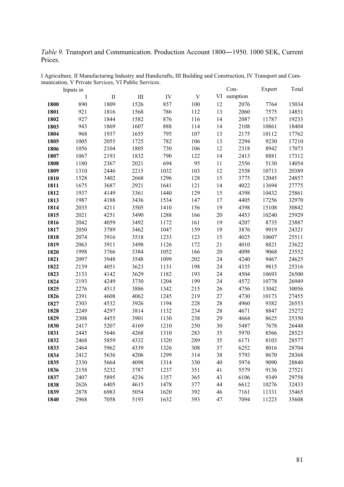*Table 9.* Transport and Communication. Production Account 1800―1950. 1000 SEK, Current Prices.

|      | Inputs in |      |      |      |     |        | Con-        | Export | Total |
|------|-----------|------|------|------|-----|--------|-------------|--------|-------|
|      | Ι         | П    | III  | IV   | V   |        | VI sumption |        |       |
| 1800 | 890       | 1809 | 1526 | 857  | 100 | 12     | 2076        | 7764   | 15034 |
| 1801 | 921       | 1816 | 1568 | 786  | 112 | 13     | 2060        | 7575   | 14851 |
| 1802 | 927       | 1844 | 1582 | 876  | 116 | 14     | 2087        | 11787  | 19233 |
| 1803 | 943       | 1869 | 1607 | 888  | 114 | 14     | 2108        | 10861  | 18404 |
| 1804 | 968       | 1937 | 1655 | 795  | 107 | 13     | 2175        | 10112  | 17762 |
| 1805 | 1005      | 2055 | 1725 | 782  | 106 | 13     | 2294        | 9230   | 17210 |
| 1806 | 1056      | 2104 | 1805 | 730  | 106 | 12     | 2318        | 8942   | 17073 |
| 1807 | 1067      | 2193 | 1832 | 790  | 122 | 14     | 2413        | 8881   | 17312 |
| 1808 | 1180      | 2367 | 2021 | 694  | 95  | 11     | 2556        | 5130   | 14054 |
| 1809 | 1310      | 2446 | 2215 | 1032 | 103 | 12     | 2558        | 10713  | 20389 |
| 1810 | 1528      | 3402 | 2668 | 1296 | 128 | 15     | 3775        | 12045  | 24857 |
| 1811 | 1675      | 3687 | 2921 | 1641 | 121 | 14     | 4022        | 13694  | 27775 |
| 1812 | 1937      | 4149 | 3361 | 1440 | 129 | 15     | 4398        | 10432  | 25861 |
| 1813 | 1987      | 4188 | 3436 | 1534 | 147 | 17     | 4405        | 17256  | 32970 |
| 1814 | 2035      | 4211 | 3505 | 1410 | 156 | 19     | 4398        | 15108  | 30842 |
| 1815 | 2021      | 4251 | 3490 | 1288 | 166 | 20     | 4453        | 10240  | 25929 |
| 1816 | 2042      | 4059 | 3492 | 1172 | 161 | 19     | 4207        | 8735   | 23887 |
| 1817 | 2050      | 3789 | 3462 | 1047 | 159 | 19     | 3876        | 9919   | 24321 |
| 1818 | 2074      | 3916 | 3518 | 1233 | 123 | 15     | 4025        | 10607  | 25511 |
| 1819 | 2063      | 3911 | 3498 | 1126 | 172 | $21\,$ | 4010        | 8821   | 23622 |
| 1820 | 1998      | 3766 | 3384 | 1052 | 166 | 20     | 4098        | 9068   | 23552 |
| 1821 | 2097      | 3948 | 3548 | 1099 | 202 | 24     | 4240        | 9467   | 24625 |
| 1822 | 2139      | 4051 | 3623 | 1131 | 198 | 24     | 4335        | 9815   | 25316 |
| 1823 | 2133      | 4142 | 3629 | 1182 | 193 | 24     | 4504        | 10693  | 26500 |
| 1824 | 2193      | 4249 | 3730 | 1204 | 199 | 24     | 4572        | 10778  | 26949 |
| 1825 | 2276      | 4513 | 3886 | 1342 | 215 | 26     | 4756        | 13042  | 30056 |
| 1826 | 2391      | 4608 | 4062 | 1245 | 219 | 27     | 4730        | 10173  | 27455 |
| 1827 | 2303      | 4532 | 3926 | 1194 | 228 | $28\,$ | 4960        | 9382   | 26553 |
| 1828 | 2249      | 4297 | 3814 | 1132 | 234 | 28     | 4671        | 8847   | 25272 |
| 1829 | 2308      | 4455 | 3901 | 1130 | 238 | 29     | 4664        | 8625   | 25350 |
| 1830 | 2417      | 5207 | 4169 | 1210 | 250 | 30     | 5487        | 7678   | 26448 |
| 1831 | 2445      | 5646 | 4268 | 1310 | 283 | 35     | 5970        | 8566   | 28523 |
| 1832 | 2468      | 5859 | 4332 | 1320 | 289 | 35     | 6171        | 8103   | 28577 |
| 1833 | 2464      | 5962 | 4339 | 1326 | 308 | 37     | 6252        | 8016   | 28704 |
| 1834 | 2412      | 5636 | 4206 | 1299 | 314 | 38     | 5793        | 8670   | 28368 |
| 1835 | 2330      | 5664 | 4098 | 1314 | 330 | 40     | 5974        | 9090   | 28840 |
| 1836 | 2158      | 5232 | 3787 | 1237 | 351 | 41     | 5579        | 9136   | 27521 |
| 1837 | 2407      | 5895 | 4236 | 1357 | 365 | 43     | 6106        | 9349   | 29758 |
| 1838 | 2626      | 6405 | 4615 | 1478 | 377 | 44     | 6612        | 10276  | 32433 |
| 1839 | 2878      | 6983 | 5054 | 1620 | 392 | 46     | 7161        | 11331  | 35465 |
| 1840 | 2968      | 7058 | 5193 | 1632 | 393 | 47     | 7094        | 11223  | 35608 |

I Agriculture, II Manufacturing Industry and Handicrafts, III Building and Construction, IV Transport and Communication, V Private Services, VI Public Services.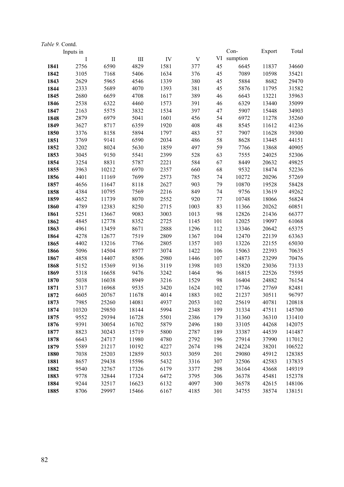| Table 9. Contd. |           |          |           |      |                           |     |          |        |        |
|-----------------|-----------|----------|-----------|------|---------------------------|-----|----------|--------|--------|
|                 | Inputs in |          |           |      |                           |     | Con-     | Export | Total  |
|                 | $\bf{I}$  | $\rm II$ | $\rm III$ | IV   | $\ensuremath{\mathbf{V}}$ | VI  | sumption |        |        |
| 1841            | 2756      | 6590     | 4829      | 1581 | 377                       | 45  | 6645     | 11837  | 34660  |
| 1842            | 3105      | 7168     | 5406      | 1634 | 376                       | 45  | 7089     | 10598  | 35421  |
| 1843            | 2629      | 5965     | 4546      | 1339 | 380                       | 45  | 5884     | 8682   | 29470  |
| 1844            | 2333      | 5689     | 4070      | 1393 | 381                       | 45  | 5876     | 11795  | 31582  |
| 1845            | 2680      | 6659     | 4708      | 1617 | 389                       | 46  | 6643     | 13221  | 35963  |
| 1846            | 2538      | 6322     | 4460      | 1573 | 391                       | 46  | 6329     | 13440  | 35099  |
| 1847            | 2163      | 5575     | 3832      | 1534 | 397                       | 47  | 5907     | 15448  | 34903  |
| 1848            | 2879      | 6979     | 5041      | 1601 | 456                       | 54  | 6972     | 11278  | 35260  |
| 1849            | 3627      | 8717     | 6359      | 1920 | 408                       | 48  | 8545     | 11612  | 41236  |
| 1850            | 3376      | 8158     | 5894      | 1797 | 483                       | 57  | 7907     | 11628  | 39300  |
| 1851            | 3769      | 9141     | 6590      | 2034 | 486                       | 58  | 8628     | 13445  | 44151  |
| 1852            | 3202      | 8024     | 5630      | 1859 | 497                       | 59  | 7766     | 13868  | 40905  |
| 1853            | 3045      | 9150     | 5541      | 2399 | 528                       | 63  | 7555     | 24025  | 52306  |
| 1854            | 3254      | 8831     | 5787      | 2221 | 584                       | 67  | 8449     | 20632  | 49825  |
| 1855            | 3963      | 10212    | 6970      | 2357 | 660                       | 68  | 9532     | 18474  | 52236  |
| 1856            | 4401      | 11169    | 7699      | 2573 | 785                       | 74  | 10272    | 20296  | 57269  |
| 1857            | 4656      | 11647    | 8118      | 2627 | 903                       | 79  | 10870    | 19528  | 58428  |
| 1858            | 4384      | 10795    | 7569      | 2216 | 849                       | 74  | 9756     | 13619  | 49262  |
| 1859            | 4652      | 11739    | 8070      | 2552 | 920                       | 77  | 10748    | 18066  | 56824  |
| 1860            | 4789      | 12383    | 8250      | 2715 | 1003                      | 83  | 11366    | 20262  | 60851  |
| 1861            | 5251      | 13667    | 9083      | 3003 | 1013                      | 98  | 12826    | 21436  | 66377  |
| 1862            | 4845      | 12778    | 8352      | 2725 | 1145                      | 101 | 12025    | 19097  | 61068  |
| 1863            | 4961      | 13459    | 8671      | 2888 | 1296                      | 112 | 13346    | 20642  | 65375  |
| 1864            | 4278      | 12677    | 7519      | 2809 | 1367                      | 104 | 12470    | 22139  | 63363  |
| 1865            | 4402      | 13216    | 7766      | 2805 | 1357                      | 103 | 13226    | 22155  | 65030  |
| 1866            | 5096      | 14504    | 8977      | 3074 | 1422                      | 106 | 15063    | 22393  | 70635  |
| 1867            | 4858      | 14407    | 8506      | 2980 | 1446                      | 107 | 14873    | 23299  | 70476  |
| 1868            | 5152      | 15369    | 9136      | 3119 | 1398                      | 103 | 15820    | 23036  | 73133  |
| 1869            | 5318      | 16658    | 9476      | 3242 | 1464                      | 96  | 16815    | 22526  | 75595  |
| 1870            | 5038      | 16038    | 8949      | 3216 | 1529                      | 98  | 16404    | 24882  | 76154  |
| 1871            | 5317      | 16968    | 9535      | 3420 | 1624                      | 102 | 17746    | 27769  | 82481  |
| 1872            | 6605      | 20767    | 11678     | 4014 | 1883                      | 102 | 21237    | 30511  | 96797  |
| 1873            | 7985      | 25260    | 14081     | 4937 | 2053                      | 102 | 25619    | 40781  | 120818 |
| 1874            | 10320     | 29850    | 18144     | 5994 | 2348                      | 199 | 31334    | 47511  | 145700 |
| 1875            | 9552      | 29394    | 16728     | 5501 | 2386                      | 179 | 31360    | 36310  | 131410 |
| 1876            | 9391      | 30054    | 16702     | 5879 | 2496                      | 180 | 33105    | 44268  | 142075 |
| 1877            | 8823      | 30243    | 15719     | 5800 | 2787                      | 189 | 33387    | 44539  | 141487 |
| 1878            | 6643      | 24717    | 11980     | 4780 | 2792                      | 196 | 27914    | 37990  | 117012 |
| 1879            | 5589      | 21217    | 10192     | 4227 | 2674                      | 198 | 24224    | 38201  | 106522 |
| 1880            | 7038      | 25203    | 12859     | 5033 | 3059                      | 201 | 29080    | 45912  | 128385 |
| 1881            | 8657      | 29438    | 15596     | 5432 | 3316                      | 307 | 32506    | 42583  | 137835 |
| 1882            | 9540      | 32767    | 17326     | 6179 | 3377                      | 298 | 36164    | 43668  | 149319 |
| 1883            | 9778      | 32844    | 17324     | 6472 | 3795                      | 306 | 36378    | 45481  | 152378 |
| 1884            | 9244      | 32517    | 16623     | 6132 | 4097                      | 300 | 36578    | 42615  | 148106 |
| 1885            | 8706      | 29997    | 15466     | 6167 | 4185                      | 301 | 34755    | 38574  | 138151 |
|                 |           |          |           |      |                           |     |          |        |        |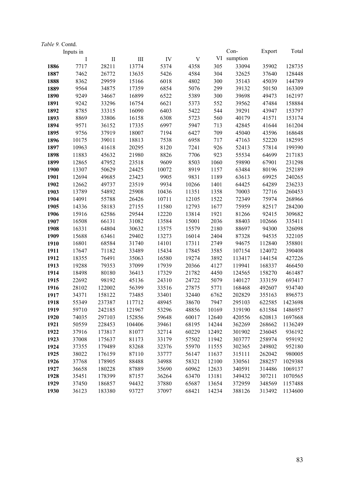| Table 9. Contd. |           |         |           |       |                           |       |          |        |         |
|-----------------|-----------|---------|-----------|-------|---------------------------|-------|----------|--------|---------|
|                 | Inputs in |         |           |       |                           |       | Con-     | Export | Total   |
|                 | $\bf{I}$  | $\;$ II | $\rm III$ | IV    | $\ensuremath{\mathbf{V}}$ | VI    | sumption |        |         |
| 1886            | 7717      | 28211   | 13774     | 5374  | 4358                      | 305   | 33094    | 35902  | 128735  |
| 1887            | 7462      | 26772   | 13635     | 5426  | 4584                      | 304   | 32625    | 37640  | 128448  |
| 1888            | 8362      | 29959   | 15166     | 6018  | 4802                      | 300   | 35143    | 45039  | 144789  |
| 1889            | 9564      | 34875   | 17359     | 6854  | 5076                      | 299   | 39132    | 50150  | 163309  |
| 1890            | 9249      | 34667   | 16899     | 6522  | 5389                      | 300   | 39698    | 49473  | 162197  |
| 1891            | 9242      | 33296   | 16754     | 6621  | 5373                      | 552   | 39562    | 47484  | 158884  |
| 1892            | 8785      | 33315   | 16090     | 6403  | 5422                      | 544   | 39291    | 43947  | 153797  |
| 1893            | 8869      | 33806   | 16158     | 6308  | 5723                      | 560   | 40179    | 41571  | 153174  |
| 1894            | 9571      | 36152   | 17335     | 6997  | 5947                      | 713   | 42845    | 41644  | 161204  |
| 1895            | 9756      | 37919   | 18007     | 7194  | 6427                      | 709   | 45040    | 43596  | 168648  |
| 1896            | 10175     | 39011   | 18813     | 7538  | 6958                      | 717   | 47163    | 52220  | 182595  |
| 1897            | 10963     | 41618   | 20295     | 8120  | 7241                      | 926   | 52413    | 57814  | 199390  |
| 1898            | 11883     | 45632   | 21980     | 8826  | 7706                      | 923   | 55534    | 64699  | 217183  |
| 1899            | 12865     | 47952   | 23518     | 9609  | 8503                      | 1060  | 59890    | 67901  | 231298  |
| 1900            | 13307     | 50629   | 24425     | 10072 | 8919                      | 1157  | 63484    | 80196  | 252189  |
| 1901            | 12694     | 49685   | 23423     | 9905  | 9831                      | 1189  | 63613    | 69925  | 240265  |
| 1902            | 12662     | 49737   | 23519     | 9934  | 10266                     | 1401  | 64425    | 64289  | 236233  |
| 1903            | 13789     | 54892   | 25908     | 10436 | 11351                     | 1358  | 70003    | 72716  | 260453  |
| 1904            | 14091     | 55788   | 26426     | 10711 | 12105                     | 1522  | 72349    | 75974  | 268966  |
| 1905            | 14336     | 58183   | 27155     | 11580 | 12793                     | 1677  | 75959    | 82517  | 284200  |
| 1906            | 15916     | 62586   | 29544     | 12220 | 13814                     | 1921  | 81266    | 92415  | 309682  |
| 1907            | 16508     | 66131   | 31082     | 13584 | 15001                     | 2036  | 88403    | 102666 | 335411  |
| 1908            | 16331     | 64804   | 30632     | 13575 | 15579                     | 2180  | 88697    | 94300  | 326098  |
| 1909            | 15688     | 63461   | 29402     | 13273 | 16014                     | 2404  | 87328    | 94535  | 322105  |
| 1910            | 16801     | 68584   | 31740     | 14101 | 17311                     | 2749  | 94675    | 112840 | 358801  |
| 1911            | 17647     | 71182   | 33489     | 15434 | 17845                     | 3585  | 107154   | 124072 | 390408  |
| 1912            | 18355     | 76491   | 35063     | 16580 | 19274                     | 3892  | 113417   | 144154 | 427226  |
| 1913            | 19288     | 79353   | 37099     | 17939 | 20366                     | 4127  | 119941   | 168337 | 466450  |
| 1914            | 18498     | 80180   | 36413     | 17329 | 21782                     | 4450  | 124565   | 158270 | 461487  |
| 1915            | 22692     | 98192   | 45136     | 24310 | 24722                     | 5079  | 140127   | 333159 | 693417  |
| 1916            | 28102     | 122002  | 56399     | 33516 | 27875                     | 5771  | 168468   | 492607 | 934740  |
| 1917            | 34371     | 158122  | 73485     | 33401 | 32440                     | 6762  | 202829   | 355163 | 896573  |
| 1918            | 55349     | 237387  | 117712    | 48945 | 38670                     | 7947  | 295103   | 622585 | 1423698 |
| 1919            | 59710     | 242185  | 121967    | 53296 | 48856                     | 10169 | 319190   | 631584 | 1486957 |
| 1920            | 74035     | 297103  | 152856    | 59648 | 60017                     | 12640 | 420556   | 620813 | 1697668 |
| 1921            | 50559     | 228453  | 104406    | 39461 | 68195                     | 14244 | 362269   | 268662 | 1136249 |
| 1922            | 37916     | 173817  | 81077     | 32714 | 60229                     | 12492 | 301902   | 236045 | 936192  |
| 1923            | 37008     | 175637  | 81173     | 33179 | 57502                     | 11942 | 303777   | 258974 | 959192  |
| 1924            | 37355     | 179489  | 83268     | 32376 | 55970                     | 11555 | 302365   | 249802 | 952180  |
| 1925            | 38022     | 176159  | 87110     | 33777 | 56147                     | 11637 | 315111   | 262042 | 980005  |
| 1926            | 37768     | 178905  | 88488     | 34988 | 58321                     | 12100 | 330561   | 288257 | 1029388 |
| 1927            | 36658     | 180228  | 87889     | 35690 | 60962                     | 12633 | 340591   | 314486 | 1069137 |
| 1928            | 35451     | 178399  | 87157     | 36264 | 63470                     | 13181 | 349432   | 307211 | 1070565 |
| 1929            | 37450     | 186857  | 94432     | 37880 | 65687                     | 13654 | 372959   | 348569 | 1157488 |
| 1930            | 36123     | 183380  | 93727     | 37097 | 68421                     | 14234 | 388126   | 313492 | 1134600 |
|                 |           |         |           |       |                           |       |          |        |         |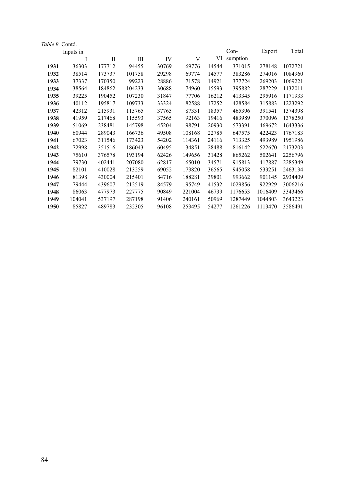| 1931<br>1932<br>1933<br>1934<br>1935<br>1936<br>1937 | I<br>36303<br>38514<br>37337<br>38564<br>39225<br>40112 | П<br>177712<br>173737<br>170350<br>184862<br>190452<br>195817 | Ш<br>94455<br>101758<br>99223<br>104233<br>107230 | IV<br>30769<br>29298<br>28886<br>30688<br>31847 | V<br>69776<br>69774<br>71578<br>74960 | VI<br>14544<br>14577<br>14921<br>15593 | sumption<br>371015<br>383286<br>377724<br>395882 | 278148<br>274016<br>269203<br>287229 | 1072721<br>1084960<br>1069221<br>1132011 |
|------------------------------------------------------|---------------------------------------------------------|---------------------------------------------------------------|---------------------------------------------------|-------------------------------------------------|---------------------------------------|----------------------------------------|--------------------------------------------------|--------------------------------------|------------------------------------------|
|                                                      |                                                         |                                                               |                                                   |                                                 |                                       |                                        |                                                  |                                      |                                          |
|                                                      |                                                         |                                                               |                                                   |                                                 |                                       |                                        |                                                  |                                      |                                          |
|                                                      |                                                         |                                                               |                                                   |                                                 |                                       |                                        |                                                  |                                      |                                          |
|                                                      |                                                         |                                                               |                                                   |                                                 |                                       |                                        |                                                  |                                      |                                          |
|                                                      |                                                         |                                                               |                                                   |                                                 |                                       |                                        |                                                  |                                      |                                          |
|                                                      |                                                         |                                                               |                                                   |                                                 | 77706                                 | 16212                                  | 413345                                           | 295916                               | 1171933                                  |
|                                                      |                                                         |                                                               | 109733                                            | 33324                                           | 82588                                 | 17252                                  | 428584                                           | 315883                               | 1223292                                  |
|                                                      | 42312                                                   | 215931                                                        | 115765                                            | 37765                                           | 87331                                 | 18357                                  | 465396                                           | 391541                               | 1374398                                  |
| 1938                                                 | 41959                                                   | 217468                                                        | 115593                                            | 37565                                           | 92163                                 | 19416                                  | 483989                                           | 370096                               | 1378250                                  |
| 1939                                                 | 51069                                                   | 238481                                                        | 145798                                            | 45204                                           | 98791                                 | 20930                                  | 573391                                           | 469672                               | 1643336                                  |
| 1940                                                 | 60944                                                   | 289043                                                        | 166736                                            | 49508                                           | 108168                                | 22785                                  | 647575                                           | 422423                               | 1767183                                  |
| 1941                                                 | 67023                                                   | 311546                                                        | 173423                                            | 54202                                           | 114361                                | 24116                                  | 713325                                           | 493989                               | 1951986                                  |
| 1942                                                 | 72998                                                   | 351516                                                        | 186043                                            | 60495                                           | 134851                                | 28488                                  | 816142                                           | 522670                               | 2173203                                  |
| 1943                                                 | 75610                                                   | 376578                                                        | 193194                                            | 62426                                           | 149656                                | 31428                                  | 865262                                           | 502641                               | 2256796                                  |
| 1944                                                 | 79730                                                   | 402441                                                        | 207080                                            | 62817                                           | 165010                                | 34571                                  | 915813                                           | 417887                               | 2285349                                  |
| 1945                                                 | 82101                                                   | 410028                                                        | 213259                                            | 69052                                           | 173820                                | 36565                                  | 945058                                           | 533251                               | 2463134                                  |
| 1946                                                 | 81398                                                   | 430004                                                        | 215401                                            | 84716                                           | 188281                                | 39801                                  | 993662                                           | 901145                               | 2934409                                  |
| 1947                                                 | 79444                                                   | 439607                                                        | 212519                                            | 84579                                           | 195749                                | 41532                                  | 1029856                                          | 922929                               | 3006216                                  |
| 1948                                                 | 86063                                                   | 477973                                                        | 227775                                            | 90849                                           | 221004                                | 46739                                  | 1176653                                          | 1016409                              | 3343466                                  |
| 1949                                                 | 104041                                                  | 537197                                                        | 287198                                            | 91406                                           | 240161                                | 50969                                  | 1287449                                          | 1044803                              | 3643223                                  |
| 1950                                                 | 85827                                                   | 489783                                                        | 232305                                            | 96108                                           | 253495                                | 54277                                  | 1261226                                          | 1113470                              | 3586491                                  |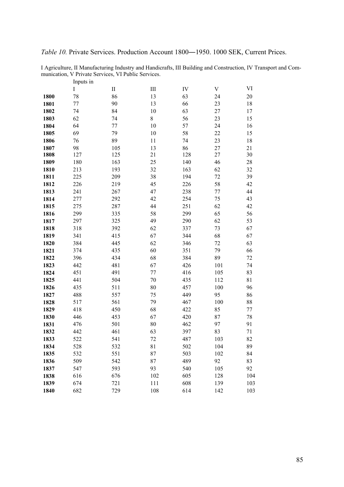I Agriculture, II Manufacturing Industry and Handicrafts, III Building and Construction, IV Transport and Communication, V Private Services, VI Public Services.

|      | Inputs in   |          |                             |     |                           |     |
|------|-------------|----------|-----------------------------|-----|---------------------------|-----|
|      | $\mathbf I$ | $\rm II$ | $\mathop{\rm III}\nolimits$ | IV  | $\ensuremath{\mathbf{V}}$ | VI  |
| 1800 | 78          | 86       | 13                          | 63  | 24                        | 20  |
| 1801 | 77          | 90       | 13                          | 66  | 23                        | 18  |
| 1802 | 74          | 84       | 10                          | 63  | 27                        | 17  |
| 1803 | 62          | 74       | 8                           | 56  | 23                        | 15  |
| 1804 | 64          | 77       | 10                          | 57  | 24                        | 16  |
| 1805 | 69          | 79       | 10                          | 58  | 22                        | 15  |
| 1806 | 76          | 89       | 11                          | 74  | 23                        | 18  |
| 1807 | 98          | 105      | 13                          | 86  | 27                        | 21  |
| 1808 | 127         | 125      | 21                          | 128 | 27                        | 30  |
| 1809 | 180         | 163      | 25                          | 140 | 46                        | 28  |
| 1810 | 213         | 193      | 32                          | 163 | 62                        | 32  |
| 1811 | 225         | 209      | 38                          | 194 | 72                        | 39  |
| 1812 | 226         | 219      | 45                          | 226 | 58                        | 42  |
| 1813 | 241         | 267      | 47                          | 238 | 77                        | 44  |
| 1814 | 277         | 292      | 42                          | 254 | 75                        | 43  |
| 1815 | 275         | 287      | 44                          | 251 | 62                        | 42  |
| 1816 | 299         | 335      | 58                          | 299 | 65                        | 56  |
| 1817 | 297         | 325      | 49                          | 290 | 62                        | 53  |
| 1818 | 318         | 392      | 62                          | 337 | 73                        | 67  |
| 1819 | 341         | 415      | 67                          | 344 | 68                        | 67  |
| 1820 | 384         | 445      | 62                          | 346 | 72                        | 63  |
| 1821 | 374         | 435      | 60                          | 351 | 79                        | 66  |
| 1822 | 396         | 434      | 68                          | 384 | 89                        | 72  |
| 1823 | 442         | 481      | 67                          | 426 | 101                       | 74  |
| 1824 | 451         | 491      | 77                          | 416 | 105                       | 83  |
| 1825 | 441         | 504      | 70                          | 435 | 112                       | 81  |
| 1826 | 435         | 511      | 80                          | 457 | 100                       | 96  |
| 1827 | 488         | 557      | 75                          | 449 | 95                        | 86  |
| 1828 | 517         | 561      | 79                          | 467 | 100                       | 88  |
| 1829 | 418         | 450      | 68                          | 422 | 85                        | 77  |
| 1830 | 446         | 453      | 67                          | 420 | 87                        | 78  |
| 1831 | 476         | 501      | 80                          | 462 | 97                        | 91  |
| 1832 | 442         | 461      | 63                          | 397 | 83                        | 71  |
| 1833 | 522         | 541      | 72                          | 487 | 103                       | 82  |
| 1834 | 528         | 532      | 81                          | 502 | 104                       | 89  |
| 1835 | 532         | 551      | 87                          | 503 | 102                       | 84  |
| 1836 | 509         | 542      | 87                          | 489 | 92                        | 83  |
| 1837 | 547         | 593      | 93                          | 540 | 105                       | 92  |
| 1838 | 616         | 676      | 102                         | 605 | 128                       | 104 |
| 1839 | 674         | 721      | 111                         | 608 | 139                       | 103 |
| 1840 | 682         | 729      | 108                         | 614 | 142                       | 103 |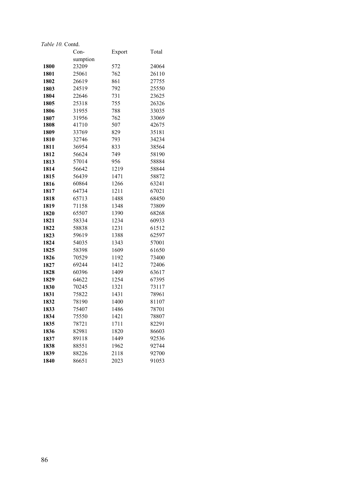|      | Con-     | Export | Total |
|------|----------|--------|-------|
|      | sumption |        |       |
| 1800 | 23209    | 572    | 24064 |
| 1801 | 25061    | 762    | 26110 |
| 1802 | 26619    | 861    | 27755 |
| 1803 | 24519    | 792    | 25550 |
| 1804 | 22646    | 731    | 23625 |
| 1805 | 25318    | 755    | 26326 |
| 1806 | 31955    | 788    | 33035 |
| 1807 | 31956    | 762    | 33069 |
| 1808 | 41710    | 507    | 42675 |
| 1809 | 33769    | 829    | 35181 |
| 1810 | 32746    | 793    | 34234 |
| 1811 | 36954    | 833    | 38564 |
| 1812 | 56624    | 749    | 58190 |
| 1813 | 57014    | 956    | 58884 |
| 1814 | 56642    | 1219   | 58844 |
| 1815 | 56439    | 1471   | 58872 |
| 1816 | 60864    | 1266   | 63241 |
| 1817 | 64734    | 1211   | 67021 |
| 1818 | 65713    | 1488   | 68450 |
| 1819 | 71158    | 1348   | 73809 |
| 1820 | 65507    | 1390   | 68268 |
| 1821 | 58334    | 1234   | 60933 |
| 1822 | 58838    | 1231   | 61512 |
| 1823 | 59619    | 1388   | 62597 |
| 1824 | 54035    | 1343   | 57001 |
| 1825 | 58398    | 1609   | 61650 |
| 1826 | 70529    | 1192   | 73400 |
| 1827 | 69244    | 1412   | 72406 |
| 1828 | 60396    | 1409   | 63617 |
| 1829 | 64622    | 1254   | 67395 |
| 1830 | 70245    | 1321   | 73117 |
| 1831 | 75822    | 1431   | 78961 |
| 1832 | 78190    | 1400   | 81107 |
| 1833 | 75407    | 1486   | 78701 |
| 1834 | 75550    | 1421   | 78807 |
| 1835 | 78721    | 1711   | 82291 |
| 1836 | 82981    | 1820   | 86603 |
| 1837 | 89118    | 1449   | 92536 |
| 1838 | 88551    | 1962   | 92744 |
| 1839 | 88226    | 2118   | 92700 |
| 1840 | 86651    | 2023   | 91053 |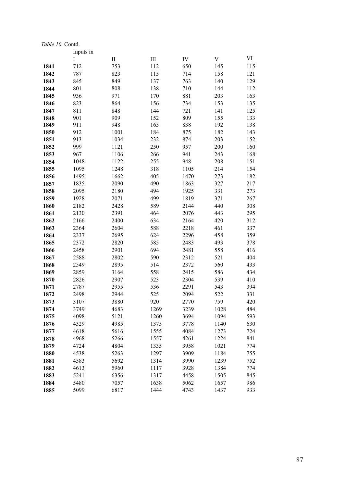| <i>Lable To.</i> Coma. | Inputs in |          |           |            |      |     |
|------------------------|-----------|----------|-----------|------------|------|-----|
|                        | I         | $\rm II$ | $\rm III$ | ${\rm IV}$ | V    | VI  |
| 1841                   | 712       | 753      | 112       | 650        | 145  | 115 |
| 1842                   | 787       | 823      | 115       | 714        | 158  | 121 |
| 1843                   | 845       | 849      | 137       | 763        | 140  | 129 |
| 1844                   | 801       | 808      | 138       | 710        | 144  | 112 |
| 1845                   | 936       | 971      | 170       | 881        | 203  | 163 |
| 1846                   | 823       | 864      | 156       | 734        | 153  | 135 |
| 1847                   | 811       | 848      | 144       | 721        | 141  | 125 |
| 1848                   | 901       | 909      | 152       | 809        | 155  | 133 |
| 1849                   | 911       | 948      | 165       | 838        | 192  | 138 |
| 1850                   | 912       | 1001     | 184       | 875        | 182  | 143 |
| 1851                   | 913       | 1034     | 232       | 874        | 203  | 152 |
| 1852                   | 999       | 1121     | 250       | 957        | 200  | 160 |
| 1853                   | 967       | 1106     | 266       | 941        | 243  | 168 |
| 1854                   | 1048      | 1122     | 255       | 948        | 208  | 151 |
| 1855                   | 1095      | 1248     | 318       | 1105       | 214  | 154 |
| 1856                   | 1495      | 1662     | 405       | 1470       | 273  | 182 |
| 1857                   | 1835      | 2090     | 490       | 1863       | 327  | 217 |
| 1858                   | 2095      | 2180     | 494       | 1925       | 331  | 273 |
| 1859                   | 1928      | 2071     | 499       | 1819       | 371  | 267 |
| 1860                   | 2182      | 2428     | 589       | 2144       | 440  | 308 |
| 1861                   | 2130      | 2391     | 464       | 2076       | 443  | 295 |
| 1862                   | 2166      | 2400     | 634       | 2164       | 420  | 312 |
| 1863                   | 2364      | 2604     | 588       | 2218       | 461  | 337 |
| 1864                   | 2337      | 2695     | 624       | 2296       | 458  | 359 |
| 1865                   | 2372      | 2820     | 585       | 2483       | 493  | 378 |
| 1866                   | 2458      | 2901     | 694       | 2481       | 558  | 416 |
| 1867                   | 2588      | 2802     | 590       | 2312       | 521  | 404 |
| 1868                   | 2549      | 2895     | 514       | 2372       | 560  | 433 |
| 1869                   | 2859      | 3164     | 558       | 2415       | 586  | 434 |
| 1870                   | 2826      | 2907     | 523       | 2304       | 539  | 410 |
| 1871                   | 2787      | 2955     | 536       | 2291       | 543  | 394 |
| 1872                   | 2498      | 2944     | 525       | 2094       | 522  | 331 |
| 1873                   | 3107      | 3880     | 920       | 2770       | 759  | 420 |
| 1874                   | 3749      | 4683     | 1269      | 3239       | 1028 | 484 |
| 1875                   | 4098      | 5121     | 1260      | 3694       | 1094 | 593 |
| 1876                   | 4329      | 4985     | 1375      | 3778       | 1140 | 630 |
| 1877                   | 4618      | 5616     | 1555      | 4084       | 1273 | 724 |
| 1878                   | 4968      | 5266     | 1557      | 4261       | 1224 | 841 |
| 1879                   | 4724      | 4804     | 1335      | 3958       | 1021 | 774 |
| 1880                   | 4538      | 5263     | 1297      | 3909       | 1184 | 755 |
| 1881                   | 4583      | 5692     | 1314      | 3990       | 1239 | 752 |
| 1882                   | 4613      | 5960     | 1117      | 3928       | 1384 | 774 |
| 1883                   | 5241      | 6356     | 1317      | 4458       | 1505 | 845 |
| 1884                   | 5480      | 7057     | 1638      | 5062       | 1657 | 986 |
| 1885                   | 5099      | 6817     | 1444      | 4743       | 1437 | 933 |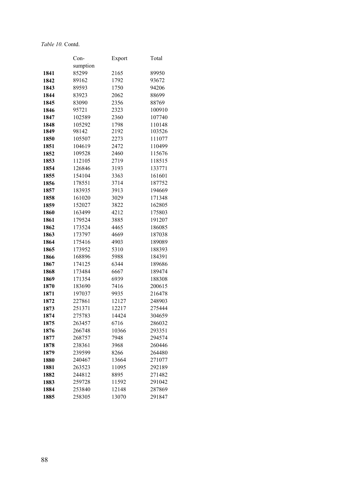|              | Con-             | Export       | Total            |
|--------------|------------------|--------------|------------------|
|              | sumption         |              |                  |
| 1841         | 85299            | 2165         | 89950            |
| 1842         | 89162            | 1792         | 93672            |
| 1843         | 89593            | 1750         | 94206            |
| 1844         | 83923            | 2062         | 88699            |
| 1845         | 83090            | 2356         | 88769            |
| 1846         | 95721            | 2323         | 100910           |
| 1847         | 102589           | 2360         | 107740           |
| 1848         | 105292           | 1798         | 110148           |
| 1849         | 98142            | 2192         | 103526           |
| 1850         | 105507           | 2273         | 111077           |
| 1851         | 104619           | 2472         | 110499           |
| 1852         | 109528           | 2460         | 115676           |
| 1853         | 112105           | 2719         | 118515           |
| 1854         | 126846           | 3193         | 133771           |
| 1855         | 154104           | 3363         | 161601           |
| 1856         | 178551           | 3714         | 187752           |
| 1857         | 183935           | 3913         | 194669           |
| 1858         | 161020           | 3029         | 171348           |
| 1859         | 152027           | 3822         | 162805           |
| 1860         | 163499           | 4212         | 175803           |
| 1861         | 179524           | 3885         | 191207           |
| 1862         | 173524           | 4465         | 186085           |
| 1863         | 173797           | 4669         | 187038           |
| 1864         | 175416           | 4903         | 189089           |
| 1865         | 173952           | 5310         | 188393           |
| 1866         | 168896           | 5988         | 184391           |
| 1867         | 174125           | 6344         | 189686           |
| 1868         | 173484           | 6667         | 189474           |
| 1869         | 171354           | 6939         | 188308           |
| 1870         | 183690<br>197037 | 7416<br>9935 | 200615<br>216478 |
| 1871         | 227861           | 12127        | 248903           |
| 1872<br>1873 | 251371           | 12217        | 275444           |
| 1874         | 275783           | 14424        | 304659           |
| 1875         | 263457           | 6716         | 286032           |
| 1876         | 266748           | 10366        | 293351           |
| 1877         | 268757           | 7948         | 294574           |
| 1878         | 238361           | 3968         | 260446           |
| 1879         | 239599           | 8266         | 264480           |
| 1880         | 240467           | 13664        | 271077           |
| 1881         | 263523           | 11095        | 292189           |
| 1882         | 244812           | 8895         | 271482           |
| 1883         | 259728           | 11592        | 291042           |
| 1884         | 253840           | 12148        | 287869           |
| 1885         | 258305           | 13070        | 291847           |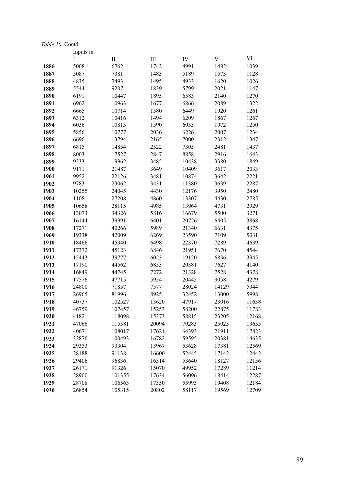|      | Inputs in |          |           |       |             |       |
|------|-----------|----------|-----------|-------|-------------|-------|
|      | I         | $\rm II$ | $\rm III$ | IV    | $\mathbf V$ | VI    |
| 1886 | 5008      | 6762     | 1742      | 4991  | 1482        | 1039  |
| 1887 | 5087      | 7381     | 1483      | 5189  | 1573        | 1128  |
| 1888 | 4835      | 7493     | 1495      | 4933  | 1620        | 1026  |
| 1889 | 5544      | 9207     | 1839      | 5799  | 2021        | 1147  |
| 1890 | 6191      | 10447    | 1895      | 6583  | 2140        | 1270  |
| 1891 | 6962      | 10963    | 1677      | 6866  | 2089        | 1322  |
| 1892 | 6665      | 10714    | 1580      | 6449  | 1920        | 1261  |
| 1893 | 6312      | 10416    | 1494      | 6209  | 1867        | 1267  |
| 1894 | 6036      | 10813    | 1590      | 6033  | 1972        | 1250  |
| 1895 | 5856      | 10777    | 2036      | 6226  | 2007        | 1234  |
| 1896 | 6696      | 13794    | 2165      | 7000  | 2312        | 1347  |
| 1897 | 6815      | 14854    | 2522      | 7305  | 2481        | 1437  |
| 1898 | 8003      | 17527    | 2847      | 8858  | 2916        | 1643  |
| 1899 | 9233      | 19962    | 3485      | 10438 | 3380        | 1849  |
| 1900 | 9171      | 21487    | 3649      | 10409 | 3617        | 2033  |
| 1901 | 9952      | 22126    | 3481      | 10874 | 3642        | 2221  |
| 1902 | 9783      | 23062    | 3431      | 11380 | 3639        | 2287  |
| 1903 | 10255     | 24045    | 4430      | 12176 | 3950        | 2480  |
| 1904 | 11081     | 27208    | 4860      | 13307 | 4430        | 2785  |
| 1905 | 10658     | 28115    | 4985      | 13964 | 4731        | 2929  |
| 1906 | 13073     | 34326    | 5816      | 16679 | 5500        | 3271  |
| 1907 | 16144     | 39991    | 6401      | 20726 | 6405        | 3868  |
| 1908 | 17271     | 40266    | 5989      | 21340 | 6631        | 4375  |
| 1909 | 19338     | 42009    | 6269      | 23590 | 7109        | 5031  |
| 1910 | 18466     | 45340    | 6498      | 22370 | 7289        | 4639  |
| 1911 | 17372     | 45123    | 6846      | 21951 | 7670        | 4544  |
| 1912 | 15443     | 39777    | 6023      | 19120 | 6836        | 3945  |
| 1913 | 17190     | 44562    | 6853      | 20381 | 7627        | 4140  |
| 1914 | 16849     | 44745    | 7272      | 21328 | 7528        | 4378  |
| 1915 | 17576     | 47715    | 5954      | 20445 | 9058        | 4279  |
| 1916 | 24800     | 71857    | 7577      | 28024 | 14129       | 5944  |
| 1917 | 26965     | 81996    | 8925      | 32452 | 13000       | 5998  |
| 1918 | 40737     | 102527   | 13620     | 47917 | 23016       | 11638 |
| 1919 | 46759     | 107457   | 15253     | 58200 | 22875       | 11783 |
| 1920 | 41821     | 118098   | 15373     | 58815 | 23205       | 12168 |
| 1921 | 47066     | 115381   | 20094     | 70283 | 25025       | 19655 |
| 1922 | 40671     | 108017   | 17621     | 64393 | 21911       | 17823 |
| 1923 | 32876     | 100493   | 16782     | 59595 | 20381       | 14635 |
| 1924 | 29353     | 93304    | 15967     | 53628 | 17381       | 12569 |
| 1925 | 28188     | 91138    | 16600     | 52445 | 17142       | 12442 |
| 1926 | 29406     | 96836    | 16314     | 53640 | 18127       | 12156 |
| 1927 | 26171     | 91326    | 15070     | 49952 | 17289       | 11214 |
| 1928 | 28900     | 101355   | 17634     | 56096 | 18414       | 12287 |
| 1929 | 28708     | 106563   | 17350     | 55993 | 19408       | 12184 |
| 1930 | 26854     | 105315   | 20802     | 58117 | 19569       | 12709 |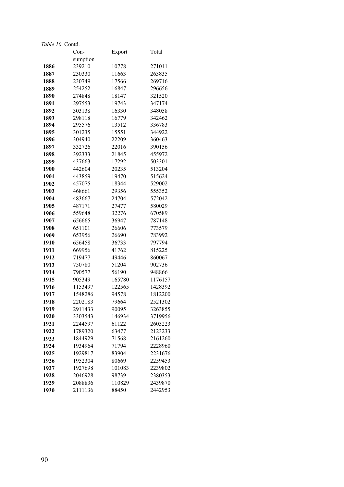|              | $Con-$             | Export          | Total              |
|--------------|--------------------|-----------------|--------------------|
|              | sumption           |                 |                    |
| 1886         | 239210             | 10778           | 271011             |
| 1887         | 230330             | 11663           | 263835             |
| 1888         | 230749             | 17566           | 269716             |
| 1889         | 254252             | 16847           | 296656             |
| 1890         | 274848             | 18147           | 321520             |
| 1891         | 297553             | 19743           | 347174             |
| 1892         | 303138             | 16330           | 348058             |
| 1893         | 298118             | 16779           | 342462             |
| 1894         | 295576             | 13512           | 336783             |
| 1895         | 301235             | 15551           | 344922             |
| 1896         | 304940             | 22209           | 360463             |
| 1897         | 332726             | 22016           | 390156             |
| 1898         | 392333             | 21845           | 455972             |
| 1899         | 437663             | 17292           | 503301             |
| 1900         | 442604             | 20235           | 513204             |
| 1901         | 443859             | 19470           | 515624             |
| 1902         | 457075             | 18344           | 529002             |
| 1903         | 468661             | 29356           | 555352             |
| 1904         | 483667             | 24704           | 572042             |
| 1905         | 487171             | 27477           | 580029             |
| 1906         | 559648             | 32276           | 670589             |
| 1907         | 656665             | 36947           | 787148             |
| 1908         | 651101             | 26606           | 773579             |
| 1909         | 653956             | 26690           | 783992             |
| 1910         | 656458             | 36733           | 797794             |
| 1911         | 669956             | 41762           | 815225             |
| 1912         | 719477             | 49446           | 860067             |
| 1913         | 750780             | 51204           | 902736             |
| 1914         | 790577             | 56190           | 948866             |
| 1915         | 905349             | 165780          | 1176157            |
| 1916         | 1153497            | 122565          | 1428392            |
| 1917         | 1548286            | 94578           | 1812200            |
| 1918         | 2202183            | 79664           | 2521302<br>3263855 |
| 1919         | 2911433            | 90095           |                    |
| 1920<br>1921 | 3303543<br>2244597 | 146934<br>61122 | 3719956<br>2603223 |
| 1922         | 1789320            | 63477           | 2123233            |
| 1923         | 1844929            | 71568           | 2161260            |
| 1924         | 1934964            | 71794           | 2228960            |
| 1925         | 1929817            | 83904           | 2231676            |
| 1926         | 1952304            | 80669           | 2259453            |
| 1927         | 1927698            | 101083          | 2239802            |
| 1928         | 2046928            | 98739           | 2380353            |
| 1929         | 2088836            | 110829          | 2439870            |
| 1930         | 2111136            | 88450           | 2442953            |
|              |                    |                 |                    |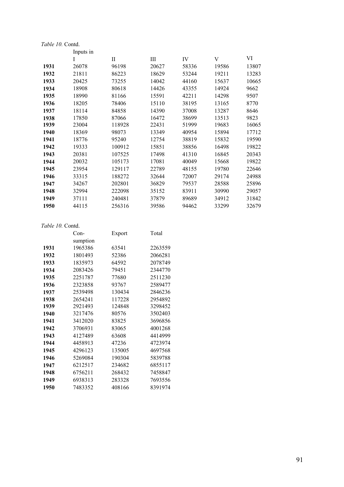|      | Inputs in |        |       |       |       |       |  |  |
|------|-----------|--------|-------|-------|-------|-------|--|--|
|      | I         | П      | Ш     | IV    | V     | VI    |  |  |
| 1931 | 26078     | 96198  | 20627 | 58336 | 19586 | 13807 |  |  |
| 1932 | 21811     | 86223  | 18629 | 53244 | 19211 | 13283 |  |  |
| 1933 | 20425     | 73255  | 14042 | 44160 | 15637 | 10665 |  |  |
| 1934 | 18908     | 80618  | 14426 | 43355 | 14924 | 9662  |  |  |
| 1935 | 18990     | 81166  | 15591 | 42211 | 14298 | 9507  |  |  |
| 1936 | 18205     | 78406  | 15110 | 38195 | 13165 | 8770  |  |  |
| 1937 | 18114     | 84858  | 14390 | 37008 | 13287 | 8646  |  |  |
| 1938 | 17850     | 87066  | 16472 | 38699 | 13513 | 9823  |  |  |
| 1939 | 23004     | 118928 | 22431 | 51999 | 19683 | 16065 |  |  |
| 1940 | 18369     | 98073  | 13349 | 40954 | 15894 | 17712 |  |  |
| 1941 | 18776     | 95240  | 12754 | 38819 | 15832 | 19590 |  |  |
| 1942 | 19333     | 100912 | 15851 | 38856 | 16498 | 19822 |  |  |
| 1943 | 20381     | 107525 | 17498 | 41310 | 16845 | 20343 |  |  |
| 1944 | 20032     | 105173 | 17081 | 40049 | 15668 | 19822 |  |  |
| 1945 | 23954     | 129117 | 22789 | 48155 | 19780 | 22646 |  |  |
| 1946 | 33315     | 188272 | 32644 | 72007 | 29174 | 24988 |  |  |
| 1947 | 34267     | 202801 | 36829 | 79537 | 28588 | 25896 |  |  |
| 1948 | 32994     | 222098 | 35152 | 83911 | 30990 | 29057 |  |  |
| 1949 | 37111     | 240481 | 37879 | 89689 | 34912 | 31842 |  |  |
| 1950 | 44115     | 256316 | 39586 | 94462 | 33299 | 32679 |  |  |
|      |           |        |       |       |       |       |  |  |

| 1 avre 1 v. Conig. |          |        |         |
|--------------------|----------|--------|---------|
|                    | Con-     | Export | Total   |
|                    | sumption |        |         |
| 1931               | 1965386  | 63541  | 2263559 |
| 1932               | 1801493  | 52386  | 2066281 |
| 1933               | 1835973  | 64592  | 2078749 |
| 1934               | 2083426  | 79451  | 2344770 |
| 1935               | 2251787  | 77680  | 2511230 |
| 1936               | 2323858  | 93767  | 2589477 |
| 1937               | 2539498  | 130434 | 2846236 |
| 1938               | 2654241  | 117228 | 2954892 |
| 1939               | 2921493  | 124848 | 3298452 |
| 1940               | 3217476  | 80576  | 3502403 |
| 1941               | 3412020  | 83825  | 3696856 |
| 1942               | 3706931  | 83065  | 4001268 |
| 1943               | 4127489  | 63608  | 4414999 |
| 1944               | 4458913  | 47236  | 4723974 |
| 1945               | 4296123  | 135005 | 4697568 |
| 1946               | 5269084  | 190304 | 5839788 |
| 1947               | 6212517  | 234682 | 6855117 |
| 1948               | 6756211  | 268432 | 7458847 |
| 1949               | 6938313  | 283328 | 7693556 |
| 1950               | 7483352  | 408166 | 8391974 |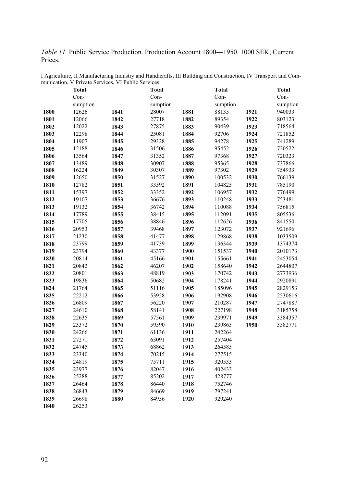*Table 11.* Public Service Production. Production Account 1800―1950. 1000 SEK, Current Prices.

|      | <b>Total</b> |      | <b>Total</b> |      | <b>Total</b> |      | <b>Total</b> |
|------|--------------|------|--------------|------|--------------|------|--------------|
|      | Con-         |      | Con-         |      | Con-         |      | Con-         |
|      | sumption     |      | sumption     |      | sumption     |      | sumption     |
| 1800 | 12626        | 1841 | 28007        | 1881 | 88135        | 1921 | 940033       |
| 1801 | 12066        | 1842 | 27718        | 1882 | 89354        | 1922 | 803123       |
| 1802 | 12022        | 1843 | 27875        | 1883 | 90439        | 1923 | 718564       |
| 1803 | 12298        | 1844 | 25081        | 1884 | 92706        | 1924 | 721852       |
| 1804 | 11907        | 1845 | 29328        | 1885 | 94278        | 1925 | 741289       |
| 1805 | 12188        | 1846 | 31506        | 1886 | 95452        | 1926 | 720522       |
| 1806 | 13564        | 1847 | 31352        | 1887 | 97368        | 1927 | 720323       |
| 1807 | 13489        | 1848 | 30907        | 1888 | 95365        | 1928 | 737866       |
| 1808 | 16224        | 1849 | 30307        | 1889 | 97302        | 1929 | 754933       |
| 1809 | 12650        | 1850 | 31527        | 1890 | 100532       | 1930 | 766139       |
| 1810 | 12782        | 1851 | 33592        | 1891 | 104825       | 1931 | 785190       |
| 1811 | 15397        | 1852 | 33352        | 1892 | 106957       | 1932 | 776499       |
| 1812 | 19107        | 1853 | 36676        | 1893 | 110248       | 1933 | 753481       |
| 1813 | 19132        | 1854 | 36742        | 1894 | 110088       | 1934 | 756815       |
| 1814 | 17789        | 1855 | 38415        | 1895 | 112091       | 1935 | 805536       |
| 1815 | 17705        | 1856 | 38846        | 1896 | 112626       | 1936 | 841550       |
| 1816 | 20953        | 1857 | 39468        | 1897 | 123072       | 1937 | 921696       |
| 1817 | 21230        | 1858 | 41477        | 1898 | 129868       | 1938 | 1033509      |
| 1818 | 23799        | 1859 | 41739        | 1899 | 136344       | 1939 | 1374374      |
| 1819 | 23794        | 1860 | 43377        | 1900 | 151537       | 1940 | 2010173      |
| 1820 | 20814        | 1861 | 45166        | 1901 | 155661       | 1941 | 2453054      |
| 1821 | 20842        | 1862 | 46207        | 1902 | 158640       | 1942 | 2644807      |
| 1822 | 20801        | 1863 | 48819        | 1903 | 170742       | 1943 | 2773936      |
| 1823 | 19836        | 1864 | 50682        | 1904 | 178241       | 1944 | 2920891      |
| 1824 | 21764        | 1865 | 51116        | 1905 | 185096       | 1945 | 2829153      |
| 1825 | 22212        | 1866 | 53928        | 1906 | 192908       | 1946 | 2530616      |
| 1826 | 26809        | 1867 | 56220        | 1907 | 210287       | 1947 | 2747887      |
| 1827 | 24610        | 1868 | 58141        | 1908 | 227198       | 1948 | 3185758      |
| 1828 | 22635        | 1869 | 57561        | 1909 | 239971       | 1949 | 3384357      |
| 1829 | 23372        | 1870 | 59590        | 1910 | 239863       | 1950 | 3582771      |
| 1830 | 24266        | 1871 | 61136        | 1911 | 242264       |      |              |
| 1831 | 27271        | 1872 | 63091        | 1912 | 257404       |      |              |
| 1832 | 24745        | 1873 | 68862        | 1913 | 264585       |      |              |
| 1833 | 23340        | 1874 | 70215        | 1914 | 277515       |      |              |
| 1834 | 24819        | 1875 | 75711        | 1915 | 320533       |      |              |
| 1835 | 23977        | 1876 | 82047        | 1916 | 402433       |      |              |
| 1836 | 25288        | 1877 | 85202        | 1917 | 428777       |      |              |
| 1837 | 26464        | 1878 | 86440        | 1918 | 752746       |      |              |
| 1838 | 26843        | 1879 | 84669        | 1919 | 797241       |      |              |
| 1839 | 26698        | 1880 | 84956        | 1920 | 929240       |      |              |
| 1840 | 26253        |      |              |      |              |      |              |

I Agriculture, II Manufacturing Industry and Handicrafts, III Building and Construction, IV Transport and Communication, V Private Services, VI Public Services.